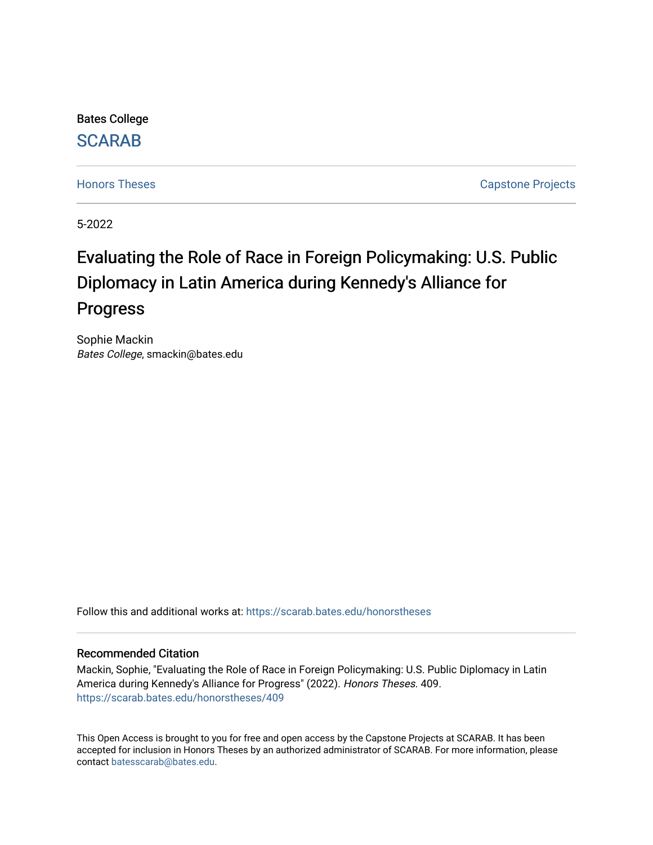Bates College

## **SCARAB**

[Honors Theses](https://scarab.bates.edu/honorstheses) **Capstone Projects** 

5-2022

# Evaluating the Role of Race in Foreign Policymaking: U.S. Public Diplomacy in Latin America during Kennedy's Alliance for Progress

Sophie Mackin Bates College, smackin@bates.edu

Follow this and additional works at: [https://scarab.bates.edu/honorstheses](https://scarab.bates.edu/honorstheses?utm_source=scarab.bates.edu%2Fhonorstheses%2F409&utm_medium=PDF&utm_campaign=PDFCoverPages) 

#### Recommended Citation

Mackin, Sophie, "Evaluating the Role of Race in Foreign Policymaking: U.S. Public Diplomacy in Latin America during Kennedy's Alliance for Progress" (2022). Honors Theses. 409. [https://scarab.bates.edu/honorstheses/409](https://scarab.bates.edu/honorstheses/409?utm_source=scarab.bates.edu%2Fhonorstheses%2F409&utm_medium=PDF&utm_campaign=PDFCoverPages) 

This Open Access is brought to you for free and open access by the Capstone Projects at SCARAB. It has been accepted for inclusion in Honors Theses by an authorized administrator of SCARAB. For more information, please contact [batesscarab@bates.edu](mailto:batesscarab@bates.edu).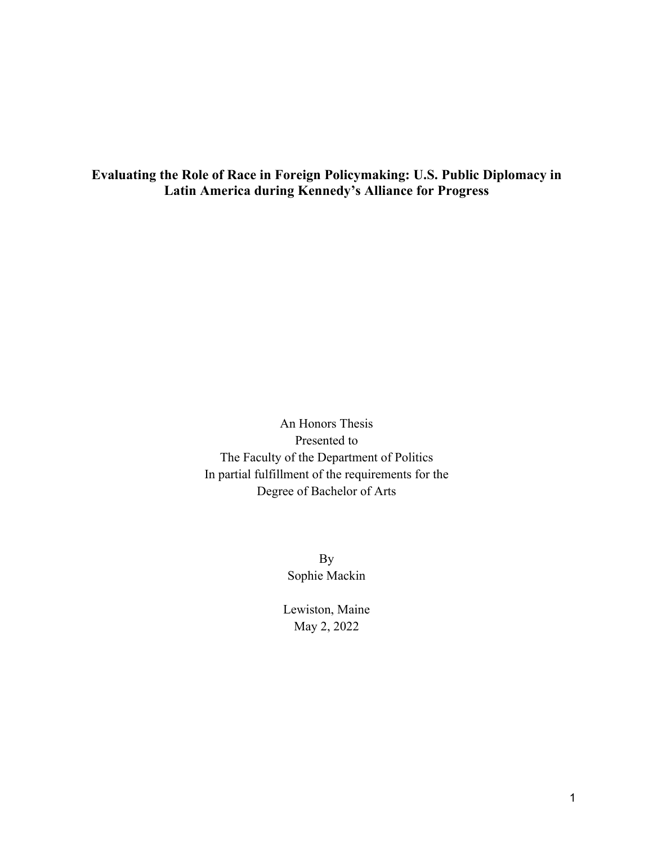**Evaluating the Role of Race in Foreign Policymaking: U.S. Public Diplomacy in Latin America during Kennedy's Alliance for Progress**

> An Honors Thesis Presented to The Faculty of the Department of Politics In partial fulfillment of the requirements for the Degree of Bachelor of Arts

> > By Sophie Mackin

Lewiston, Maine May 2, 2022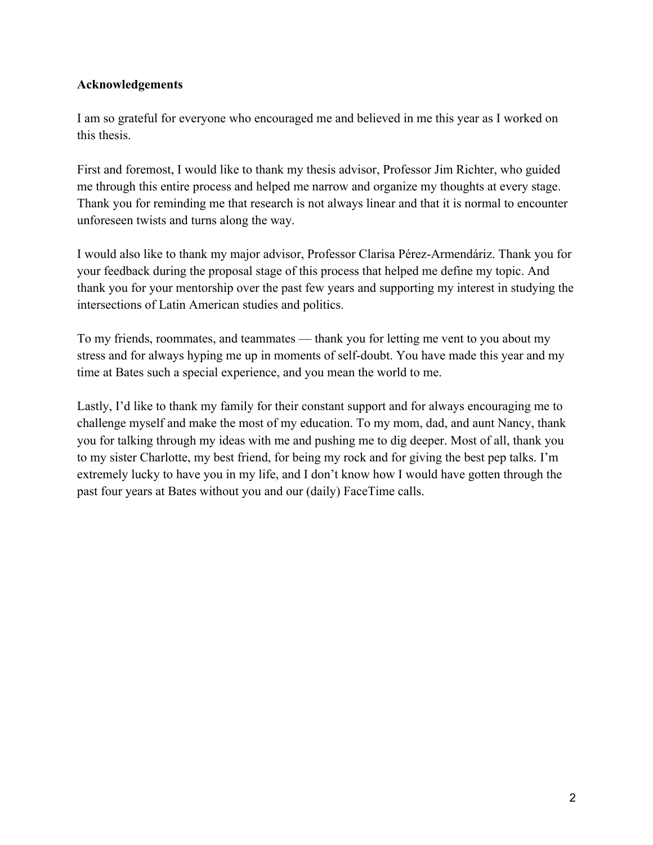### **Acknowledgements**

I am so grateful for everyone who encouraged me and believed in me this year as I worked on this thesis.

First and foremost, I would like to thank my thesis advisor, Professor Jim Richter, who guided me through this entire process and helped me narrow and organize my thoughts at every stage. Thank you for reminding me that research is not always linear and that it is normal to encounter unforeseen twists and turns along the way.

I would also like to thank my major advisor, Professor Clarisa Pérez-Armendáriz. Thank you for your feedback during the proposal stage of this process that helped me define my topic. And thank you for your mentorship over the past few years and supporting my interest in studying the intersections of Latin American studies and politics.

To my friends, roommates, and teammates — thank you for letting me vent to you about my stress and for always hyping me up in moments of self-doubt. You have made this year and my time at Bates such a special experience, and you mean the world to me.

Lastly, I'd like to thank my family for their constant support and for always encouraging me to challenge myself and make the most of my education. To my mom, dad, and aunt Nancy, thank you for talking through my ideas with me and pushing me to dig deeper. Most of all, thank you to my sister Charlotte, my best friend, for being my rock and for giving the best pep talks. I'm extremely lucky to have you in my life, and I don't know how I would have gotten through the past four years at Bates without you and our (daily) FaceTime calls.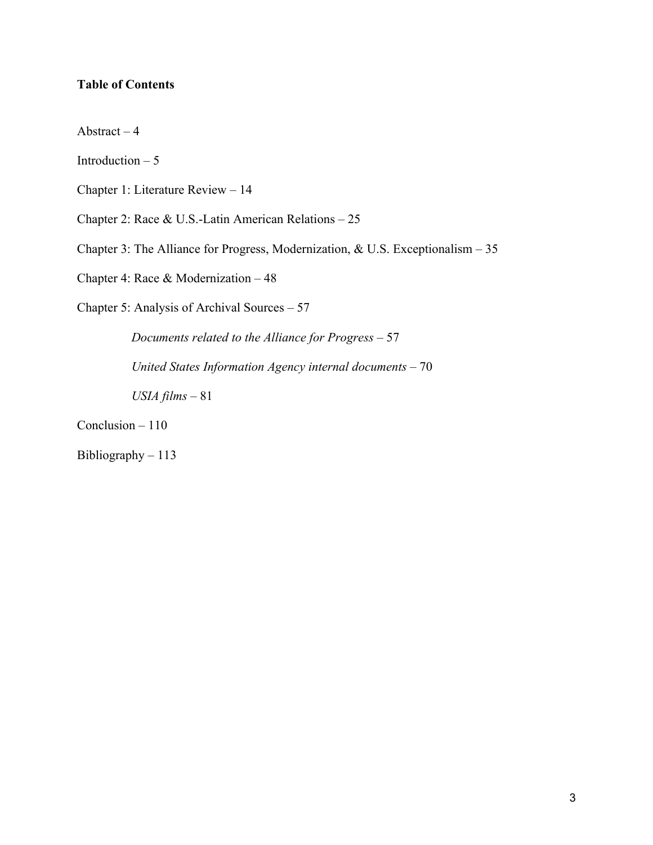## **Table of Contents**

Abstract – 4

Introduction  $-5$ 

Chapter 1: Literature Review – 14

Chapter 2: Race & U.S.-Latin American Relations – 25

Chapter 3: The Alliance for Progress, Modernization, & U.S. Exceptionalism – 35

Chapter 4: Race & Modernization – 48

Chapter 5: Analysis of Archival Sources – 57

*Documents related to the Alliance for Progress* – 57

 *United States Information Agency internal documents* – 70

 *USIA films* – 81

Conclusion – 110

Bibliography – 113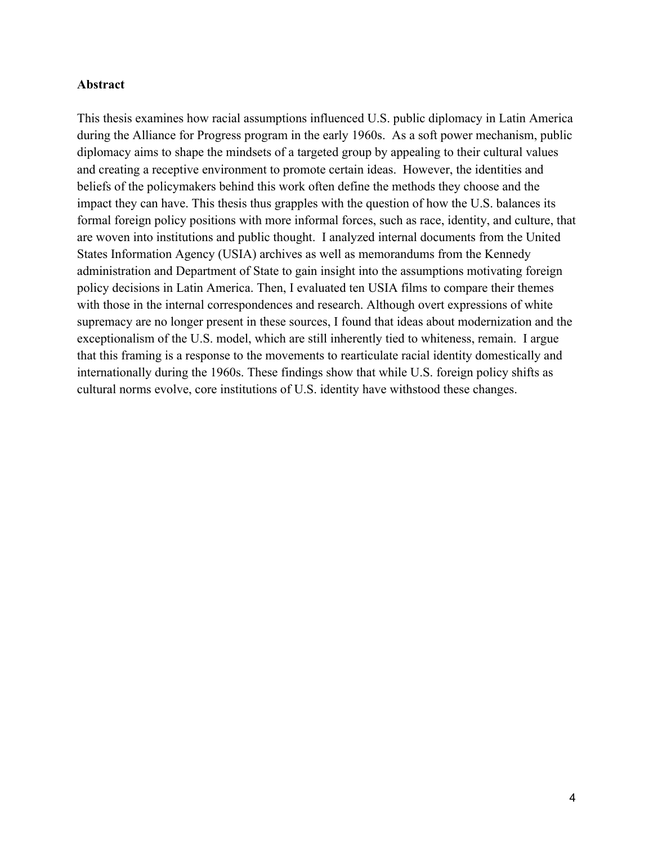#### **Abstract**

This thesis examines how racial assumptions influenced U.S. public diplomacy in Latin America during the Alliance for Progress program in the early 1960s. As a soft power mechanism, public diplomacy aims to shape the mindsets of a targeted group by appealing to their cultural values and creating a receptive environment to promote certain ideas. However, the identities and beliefs of the policymakers behind this work often define the methods they choose and the impact they can have. This thesis thus grapples with the question of how the U.S. balances its formal foreign policy positions with more informal forces, such as race, identity, and culture, that are woven into institutions and public thought. I analyzed internal documents from the United States Information Agency (USIA) archives as well as memorandums from the Kennedy administration and Department of State to gain insight into the assumptions motivating foreign policy decisions in Latin America. Then, I evaluated ten USIA films to compare their themes with those in the internal correspondences and research. Although overt expressions of white supremacy are no longer present in these sources, I found that ideas about modernization and the exceptionalism of the U.S. model, which are still inherently tied to whiteness, remain. I argue that this framing is a response to the movements to rearticulate racial identity domestically and internationally during the 1960s. These findings show that while U.S. foreign policy shifts as cultural norms evolve, core institutions of U.S. identity have withstood these changes.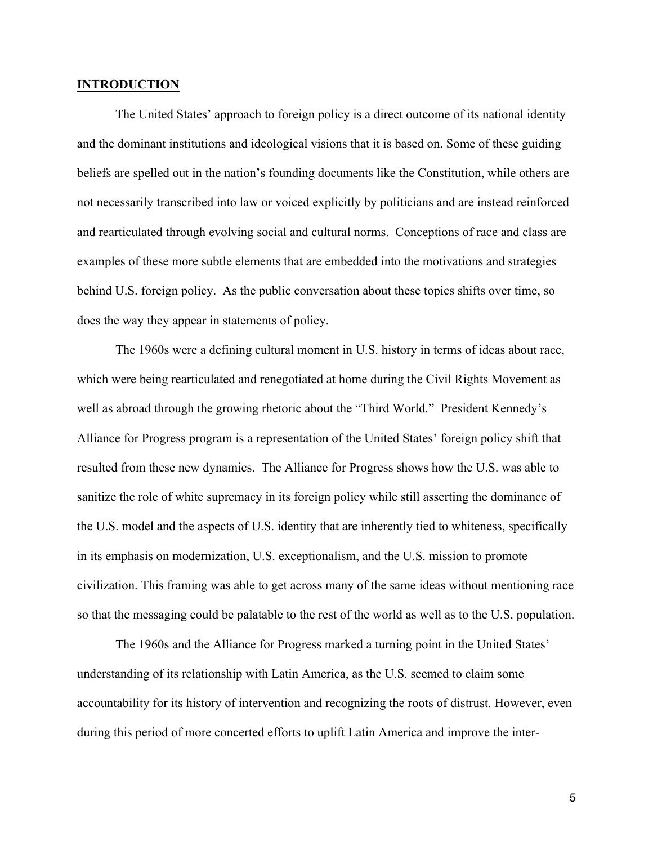#### **INTRODUCTION**

The United States' approach to foreign policy is a direct outcome of its national identity and the dominant institutions and ideological visions that it is based on. Some of these guiding beliefs are spelled out in the nation's founding documents like the Constitution, while others are not necessarily transcribed into law or voiced explicitly by politicians and are instead reinforced and rearticulated through evolving social and cultural norms. Conceptions of race and class are examples of these more subtle elements that are embedded into the motivations and strategies behind U.S. foreign policy. As the public conversation about these topics shifts over time, so does the way they appear in statements of policy.

The 1960s were a defining cultural moment in U.S. history in terms of ideas about race, which were being rearticulated and renegotiated at home during the Civil Rights Movement as well as abroad through the growing rhetoric about the "Third World." President Kennedy's Alliance for Progress program is a representation of the United States' foreign policy shift that resulted from these new dynamics. The Alliance for Progress shows how the U.S. was able to sanitize the role of white supremacy in its foreign policy while still asserting the dominance of the U.S. model and the aspects of U.S. identity that are inherently tied to whiteness, specifically in its emphasis on modernization, U.S. exceptionalism, and the U.S. mission to promote civilization. This framing was able to get across many of the same ideas without mentioning race so that the messaging could be palatable to the rest of the world as well as to the U.S. population.

The 1960s and the Alliance for Progress marked a turning point in the United States' understanding of its relationship with Latin America, as the U.S. seemed to claim some accountability for its history of intervention and recognizing the roots of distrust. However, even during this period of more concerted efforts to uplift Latin America and improve the inter-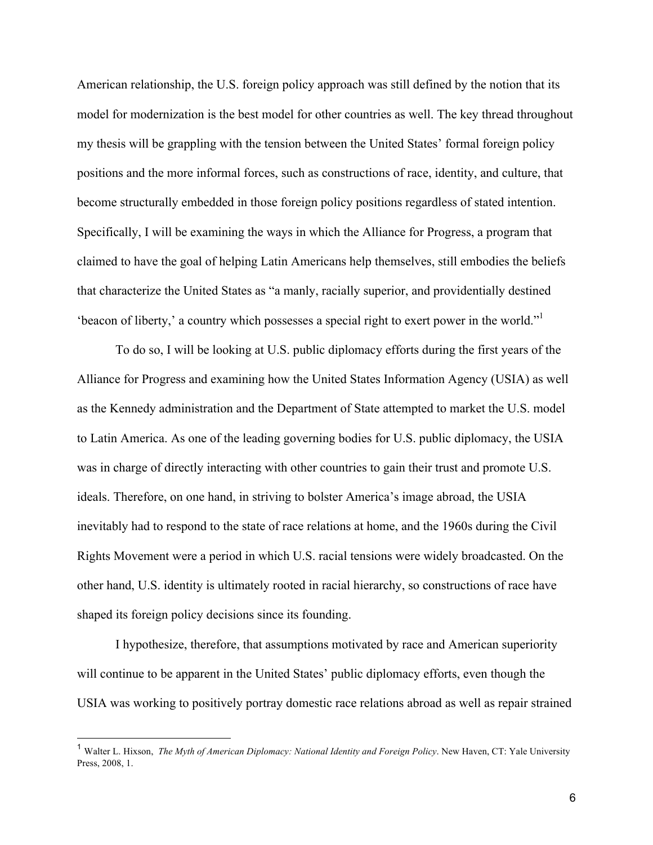American relationship, the U.S. foreign policy approach was still defined by the notion that its model for modernization is the best model for other countries as well. The key thread throughout my thesis will be grappling with the tension between the United States' formal foreign policy positions and the more informal forces, such as constructions of race, identity, and culture, that become structurally embedded in those foreign policy positions regardless of stated intention. Specifically, I will be examining the ways in which the Alliance for Progress, a program that claimed to have the goal of helping Latin Americans help themselves, still embodies the beliefs that characterize the United States as "a manly, racially superior, and providentially destined 'beacon of liberty,' a country which possesses a special right to exert power in the world."1

To do so, I will be looking at U.S. public diplomacy efforts during the first years of the Alliance for Progress and examining how the United States Information Agency (USIA) as well as the Kennedy administration and the Department of State attempted to market the U.S. model to Latin America. As one of the leading governing bodies for U.S. public diplomacy, the USIA was in charge of directly interacting with other countries to gain their trust and promote U.S. ideals. Therefore, on one hand, in striving to bolster America's image abroad, the USIA inevitably had to respond to the state of race relations at home, and the 1960s during the Civil Rights Movement were a period in which U.S. racial tensions were widely broadcasted. On the other hand, U.S. identity is ultimately rooted in racial hierarchy, so constructions of race have shaped its foreign policy decisions since its founding.

I hypothesize, therefore, that assumptions motivated by race and American superiority will continue to be apparent in the United States' public diplomacy efforts, even though the USIA was working to positively portray domestic race relations abroad as well as repair strained

 <sup>1</sup> Walter L. Hixson, *The Myth of American Diplomacy: National Identity and Foreign Policy*. New Haven, CT: Yale University Press, 2008, 1.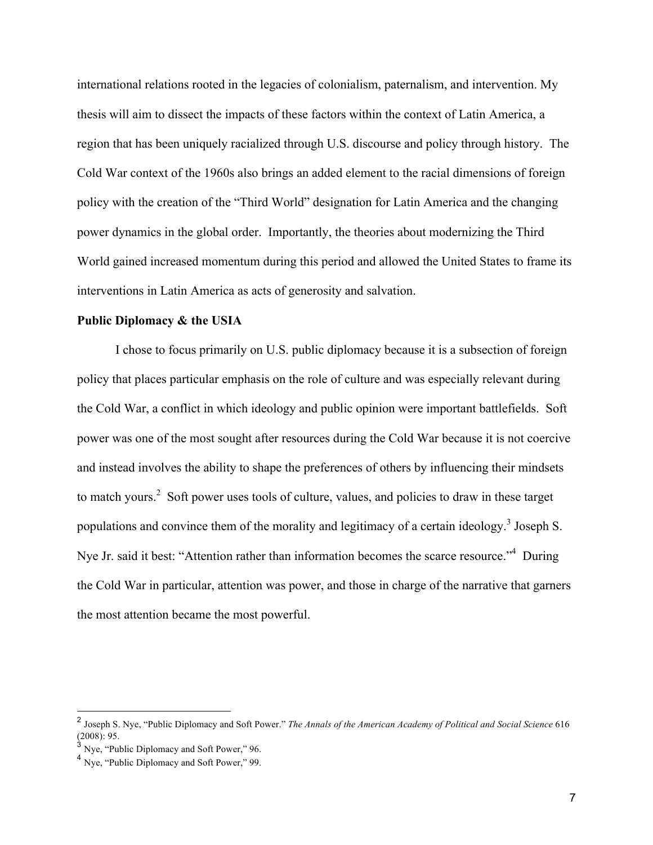international relations rooted in the legacies of colonialism, paternalism, and intervention. My thesis will aim to dissect the impacts of these factors within the context of Latin America, a region that has been uniquely racialized through U.S. discourse and policy through history. The Cold War context of the 1960s also brings an added element to the racial dimensions of foreign policy with the creation of the "Third World" designation for Latin America and the changing power dynamics in the global order. Importantly, the theories about modernizing the Third World gained increased momentum during this period and allowed the United States to frame its interventions in Latin America as acts of generosity and salvation.

#### **Public Diplomacy & the USIA**

I chose to focus primarily on U.S. public diplomacy because it is a subsection of foreign policy that places particular emphasis on the role of culture and was especially relevant during the Cold War, a conflict in which ideology and public opinion were important battlefields. Soft power was one of the most sought after resources during the Cold War because it is not coercive and instead involves the ability to shape the preferences of others by influencing their mindsets to match yours.<sup>2</sup> Soft power uses tools of culture, values, and policies to draw in these target populations and convince them of the morality and legitimacy of a certain ideology.<sup>3</sup> Joseph S. Nye Jr. said it best: "Attention rather than information becomes the scarce resource."<sup>4</sup> During the Cold War in particular, attention was power, and those in charge of the narrative that garners the most attention became the most powerful.

 <sup>2</sup> Joseph S. Nye, "Public Diplomacy and Soft Power." *The Annals of the American Academy of Political and Social Science* <sup>616</sup> (2008): 95.

 $3$  Nye, "Public Diplomacy and Soft Power," 96.

<sup>&</sup>lt;sup>4</sup> Nye, "Public Diplomacy and Soft Power," 99.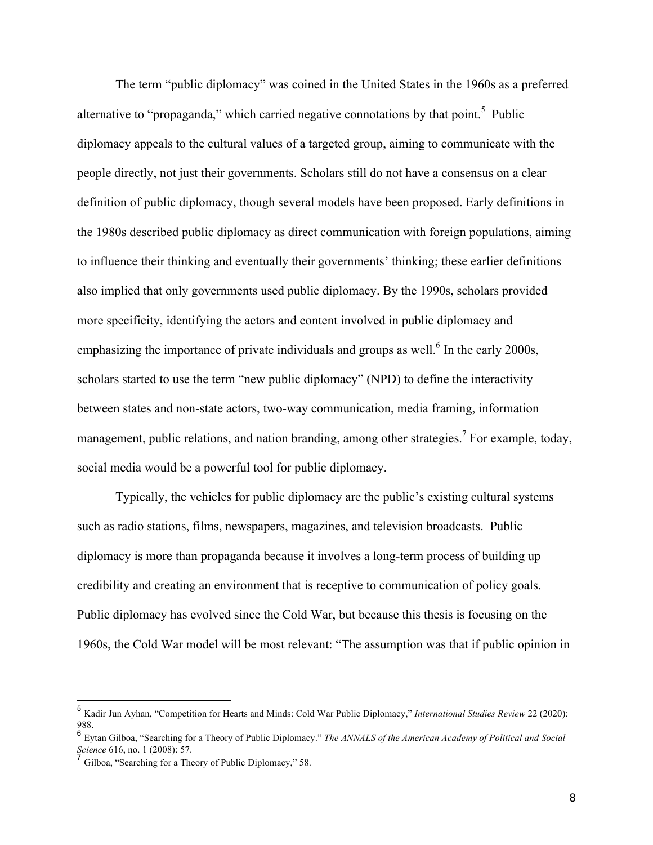The term "public diplomacy" was coined in the United States in the 1960s as a preferred alternative to "propaganda," which carried negative connotations by that point.<sup>5</sup> Public diplomacy appeals to the cultural values of a targeted group, aiming to communicate with the people directly, not just their governments. Scholars still do not have a consensus on a clear definition of public diplomacy, though several models have been proposed. Early definitions in the 1980s described public diplomacy as direct communication with foreign populations, aiming to influence their thinking and eventually their governments' thinking; these earlier definitions also implied that only governments used public diplomacy. By the 1990s, scholars provided more specificity, identifying the actors and content involved in public diplomacy and emphasizing the importance of private individuals and groups as well.<sup>6</sup> In the early 2000s, scholars started to use the term "new public diplomacy" (NPD) to define the interactivity between states and non-state actors, two-way communication, media framing, information management, public relations, and nation branding, among other strategies.<sup>7</sup> For example, today, social media would be a powerful tool for public diplomacy.

Typically, the vehicles for public diplomacy are the public's existing cultural systems such as radio stations, films, newspapers, magazines, and television broadcasts. Public diplomacy is more than propaganda because it involves a long-term process of building up credibility and creating an environment that is receptive to communication of policy goals. Public diplomacy has evolved since the Cold War, but because this thesis is focusing on the 1960s, the Cold War model will be most relevant: "The assumption was that if public opinion in

 <sup>5</sup> Kadir Jun Ayhan, "Competition for Hearts and Minds: Cold War Public Diplomacy," *International Studies Review* 22 (2020): 988.

<sup>6</sup> Eytan Gilboa, "Searching for a Theory of Public Diplomacy." *The ANNALS of the American Academy of Political and Social Science* 616, no. 1 (2008): 57.

Gilboa, "Searching for a Theory of Public Diplomacy," 58.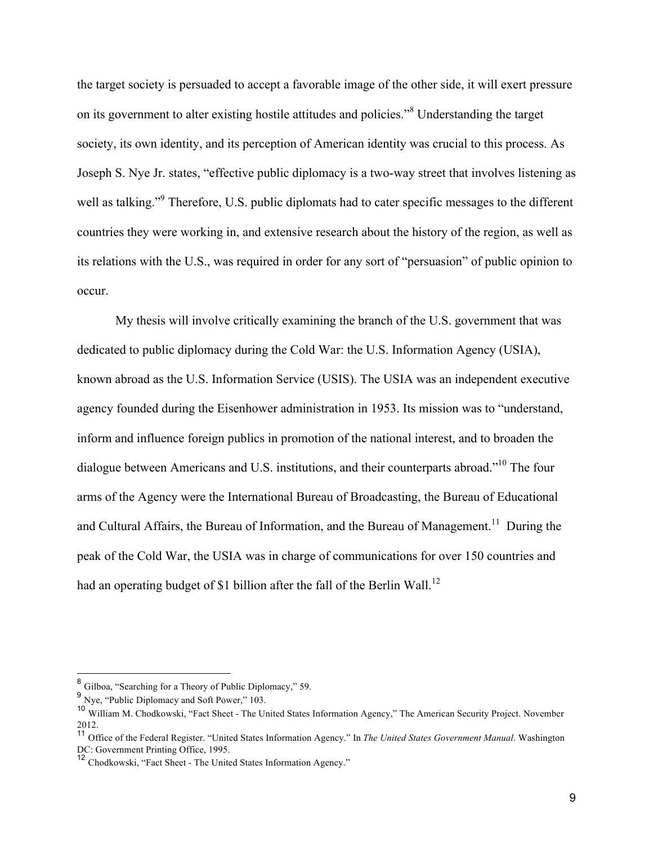the target society is persuaded to accept a favorable image of the other side, it will exert pressure on its government to alter existing hostile attitudes and policies."<sup>8</sup> Understanding the target society, its own identity, and its perception of American identity was crucial to this process. As Joseph S. Nye Jr. states, "effective public diplomacy is a two-way street that involves listening as well as talking."<sup>9</sup> Therefore, U.S. public diplomats had to cater specific messages to the different countries they were working in, and extensive research about the history of the region, as well as its relations with the U.S., was required in order for any sort of "persuasion" of public opinion to occur.

My thesis will involve critically examining the branch of the U.S. government that was dedicated to public diplomacy during the Cold War: the U.S. Information Agency (USIA), known abroad as the U.S. Information Service (USIS). The USIA was an independent executive agency founded during the Eisenhower administration in 1953. Its mission was to "understand, inform and influence foreign publics in promotion of the national interest, and to broaden the dialogue between Americans and U.S. institutions, and their counterparts abroad."<sup>10</sup> The four arms of the Agency were the International Bureau of Broadcasting, the Bureau of Educational and Cultural Affairs, the Bureau of Information, and the Bureau of Management.<sup>11</sup> During the peak of the Cold War, the USIA was in charge of communications for over 150 countries and had an operating budget of \$1 billion after the fall of the Berlin Wall.<sup>12</sup>

 <sup>8</sup> Gilboa, "Searching for a Theory of Public Diplomacy," 59.

<sup>9</sup> Nye, "Public Diplomacy and Soft Power," 103.

<sup>10</sup> William M. Chodkowski, "Fact Sheet - The United States Information Agency," The American Security Project. November 2012.

<sup>11</sup> Office of the Federal Register. "United States Information Agency." In *The United States Government Manual*. Washington DC: Government Printing Office, 1995.

<sup>12</sup> Chodkowski, "Fact Sheet - The United States Information Agency."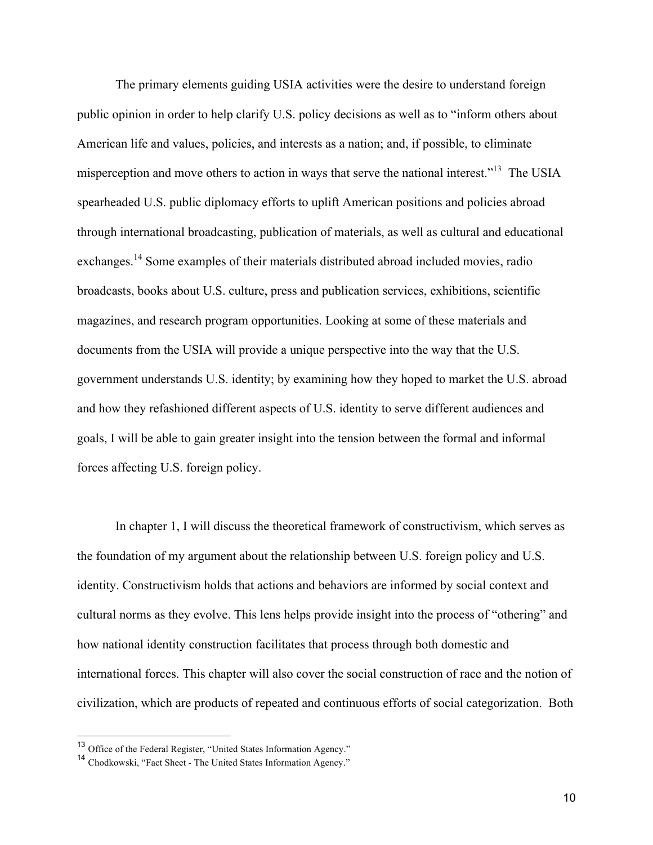The primary elements guiding USIA activities were the desire to understand foreign public opinion in order to help clarify U.S. policy decisions as well as to "inform others about American life and values, policies, and interests as a nation; and, if possible, to eliminate misperception and move others to action in ways that serve the national interest."<sup>13</sup> The USIA spearheaded U.S. public diplomacy efforts to uplift American positions and policies abroad through international broadcasting, publication of materials, as well as cultural and educational exchanges.<sup>14</sup> Some examples of their materials distributed abroad included movies, radio broadcasts, books about U.S. culture, press and publication services, exhibitions, scientific magazines, and research program opportunities. Looking at some of these materials and documents from the USIA will provide a unique perspective into the way that the U.S. government understands U.S. identity; by examining how they hoped to market the U.S. abroad and how they refashioned different aspects of U.S. identity to serve different audiences and goals, I will be able to gain greater insight into the tension between the formal and informal forces affecting U.S. foreign policy.

In chapter 1, I will discuss the theoretical framework of constructivism, which serves as the foundation of my argument about the relationship between U.S. foreign policy and U.S. identity. Constructivism holds that actions and behaviors are informed by social context and cultural norms as they evolve. This lens helps provide insight into the process of "othering" and how national identity construction facilitates that process through both domestic and international forces. This chapter will also cover the social construction of race and the notion of civilization, which are products of repeated and continuous efforts of social categorization. Both

 <sup>13</sup> Office of the Federal Register, "United States Information Agency."

<sup>14</sup> Chodkowski, "Fact Sheet - The United States Information Agency."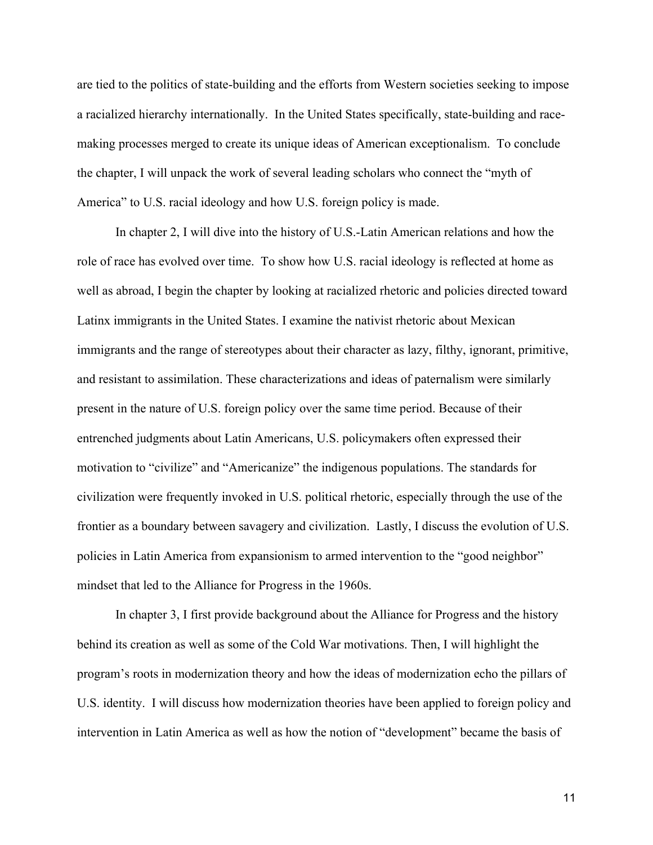are tied to the politics of state-building and the efforts from Western societies seeking to impose a racialized hierarchy internationally. In the United States specifically, state-building and racemaking processes merged to create its unique ideas of American exceptionalism. To conclude the chapter, I will unpack the work of several leading scholars who connect the "myth of America" to U.S. racial ideology and how U.S. foreign policy is made.

In chapter 2, I will dive into the history of U.S.-Latin American relations and how the role of race has evolved over time. To show how U.S. racial ideology is reflected at home as well as abroad, I begin the chapter by looking at racialized rhetoric and policies directed toward Latinx immigrants in the United States. I examine the nativist rhetoric about Mexican immigrants and the range of stereotypes about their character as lazy, filthy, ignorant, primitive, and resistant to assimilation. These characterizations and ideas of paternalism were similarly present in the nature of U.S. foreign policy over the same time period. Because of their entrenched judgments about Latin Americans, U.S. policymakers often expressed their motivation to "civilize" and "Americanize" the indigenous populations. The standards for civilization were frequently invoked in U.S. political rhetoric, especially through the use of the frontier as a boundary between savagery and civilization. Lastly, I discuss the evolution of U.S. policies in Latin America from expansionism to armed intervention to the "good neighbor" mindset that led to the Alliance for Progress in the 1960s.

In chapter 3, I first provide background about the Alliance for Progress and the history behind its creation as well as some of the Cold War motivations. Then, I will highlight the program's roots in modernization theory and how the ideas of modernization echo the pillars of U.S. identity. I will discuss how modernization theories have been applied to foreign policy and intervention in Latin America as well as how the notion of "development" became the basis of

11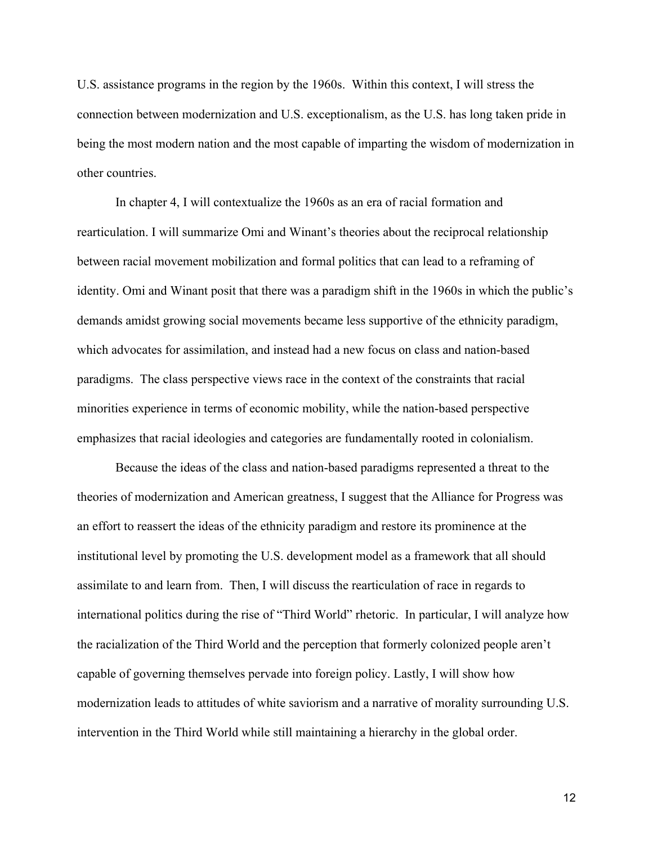U.S. assistance programs in the region by the 1960s. Within this context, I will stress the connection between modernization and U.S. exceptionalism, as the U.S. has long taken pride in being the most modern nation and the most capable of imparting the wisdom of modernization in other countries.

In chapter 4, I will contextualize the 1960s as an era of racial formation and rearticulation. I will summarize Omi and Winant's theories about the reciprocal relationship between racial movement mobilization and formal politics that can lead to a reframing of identity. Omi and Winant posit that there was a paradigm shift in the 1960s in which the public's demands amidst growing social movements became less supportive of the ethnicity paradigm, which advocates for assimilation, and instead had a new focus on class and nation-based paradigms. The class perspective views race in the context of the constraints that racial minorities experience in terms of economic mobility, while the nation-based perspective emphasizes that racial ideologies and categories are fundamentally rooted in colonialism.

Because the ideas of the class and nation-based paradigms represented a threat to the theories of modernization and American greatness, I suggest that the Alliance for Progress was an effort to reassert the ideas of the ethnicity paradigm and restore its prominence at the institutional level by promoting the U.S. development model as a framework that all should assimilate to and learn from. Then, I will discuss the rearticulation of race in regards to international politics during the rise of "Third World" rhetoric. In particular, I will analyze how the racialization of the Third World and the perception that formerly colonized people aren't capable of governing themselves pervade into foreign policy. Lastly, I will show how modernization leads to attitudes of white saviorism and a narrative of morality surrounding U.S. intervention in the Third World while still maintaining a hierarchy in the global order.

12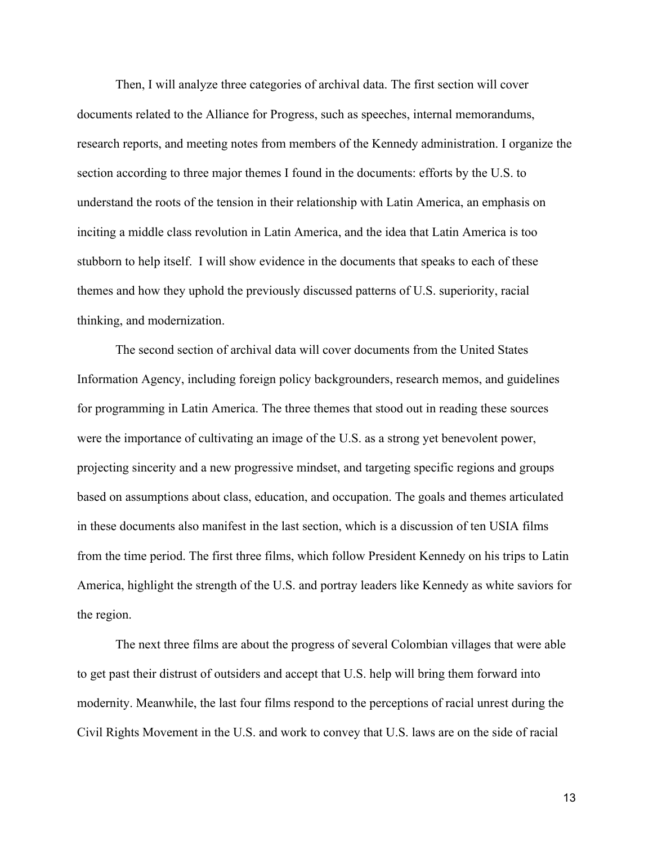Then, I will analyze three categories of archival data. The first section will cover documents related to the Alliance for Progress, such as speeches, internal memorandums, research reports, and meeting notes from members of the Kennedy administration. I organize the section according to three major themes I found in the documents: efforts by the U.S. to understand the roots of the tension in their relationship with Latin America, an emphasis on inciting a middle class revolution in Latin America, and the idea that Latin America is too stubborn to help itself. I will show evidence in the documents that speaks to each of these themes and how they uphold the previously discussed patterns of U.S. superiority, racial thinking, and modernization.

The second section of archival data will cover documents from the United States Information Agency, including foreign policy backgrounders, research memos, and guidelines for programming in Latin America. The three themes that stood out in reading these sources were the importance of cultivating an image of the U.S. as a strong yet benevolent power, projecting sincerity and a new progressive mindset, and targeting specific regions and groups based on assumptions about class, education, and occupation. The goals and themes articulated in these documents also manifest in the last section, which is a discussion of ten USIA films from the time period. The first three films, which follow President Kennedy on his trips to Latin America, highlight the strength of the U.S. and portray leaders like Kennedy as white saviors for the region.

The next three films are about the progress of several Colombian villages that were able to get past their distrust of outsiders and accept that U.S. help will bring them forward into modernity. Meanwhile, the last four films respond to the perceptions of racial unrest during the Civil Rights Movement in the U.S. and work to convey that U.S. laws are on the side of racial

13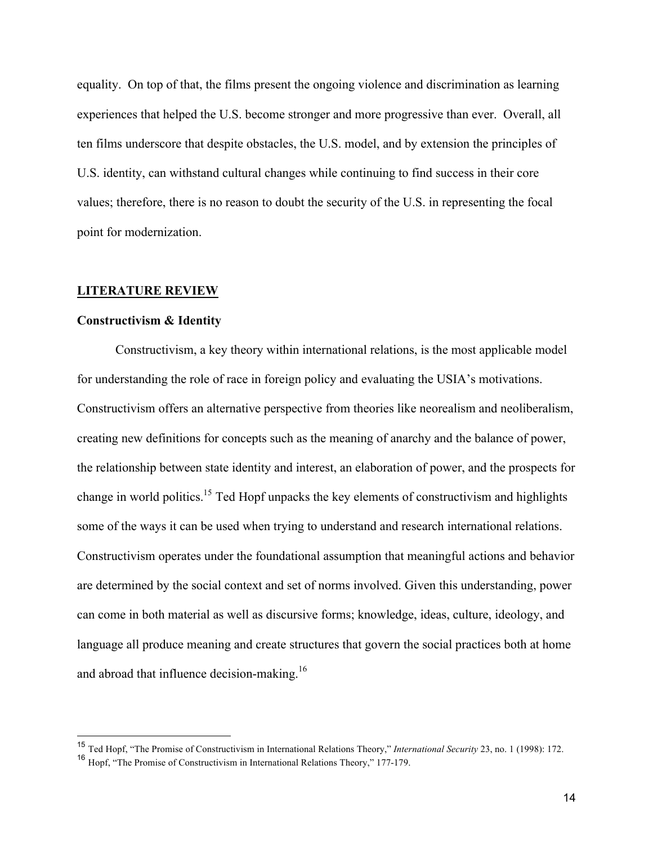equality. On top of that, the films present the ongoing violence and discrimination as learning experiences that helped the U.S. become stronger and more progressive than ever. Overall, all ten films underscore that despite obstacles, the U.S. model, and by extension the principles of U.S. identity, can withstand cultural changes while continuing to find success in their core values; therefore, there is no reason to doubt the security of the U.S. in representing the focal point for modernization.

#### **LITERATURE REVIEW**

#### **Constructivism & Identity**

Constructivism, a key theory within international relations, is the most applicable model for understanding the role of race in foreign policy and evaluating the USIA's motivations. Constructivism offers an alternative perspective from theories like neorealism and neoliberalism, creating new definitions for concepts such as the meaning of anarchy and the balance of power, the relationship between state identity and interest, an elaboration of power, and the prospects for change in world politics.<sup>15</sup> Ted Hopf unpacks the key elements of constructivism and highlights some of the ways it can be used when trying to understand and research international relations. Constructivism operates under the foundational assumption that meaningful actions and behavior are determined by the social context and set of norms involved. Given this understanding, power can come in both material as well as discursive forms; knowledge, ideas, culture, ideology, and language all produce meaning and create structures that govern the social practices both at home and abroad that influence decision-making.<sup>16</sup>

 <sup>15</sup> Ted Hopf, "The Promise of Constructivism in International Relations Theory," *International Security* 23, no. 1 (1998): 172.

<sup>16</sup> Hopf, "The Promise of Constructivism in International Relations Theory," 177-179.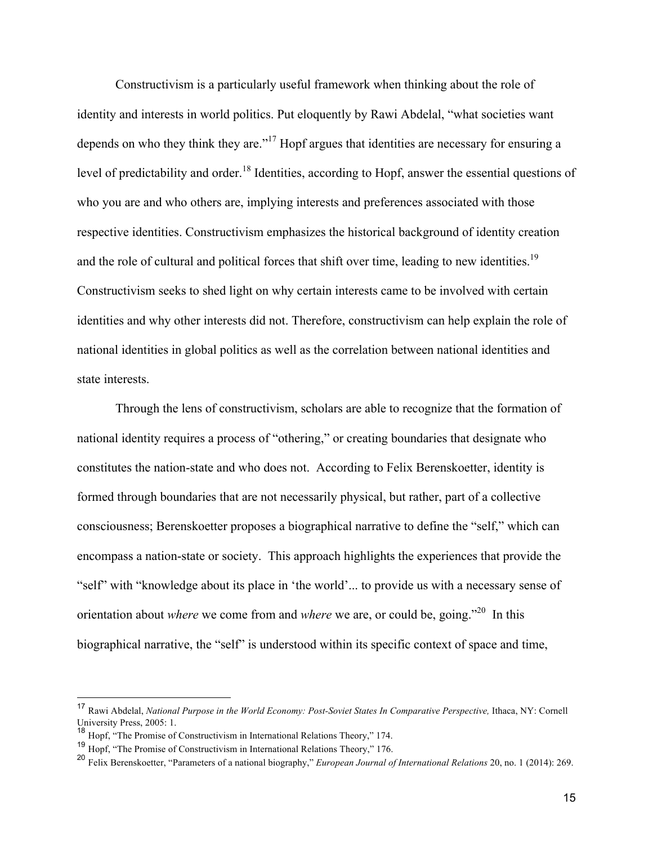Constructivism is a particularly useful framework when thinking about the role of identity and interests in world politics. Put eloquently by Rawi Abdelal, "what societies want depends on who they think they are."<sup>17</sup> Hopf argues that identities are necessary for ensuring a level of predictability and order.<sup>18</sup> Identities, according to Hopf, answer the essential questions of who you are and who others are, implying interests and preferences associated with those respective identities. Constructivism emphasizes the historical background of identity creation and the role of cultural and political forces that shift over time, leading to new identities.<sup>19</sup> Constructivism seeks to shed light on why certain interests came to be involved with certain identities and why other interests did not. Therefore, constructivism can help explain the role of national identities in global politics as well as the correlation between national identities and state interests.

Through the lens of constructivism, scholars are able to recognize that the formation of national identity requires a process of "othering," or creating boundaries that designate who constitutes the nation-state and who does not. According to Felix Berenskoetter, identity is formed through boundaries that are not necessarily physical, but rather, part of a collective consciousness; Berenskoetter proposes a biographical narrative to define the "self," which can encompass a nation-state or society. This approach highlights the experiences that provide the "self" with "knowledge about its place in 'the world'... to provide us with a necessary sense of orientation about *where* we come from and *where* we are, or could be, going."<sup>20</sup> In this biographical narrative, the "self" is understood within its specific context of space and time,

<sup>&</sup>lt;sup>17</sup> Rawi Abdelal, *National Purpose in the World Economy: Post-Soviet States In Comparative Perspective, Ithaca, NY: Cornell* University Press, 2005: 1.

<sup>18</sup> Hopf, "The Promise of Constructivism in International Relations Theory," 174.

<sup>19</sup> Hopf, "The Promise of Constructivism in International Relations Theory," 176.

<sup>20</sup> Felix Berenskoetter, "Parameters of a national biography," *European Journal of International Relations* 20, no. 1 (2014): 269.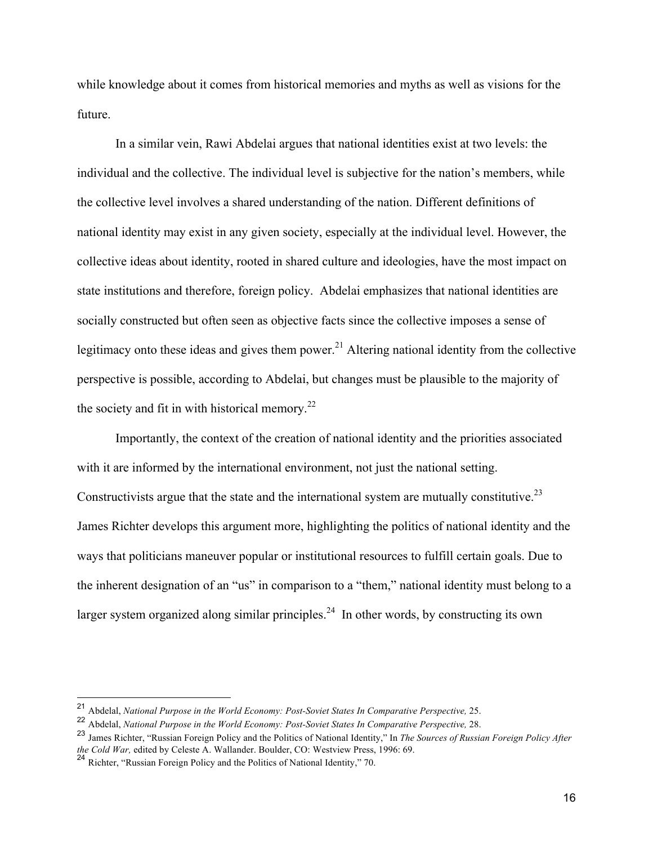while knowledge about it comes from historical memories and myths as well as visions for the future.

In a similar vein, Rawi Abdelai argues that national identities exist at two levels: the individual and the collective. The individual level is subjective for the nation's members, while the collective level involves a shared understanding of the nation. Different definitions of national identity may exist in any given society, especially at the individual level. However, the collective ideas about identity, rooted in shared culture and ideologies, have the most impact on state institutions and therefore, foreign policy. Abdelai emphasizes that national identities are socially constructed but often seen as objective facts since the collective imposes a sense of legitimacy onto these ideas and gives them power.<sup>21</sup> Altering national identity from the collective perspective is possible, according to Abdelai, but changes must be plausible to the majority of the society and fit in with historical memory.<sup>22</sup>

Importantly, the context of the creation of national identity and the priorities associated with it are informed by the international environment, not just the national setting. Constructivists argue that the state and the international system are mutually constitutive.<sup>23</sup> James Richter develops this argument more, highlighting the politics of national identity and the ways that politicians maneuver popular or institutional resources to fulfill certain goals. Due to the inherent designation of an "us" in comparison to a "them," national identity must belong to a larger system organized along similar principles.<sup>24</sup> In other words, by constructing its own

<sup>&</sup>lt;sup>21</sup> Abdelal, *National Purpose in the World Economy: Post-Soviet States In Comparative Perspective, 25.* 

<sup>22</sup> Abdelal, *National Purpose in the World Economy: Post-Soviet States In Comparative Perspective,* 28.

<sup>23</sup> James Richter, "Russian Foreign Policy and the Politics of National Identity," In *The Sources of Russian Foreign Policy After the Cold War,* edited by Celeste A. Wallander. Boulder, CO: Westview Press, 1996: 69.

<sup>&</sup>lt;sup>24</sup> Richter, "Russian Foreign Policy and the Politics of National Identity," 70.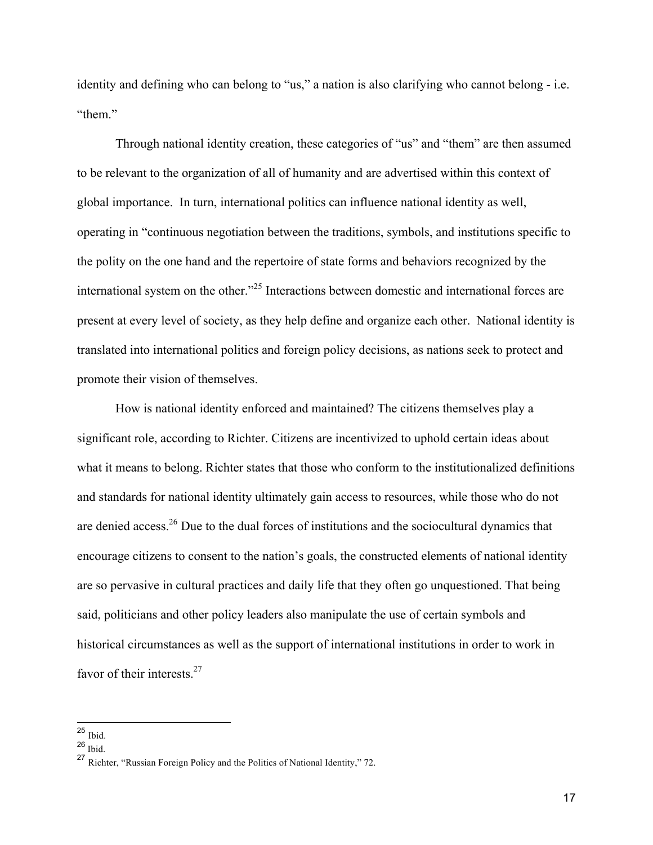identity and defining who can belong to "us," a nation is also clarifying who cannot belong - i.e. "them"

Through national identity creation, these categories of "us" and "them" are then assumed to be relevant to the organization of all of humanity and are advertised within this context of global importance. In turn, international politics can influence national identity as well, operating in "continuous negotiation between the traditions, symbols, and institutions specific to the polity on the one hand and the repertoire of state forms and behaviors recognized by the international system on the other."25 Interactions between domestic and international forces are present at every level of society, as they help define and organize each other. National identity is translated into international politics and foreign policy decisions, as nations seek to protect and promote their vision of themselves.

How is national identity enforced and maintained? The citizens themselves play a significant role, according to Richter. Citizens are incentivized to uphold certain ideas about what it means to belong. Richter states that those who conform to the institutionalized definitions and standards for national identity ultimately gain access to resources, while those who do not are denied access.26 Due to the dual forces of institutions and the sociocultural dynamics that encourage citizens to consent to the nation's goals, the constructed elements of national identity are so pervasive in cultural practices and daily life that they often go unquestioned. That being said, politicians and other policy leaders also manipulate the use of certain symbols and historical circumstances as well as the support of international institutions in order to work in favor of their interests. $27$ 

 <sup>25</sup> Ibid.

 $26$  Ibid.

<sup>27</sup> Richter, "Russian Foreign Policy and the Politics of National Identity," 72.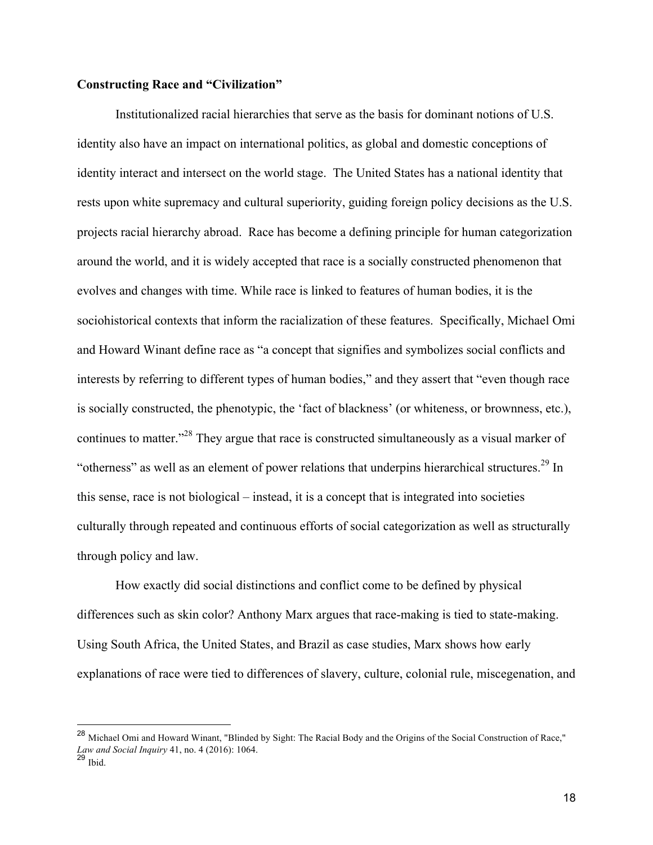#### **Constructing Race and "Civilization"**

Institutionalized racial hierarchies that serve as the basis for dominant notions of U.S. identity also have an impact on international politics, as global and domestic conceptions of identity interact and intersect on the world stage. The United States has a national identity that rests upon white supremacy and cultural superiority, guiding foreign policy decisions as the U.S. projects racial hierarchy abroad. Race has become a defining principle for human categorization around the world, and it is widely accepted that race is a socially constructed phenomenon that evolves and changes with time. While race is linked to features of human bodies, it is the sociohistorical contexts that inform the racialization of these features. Specifically, Michael Omi and Howard Winant define race as "a concept that signifies and symbolizes social conflicts and interests by referring to different types of human bodies," and they assert that "even though race is socially constructed, the phenotypic, the 'fact of blackness' (or whiteness, or brownness, etc.), continues to matter."<sup>28</sup> They argue that race is constructed simultaneously as a visual marker of "otherness" as well as an element of power relations that underpins hierarchical structures.<sup>29</sup> In this sense, race is not biological – instead, it is a concept that is integrated into societies culturally through repeated and continuous efforts of social categorization as well as structurally through policy and law.

How exactly did social distinctions and conflict come to be defined by physical differences such as skin color? Anthony Marx argues that race-making is tied to state-making. Using South Africa, the United States, and Brazil as case studies, Marx shows how early explanations of race were tied to differences of slavery, culture, colonial rule, miscegenation, and

 <sup>28</sup> Michael Omi and Howard Winant, "Blinded by Sight: The Racial Body and the Origins of the Social Construction of Race," *Law and Social Inquiry* 41, no. 4 (2016): 1064.

<sup>29</sup> Ibid.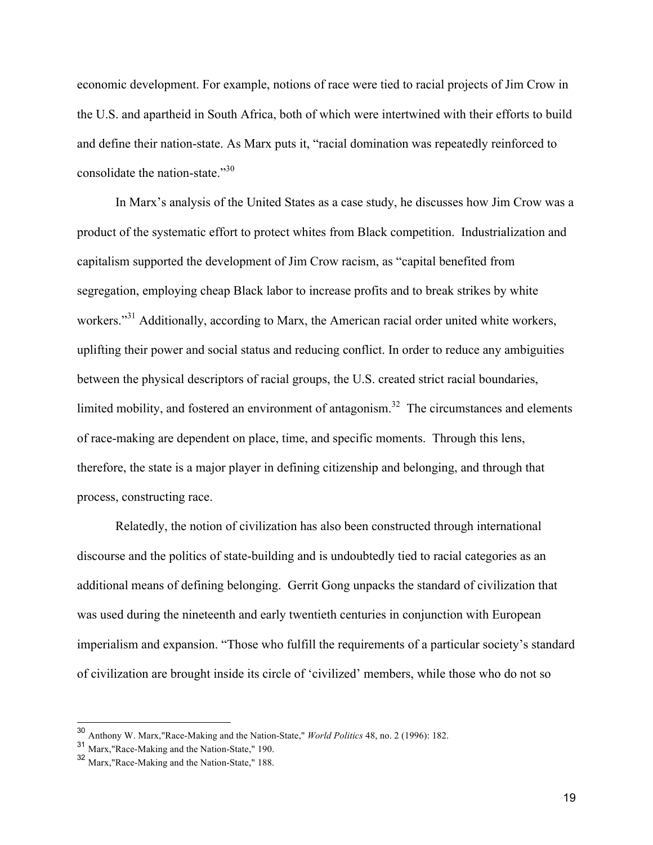economic development. For example, notions of race were tied to racial projects of Jim Crow in the U.S. and apartheid in South Africa, both of which were intertwined with their efforts to build and define their nation-state. As Marx puts it, "racial domination was repeatedly reinforced to consolidate the nation-state."<sup>30</sup>

In Marx's analysis of the United States as a case study, he discusses how Jim Crow was a product of the systematic effort to protect whites from Black competition. Industrialization and capitalism supported the development of Jim Crow racism, as "capital benefited from segregation, employing cheap Black labor to increase profits and to break strikes by white workers."<sup>31</sup> Additionally, according to Marx, the American racial order united white workers, uplifting their power and social status and reducing conflict. In order to reduce any ambiguities between the physical descriptors of racial groups, the U.S. created strict racial boundaries, limited mobility, and fostered an environment of antagonism.<sup>32</sup> The circumstances and elements of race-making are dependent on place, time, and specific moments. Through this lens, therefore, the state is a major player in defining citizenship and belonging, and through that process, constructing race.

Relatedly, the notion of civilization has also been constructed through international discourse and the politics of state-building and is undoubtedly tied to racial categories as an additional means of defining belonging. Gerrit Gong unpacks the standard of civilization that was used during the nineteenth and early twentieth centuries in conjunction with European imperialism and expansion. "Those who fulfill the requirements of a particular society's standard of civilization are brought inside its circle of 'civilized' members, while those who do not so

 <sup>30</sup> Anthony W. Marx,"Race-Making and the Nation-State," *World Politics* 48, no. 2 (1996): 182.

<sup>31</sup> Marx,"Race-Making and the Nation-State," 190.

<sup>32</sup> Marx,"Race-Making and the Nation-State," 188.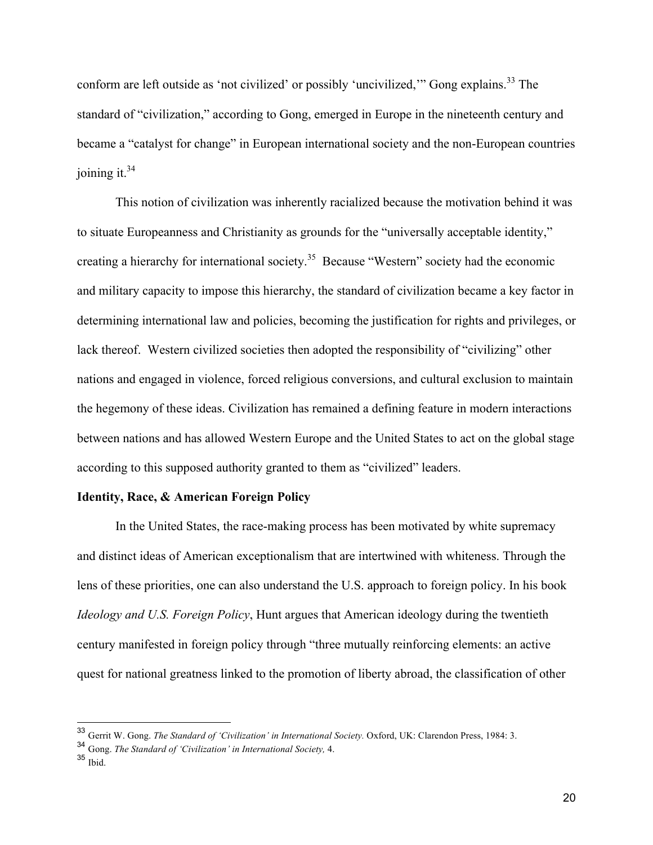conform are left outside as 'not civilized' or possibly 'uncivilized,'" Gong explains.<sup>33</sup> The standard of "civilization," according to Gong, emerged in Europe in the nineteenth century and became a "catalyst for change" in European international society and the non-European countries joining it. $34$ 

This notion of civilization was inherently racialized because the motivation behind it was to situate Europeanness and Christianity as grounds for the "universally acceptable identity," creating a hierarchy for international society.35 Because "Western" society had the economic and military capacity to impose this hierarchy, the standard of civilization became a key factor in determining international law and policies, becoming the justification for rights and privileges, or lack thereof. Western civilized societies then adopted the responsibility of "civilizing" other nations and engaged in violence, forced religious conversions, and cultural exclusion to maintain the hegemony of these ideas. Civilization has remained a defining feature in modern interactions between nations and has allowed Western Europe and the United States to act on the global stage according to this supposed authority granted to them as "civilized" leaders.

#### **Identity, Race, & American Foreign Policy**

In the United States, the race-making process has been motivated by white supremacy and distinct ideas of American exceptionalism that are intertwined with whiteness. Through the lens of these priorities, one can also understand the U.S. approach to foreign policy. In his book *Ideology and U.S. Foreign Policy*, Hunt argues that American ideology during the twentieth century manifested in foreign policy through "three mutually reinforcing elements: an active quest for national greatness linked to the promotion of liberty abroad, the classification of other

<sup>&</sup>lt;sup>33</sup> Gerrit W. Gong. *The Standard of 'Civilization' in International Society*. Oxford, UK: Clarendon Press, 1984: 3.

<sup>34</sup> Gong. *The Standard of 'Civilization' in International Society,* 4.

<sup>35</sup> Ibid.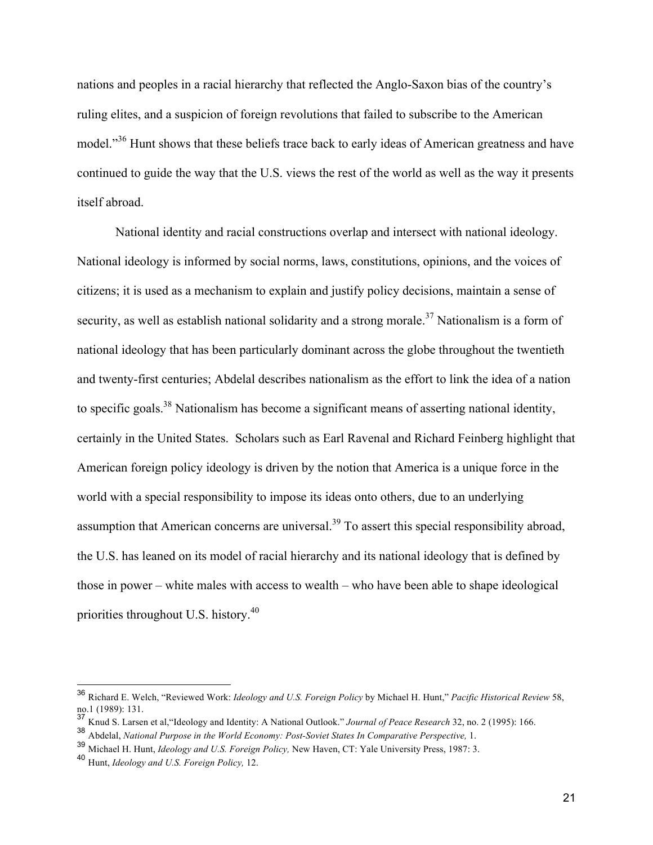nations and peoples in a racial hierarchy that reflected the Anglo-Saxon bias of the country's ruling elites, and a suspicion of foreign revolutions that failed to subscribe to the American model."<sup>36</sup> Hunt shows that these beliefs trace back to early ideas of American greatness and have continued to guide the way that the U.S. views the rest of the world as well as the way it presents itself abroad.

National identity and racial constructions overlap and intersect with national ideology. National ideology is informed by social norms, laws, constitutions, opinions, and the voices of citizens; it is used as a mechanism to explain and justify policy decisions, maintain a sense of security, as well as establish national solidarity and a strong morale.<sup>37</sup> Nationalism is a form of national ideology that has been particularly dominant across the globe throughout the twentieth and twenty-first centuries; Abdelal describes nationalism as the effort to link the idea of a nation to specific goals.<sup>38</sup> Nationalism has become a significant means of asserting national identity, certainly in the United States. Scholars such as Earl Ravenal and Richard Feinberg highlight that American foreign policy ideology is driven by the notion that America is a unique force in the world with a special responsibility to impose its ideas onto others, due to an underlying assumption that American concerns are universal.<sup>39</sup> To assert this special responsibility abroad, the U.S. has leaned on its model of racial hierarchy and its national ideology that is defined by those in power – white males with access to wealth – who have been able to shape ideological priorities throughout U.S. history.40

 <sup>36</sup> Richard E. Welch, "Reviewed Work: *Ideology and U.S. Foreign Policy* by Michael H. Hunt," *Pacific Historical Review* 58, no.1 (1989): 131.

<sup>37</sup> Knud S. Larsen et al,"Ideology and Identity: A National Outlook." *Journal of Peace Research* 32, no. 2 (1995): 166.

<sup>38</sup> Abdelal, *National Purpose in the World Economy: Post-Soviet States In Comparative Perspective,* 1.

<sup>39</sup> Michael H. Hunt, *Ideology and U.S. Foreign Policy,* New Haven, CT: Yale University Press, 1987: 3.

<sup>40</sup> Hunt, *Ideology and U.S. Foreign Policy,* 12.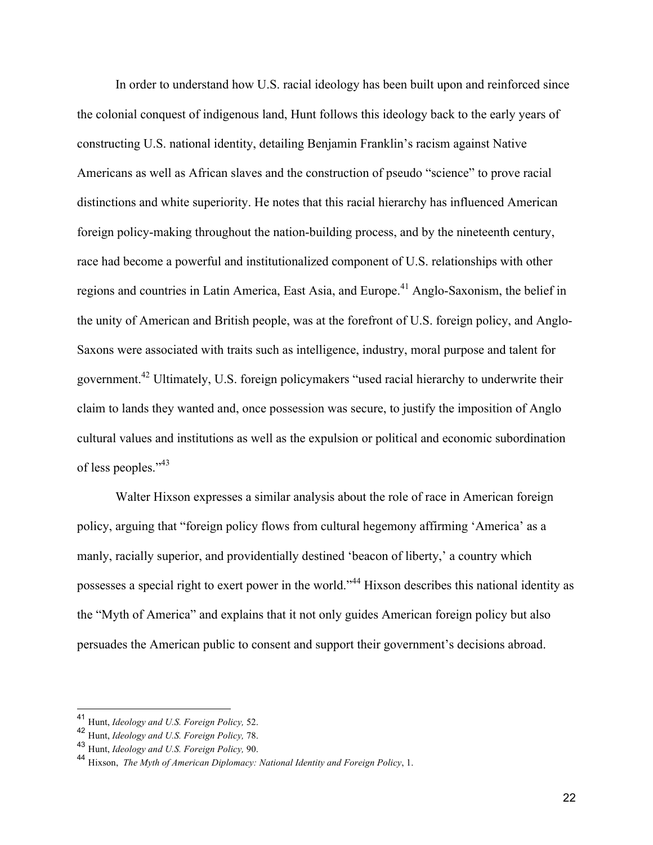In order to understand how U.S. racial ideology has been built upon and reinforced since the colonial conquest of indigenous land, Hunt follows this ideology back to the early years of constructing U.S. national identity, detailing Benjamin Franklin's racism against Native Americans as well as African slaves and the construction of pseudo "science" to prove racial distinctions and white superiority. He notes that this racial hierarchy has influenced American foreign policy-making throughout the nation-building process, and by the nineteenth century, race had become a powerful and institutionalized component of U.S. relationships with other regions and countries in Latin America, East Asia, and Europe.<sup>41</sup> Anglo-Saxonism, the belief in the unity of American and British people, was at the forefront of U.S. foreign policy, and Anglo-Saxons were associated with traits such as intelligence, industry, moral purpose and talent for government.42 Ultimately, U.S. foreign policymakers "used racial hierarchy to underwrite their claim to lands they wanted and, once possession was secure, to justify the imposition of Anglo cultural values and institutions as well as the expulsion or political and economic subordination of less peoples."<sup>43</sup>

Walter Hixson expresses a similar analysis about the role of race in American foreign policy, arguing that "foreign policy flows from cultural hegemony affirming 'America' as a manly, racially superior, and providentially destined 'beacon of liberty,' a country which possesses a special right to exert power in the world."<sup>44</sup> Hixson describes this national identity as the "Myth of America" and explains that it not only guides American foreign policy but also persuades the American public to consent and support their government's decisions abroad.

 <sup>41</sup> Hunt, *Ideology and U.S. Foreign Policy,* 52.

<sup>42</sup> Hunt, *Ideology and U.S. Foreign Policy,* 78.

<sup>43</sup> Hunt, *Ideology and U.S. Foreign Policy,* 90.

<sup>44</sup> Hixson, *The Myth of American Diplomacy: National Identity and Foreign Policy*, 1.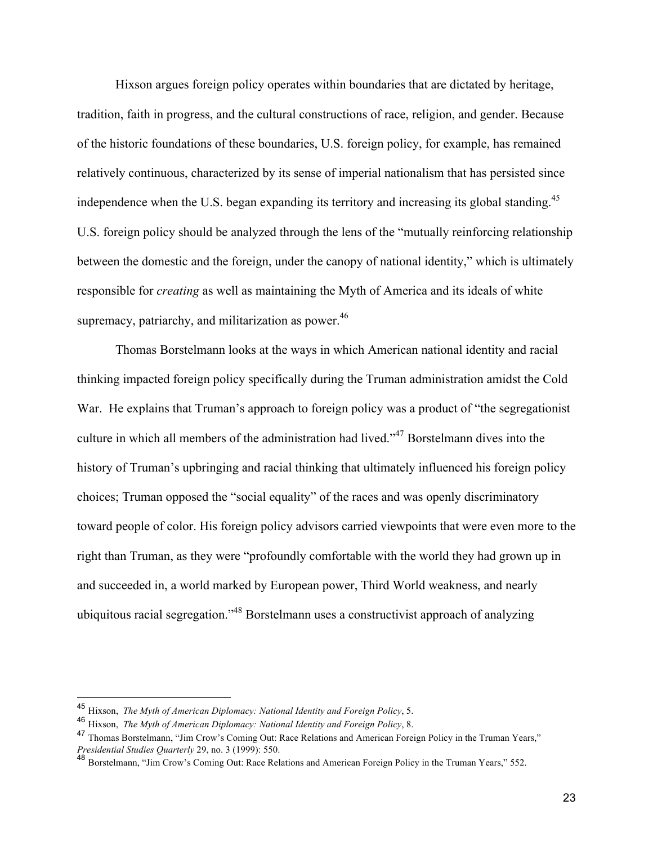Hixson argues foreign policy operates within boundaries that are dictated by heritage, tradition, faith in progress, and the cultural constructions of race, religion, and gender. Because of the historic foundations of these boundaries, U.S. foreign policy, for example, has remained relatively continuous, characterized by its sense of imperial nationalism that has persisted since independence when the U.S. began expanding its territory and increasing its global standing.<sup>45</sup> U.S. foreign policy should be analyzed through the lens of the "mutually reinforcing relationship between the domestic and the foreign, under the canopy of national identity," which is ultimately responsible for *creating* as well as maintaining the Myth of America and its ideals of white supremacy, patriarchy, and militarization as power. $46$ 

Thomas Borstelmann looks at the ways in which American national identity and racial thinking impacted foreign policy specifically during the Truman administration amidst the Cold War. He explains that Truman's approach to foreign policy was a product of "the segregationist culture in which all members of the administration had lived."47 Borstelmann dives into the history of Truman's upbringing and racial thinking that ultimately influenced his foreign policy choices; Truman opposed the "social equality" of the races and was openly discriminatory toward people of color. His foreign policy advisors carried viewpoints that were even more to the right than Truman, as they were "profoundly comfortable with the world they had grown up in and succeeded in, a world marked by European power, Third World weakness, and nearly ubiquitous racial segregation."48 Borstelmann uses a constructivist approach of analyzing

 <sup>45</sup> Hixson, *The Myth of American Diplomacy: National Identity and Foreign Policy*, 5.

<sup>46</sup> Hixson, *The Myth of American Diplomacy: National Identity and Foreign Policy*, 8.

<sup>47</sup> Thomas Borstelmann, "Jim Crow's Coming Out: Race Relations and American Foreign Policy in the Truman Years," *Presidential Studies Quarterly* 29, no. 3 (1999): 550.

<sup>48</sup> Borstelmann, "Jim Crow's Coming Out: Race Relations and American Foreign Policy in the Truman Years," 552.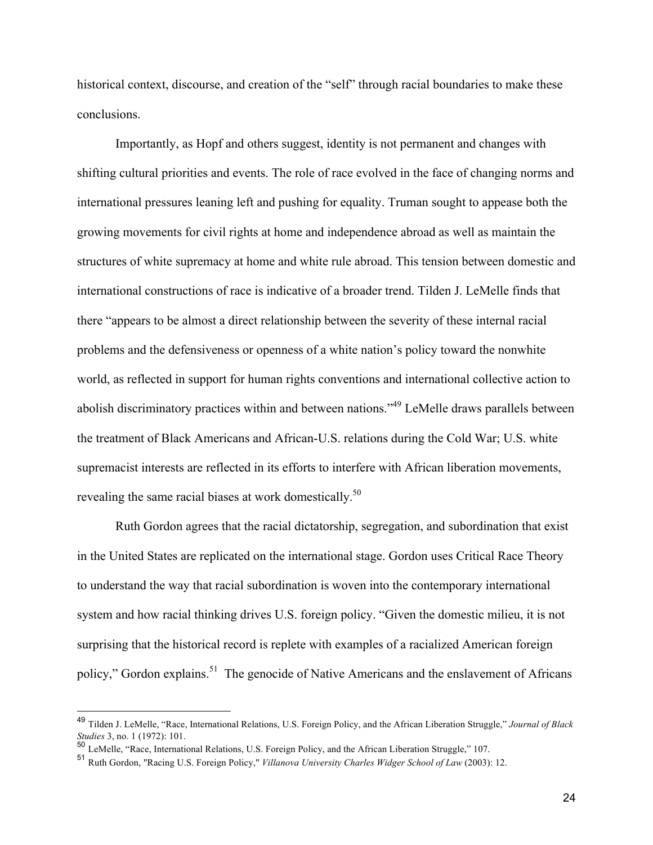historical context, discourse, and creation of the "self" through racial boundaries to make these conclusions.

Importantly, as Hopf and others suggest, identity is not permanent and changes with shifting cultural priorities and events. The role of race evolved in the face of changing norms and international pressures leaning left and pushing for equality. Truman sought to appease both the growing movements for civil rights at home and independence abroad as well as maintain the structures of white supremacy at home and white rule abroad. This tension between domestic and international constructions of race is indicative of a broader trend. Tilden J. LeMelle finds that there "appears to be almost a direct relationship between the severity of these internal racial problems and the defensiveness or openness of a white nation's policy toward the nonwhite world, as reflected in support for human rights conventions and international collective action to abolish discriminatory practices within and between nations."49 LeMelle draws parallels between the treatment of Black Americans and African-U.S. relations during the Cold War; U.S. white supremacist interests are reflected in its efforts to interfere with African liberation movements, revealing the same racial biases at work domestically.<sup>50</sup>

Ruth Gordon agrees that the racial dictatorship, segregation, and subordination that exist in the United States are replicated on the international stage. Gordon uses Critical Race Theory to understand the way that racial subordination is woven into the contemporary international system and how racial thinking drives U.S. foreign policy. "Given the domestic milieu, it is not surprising that the historical record is replete with examples of a racialized American foreign policy," Gordon explains.<sup>51</sup> The genocide of Native Americans and the enslavement of Africans

 <sup>49</sup> Tilden J. LeMelle, "Race, International Relations, U.S. Foreign Policy, and the African Liberation Struggle," *Journal of Black Studies* 3, no. 1 (1972): 101.

<sup>50</sup> LeMelle, "Race, International Relations, U.S. Foreign Policy, and the African Liberation Struggle," 107.

<sup>51</sup> Ruth Gordon, "Racing U.S. Foreign Policy," *Villanova University Charles Widger School of Law* (2003): 12.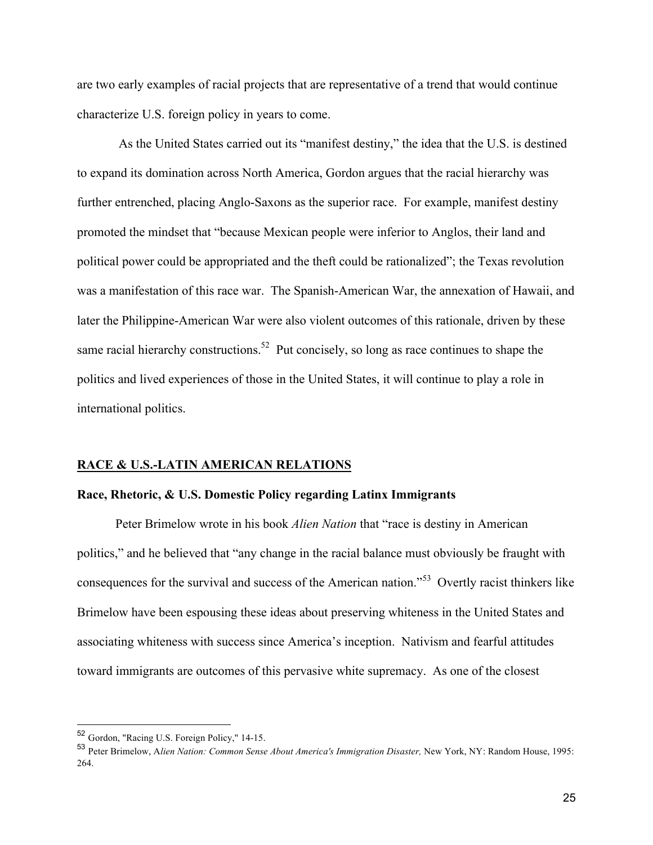are two early examples of racial projects that are representative of a trend that would continue characterize U.S. foreign policy in years to come.

As the United States carried out its "manifest destiny," the idea that the U.S. is destined to expand its domination across North America, Gordon argues that the racial hierarchy was further entrenched, placing Anglo-Saxons as the superior race. For example, manifest destiny promoted the mindset that "because Mexican people were inferior to Anglos, their land and political power could be appropriated and the theft could be rationalized"; the Texas revolution was a manifestation of this race war. The Spanish-American War, the annexation of Hawaii, and later the Philippine-American War were also violent outcomes of this rationale, driven by these same racial hierarchy constructions.<sup>52</sup> Put concisely, so long as race continues to shape the politics and lived experiences of those in the United States, it will continue to play a role in international politics.

#### **RACE & U.S.-LATIN AMERICAN RELATIONS**

#### **Race, Rhetoric, & U.S. Domestic Policy regarding Latinx Immigrants**

Peter Brimelow wrote in his book *Alien Nation* that "race is destiny in American politics," and he believed that "any change in the racial balance must obviously be fraught with consequences for the survival and success of the American nation."53 Overtly racist thinkers like Brimelow have been espousing these ideas about preserving whiteness in the United States and associating whiteness with success since America's inception. Nativism and fearful attitudes toward immigrants are outcomes of this pervasive white supremacy. As one of the closest

 <sup>52</sup> Gordon, "Racing U.S. Foreign Policy," 14-15.

<sup>53</sup> Peter Brimelow, A*lien Nation: Common Sense About America's Immigration Disaster,* New York, NY: Random House, 1995: 264.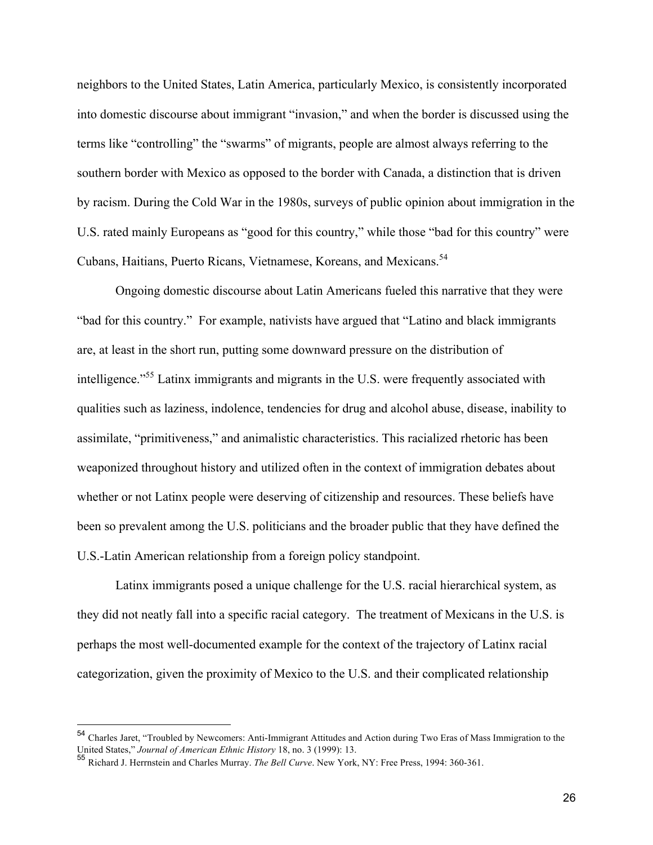neighbors to the United States, Latin America, particularly Mexico, is consistently incorporated into domestic discourse about immigrant "invasion," and when the border is discussed using the terms like "controlling" the "swarms" of migrants, people are almost always referring to the southern border with Mexico as opposed to the border with Canada, a distinction that is driven by racism. During the Cold War in the 1980s, surveys of public opinion about immigration in the U.S. rated mainly Europeans as "good for this country," while those "bad for this country" were Cubans, Haitians, Puerto Ricans, Vietnamese, Koreans, and Mexicans.<sup>54</sup>

Ongoing domestic discourse about Latin Americans fueled this narrative that they were "bad for this country." For example, nativists have argued that "Latino and black immigrants are, at least in the short run, putting some downward pressure on the distribution of intelligence."<sup>55</sup> Latinx immigrants and migrants in the U.S. were frequently associated with qualities such as laziness, indolence, tendencies for drug and alcohol abuse, disease, inability to assimilate, "primitiveness," and animalistic characteristics. This racialized rhetoric has been weaponized throughout history and utilized often in the context of immigration debates about whether or not Latinx people were deserving of citizenship and resources. These beliefs have been so prevalent among the U.S. politicians and the broader public that they have defined the U.S.-Latin American relationship from a foreign policy standpoint.

Latinx immigrants posed a unique challenge for the U.S. racial hierarchical system, as they did not neatly fall into a specific racial category. The treatment of Mexicans in the U.S. is perhaps the most well-documented example for the context of the trajectory of Latinx racial categorization, given the proximity of Mexico to the U.S. and their complicated relationship

 <sup>54</sup> Charles Jaret, "Troubled by Newcomers: Anti-Immigrant Attitudes and Action during Two Eras of Mass Immigration to the United States," *Journal of American Ethnic History* 18, no. 3 (1999): 13.

<sup>55</sup> Richard J. Herrnstein and Charles Murray. *The Bell Curve*. New York, NY: Free Press, 1994: 360-361.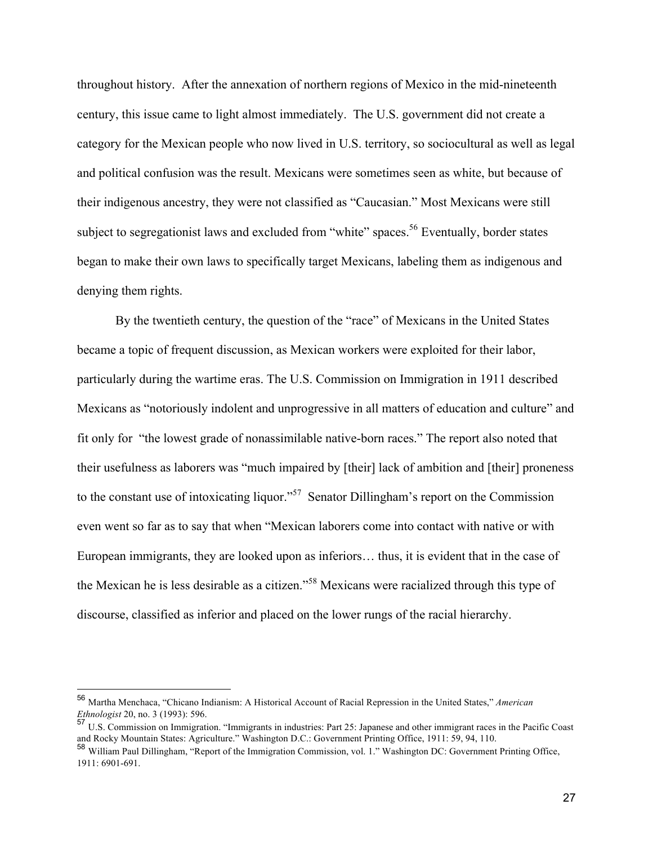throughout history. After the annexation of northern regions of Mexico in the mid-nineteenth century, this issue came to light almost immediately. The U.S. government did not create a category for the Mexican people who now lived in U.S. territory, so sociocultural as well as legal and political confusion was the result. Mexicans were sometimes seen as white, but because of their indigenous ancestry, they were not classified as "Caucasian." Most Mexicans were still subject to segregationist laws and excluded from "white" spaces.<sup>56</sup> Eventually, border states began to make their own laws to specifically target Mexicans, labeling them as indigenous and denying them rights.

By the twentieth century, the question of the "race" of Mexicans in the United States became a topic of frequent discussion, as Mexican workers were exploited for their labor, particularly during the wartime eras. The U.S. Commission on Immigration in 1911 described Mexicans as "notoriously indolent and unprogressive in all matters of education and culture" and fit only for "the lowest grade of nonassimilable native-born races." The report also noted that their usefulness as laborers was "much impaired by [their] lack of ambition and [their] proneness to the constant use of intoxicating liquor."<sup>57</sup> Senator Dillingham's report on the Commission even went so far as to say that when "Mexican laborers come into contact with native or with European immigrants, they are looked upon as inferiors… thus, it is evident that in the case of the Mexican he is less desirable as a citizen."<sup>58</sup> Mexicans were racialized through this type of discourse, classified as inferior and placed on the lower rungs of the racial hierarchy.

 <sup>56</sup> Martha Menchaca, "Chicano Indianism: A Historical Account of Racial Repression in the United States," *American Ethnologist* 20, no. 3 (1993): 596.

<sup>57</sup> U.S. Commission on Immigration. "Immigrants in industries: Part 25: Japanese and other immigrant races in the Pacific Coast and Rocky Mountain States: Agriculture." Washington D.C.: Government Printing Office, 1911: 59, 94, 110.

<sup>58</sup> William Paul Dillingham, "Report of the Immigration Commission, vol. 1." Washington DC: Government Printing Office, 1911: 6901-691.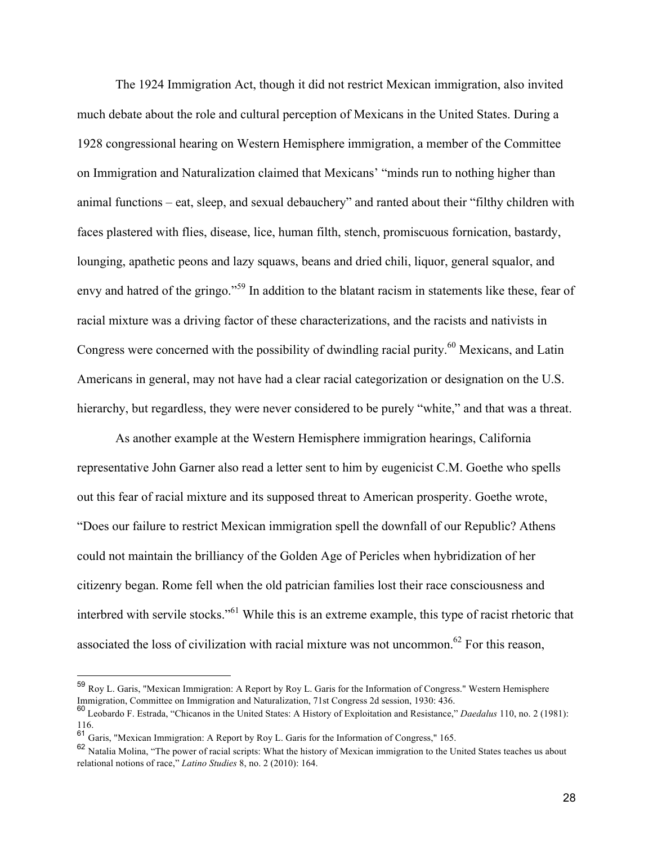The 1924 Immigration Act, though it did not restrict Mexican immigration, also invited much debate about the role and cultural perception of Mexicans in the United States. During a 1928 congressional hearing on Western Hemisphere immigration, a member of the Committee on Immigration and Naturalization claimed that Mexicans' "minds run to nothing higher than animal functions – eat, sleep, and sexual debauchery" and ranted about their "filthy children with faces plastered with flies, disease, lice, human filth, stench, promiscuous fornication, bastardy, lounging, apathetic peons and lazy squaws, beans and dried chili, liquor, general squalor, and envy and hatred of the gringo."<sup>59</sup> In addition to the blatant racism in statements like these, fear of racial mixture was a driving factor of these characterizations, and the racists and nativists in Congress were concerned with the possibility of dwindling racial purity.<sup>60</sup> Mexicans, and Latin Americans in general, may not have had a clear racial categorization or designation on the U.S. hierarchy, but regardless, they were never considered to be purely "white," and that was a threat.

As another example at the Western Hemisphere immigration hearings, California representative John Garner also read a letter sent to him by eugenicist C.M. Goethe who spells out this fear of racial mixture and its supposed threat to American prosperity. Goethe wrote, "Does our failure to restrict Mexican immigration spell the downfall of our Republic? Athens could not maintain the brilliancy of the Golden Age of Pericles when hybridization of her citizenry began. Rome fell when the old patrician families lost their race consciousness and interbred with servile stocks."<sup>61</sup> While this is an extreme example, this type of racist rhetoric that associated the loss of civilization with racial mixture was not uncommon.<sup>62</sup> For this reason,

 <sup>59</sup> Roy L. Garis, "Mexican Immigration: A Report by Roy L. Garis for the Information of Congress." Western Hemisphere Immigration, Committee on Immigration and Naturalization, 71st Congress 2d session, 1930: 436.

<sup>60</sup> Leobardo F. Estrada, "Chicanos in the United States: A History of Exploitation and Resistance," *Daedalus* 110, no. 2 (1981): 116.

 $61$  Garis, "Mexican Immigration: A Report by Roy L. Garis for the Information of Congress," 165.

<sup>62</sup> Natalia Molina, "The power of racial scripts: What the history of Mexican immigration to the United States teaches us about relational notions of race," *Latino Studies* 8, no. 2 (2010): 164.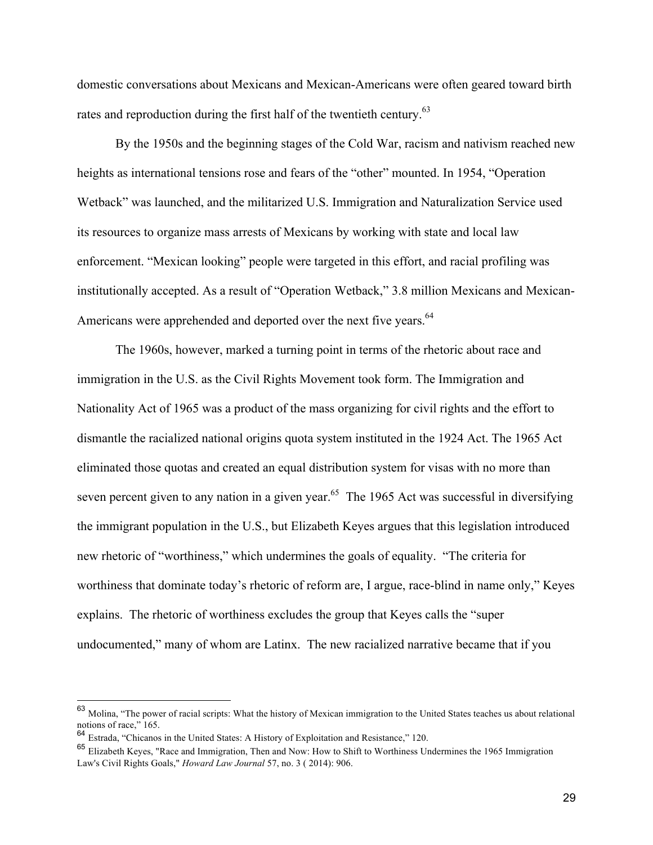domestic conversations about Mexicans and Mexican-Americans were often geared toward birth rates and reproduction during the first half of the twentieth century.<sup>63</sup>

By the 1950s and the beginning stages of the Cold War, racism and nativism reached new heights as international tensions rose and fears of the "other" mounted. In 1954, "Operation Wetback" was launched, and the militarized U.S. Immigration and Naturalization Service used its resources to organize mass arrests of Mexicans by working with state and local law enforcement. "Mexican looking" people were targeted in this effort, and racial profiling was institutionally accepted. As a result of "Operation Wetback," 3.8 million Mexicans and Mexican-Americans were apprehended and deported over the next five years.<sup>64</sup>

The 1960s, however, marked a turning point in terms of the rhetoric about race and immigration in the U.S. as the Civil Rights Movement took form. The Immigration and Nationality Act of 1965 was a product of the mass organizing for civil rights and the effort to dismantle the racialized national origins quota system instituted in the 1924 Act. The 1965 Act eliminated those quotas and created an equal distribution system for visas with no more than seven percent given to any nation in a given year.<sup>65</sup> The 1965 Act was successful in diversifying the immigrant population in the U.S., but Elizabeth Keyes argues that this legislation introduced new rhetoric of "worthiness," which undermines the goals of equality. "The criteria for worthiness that dominate today's rhetoric of reform are, I argue, race-blind in name only," Keyes explains. The rhetoric of worthiness excludes the group that Keyes calls the "super undocumented," many of whom are Latinx. The new racialized narrative became that if you

 <sup>63</sup> Molina, "The power of racial scripts: What the history of Mexican immigration to the United States teaches us about relational notions of race," 165.

<sup>64</sup> Estrada, "Chicanos in the United States: A History of Exploitation and Resistance," 120.

<sup>65</sup> Elizabeth Keyes, "Race and Immigration, Then and Now: How to Shift to Worthiness Undermines the 1965 Immigration Law's Civil Rights Goals," *Howard Law Journal* 57, no. 3 ( 2014): 906.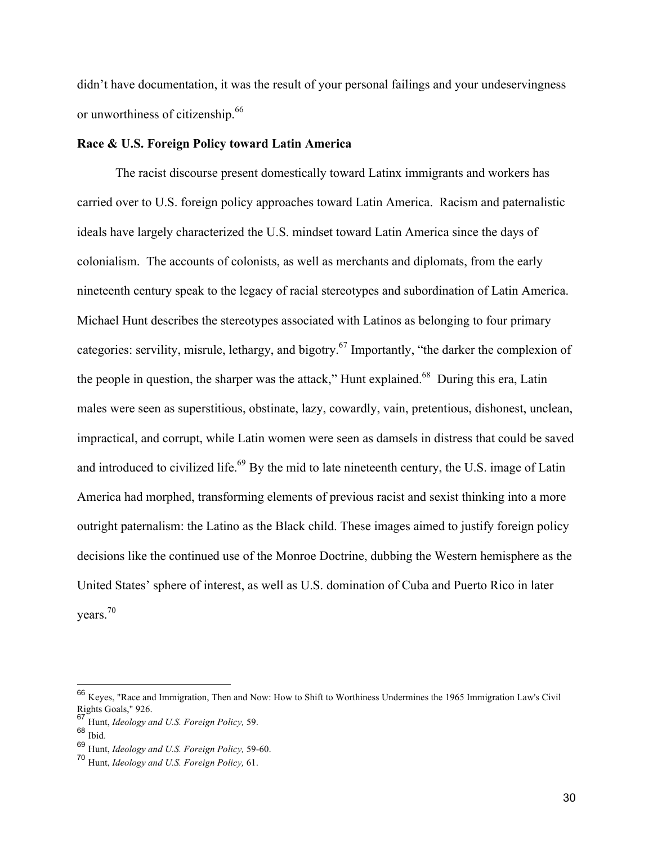didn't have documentation, it was the result of your personal failings and your undeservingness or unworthiness of citizenship.<sup>66</sup>

#### **Race & U.S. Foreign Policy toward Latin America**

The racist discourse present domestically toward Latinx immigrants and workers has carried over to U.S. foreign policy approaches toward Latin America. Racism and paternalistic ideals have largely characterized the U.S. mindset toward Latin America since the days of colonialism. The accounts of colonists, as well as merchants and diplomats, from the early nineteenth century speak to the legacy of racial stereotypes and subordination of Latin America. Michael Hunt describes the stereotypes associated with Latinos as belonging to four primary categories: servility, misrule, lethargy, and bigotry.<sup>67</sup> Importantly, "the darker the complexion of the people in question, the sharper was the attack," Hunt explained.<sup>68</sup> During this era, Latin males were seen as superstitious, obstinate, lazy, cowardly, vain, pretentious, dishonest, unclean, impractical, and corrupt, while Latin women were seen as damsels in distress that could be saved and introduced to civilized life.<sup>69</sup> By the mid to late nineteenth century, the U.S. image of Latin America had morphed, transforming elements of previous racist and sexist thinking into a more outright paternalism: the Latino as the Black child. These images aimed to justify foreign policy decisions like the continued use of the Monroe Doctrine, dubbing the Western hemisphere as the United States' sphere of interest, as well as U.S. domination of Cuba and Puerto Rico in later years.<sup>70</sup>

 <sup>66</sup> Keyes, "Race and Immigration, Then and Now: How to Shift to Worthiness Undermines the 1965 Immigration Law's Civil Rights Goals," 926.

<sup>67</sup> Hunt, *Ideology and U.S. Foreign Policy,* 59.

 $68$  Ibid.

<sup>69</sup> Hunt, *Ideology and U.S. Foreign Policy,* 59-60.

<sup>70</sup> Hunt, *Ideology and U.S. Foreign Policy,* 61.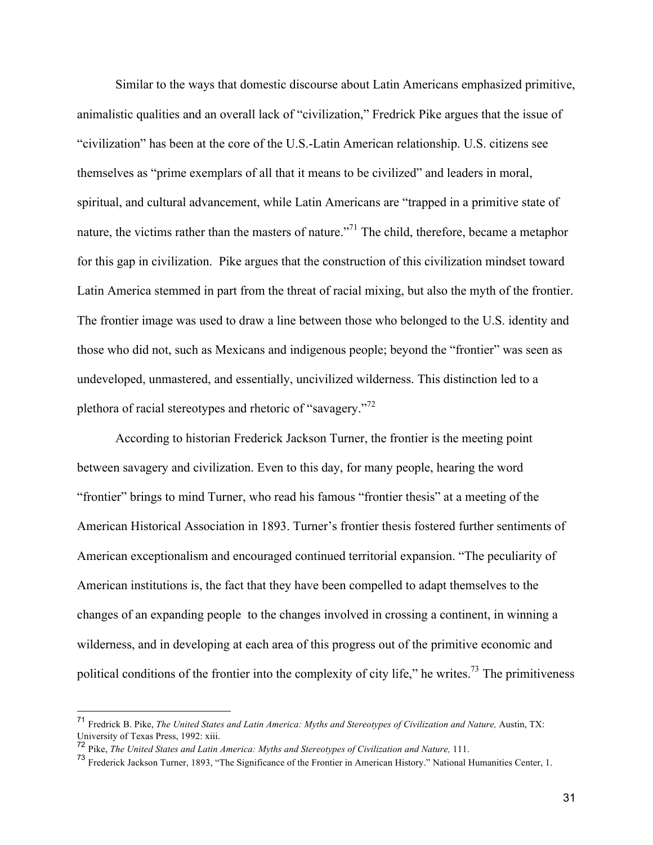Similar to the ways that domestic discourse about Latin Americans emphasized primitive, animalistic qualities and an overall lack of "civilization," Fredrick Pike argues that the issue of "civilization" has been at the core of the U.S.-Latin American relationship. U.S. citizens see themselves as "prime exemplars of all that it means to be civilized" and leaders in moral, spiritual, and cultural advancement, while Latin Americans are "trapped in a primitive state of nature, the victims rather than the masters of nature."<sup>71</sup> The child, therefore, became a metaphor for this gap in civilization. Pike argues that the construction of this civilization mindset toward Latin America stemmed in part from the threat of racial mixing, but also the myth of the frontier. The frontier image was used to draw a line between those who belonged to the U.S. identity and those who did not, such as Mexicans and indigenous people; beyond the "frontier" was seen as undeveloped, unmastered, and essentially, uncivilized wilderness. This distinction led to a plethora of racial stereotypes and rhetoric of "savagery."<sup>72</sup>

According to historian Frederick Jackson Turner, the frontier is the meeting point between savagery and civilization. Even to this day, for many people, hearing the word "frontier" brings to mind Turner, who read his famous "frontier thesis" at a meeting of the American Historical Association in 1893. Turner's frontier thesis fostered further sentiments of American exceptionalism and encouraged continued territorial expansion. "The peculiarity of American institutions is, the fact that they have been compelled to adapt themselves to the changes of an expanding people to the changes involved in crossing a continent, in winning a wilderness, and in developing at each area of this progress out of the primitive economic and political conditions of the frontier into the complexity of city life," he writes.<sup>73</sup> The primitiveness

 <sup>71</sup> Fredrick B. Pike, *The United States and Latin America: Myths and Stereotypes of Civilization and Nature,* Austin, TX: University of Texas Press, 1992: xiii.

<sup>72</sup> Pike, *The United States and Latin America: Myths and Stereotypes of Civilization and Nature,* 111.

<sup>73</sup> Frederick Jackson Turner, 1893, "The Significance of the Frontier in American History." National Humanities Center, 1.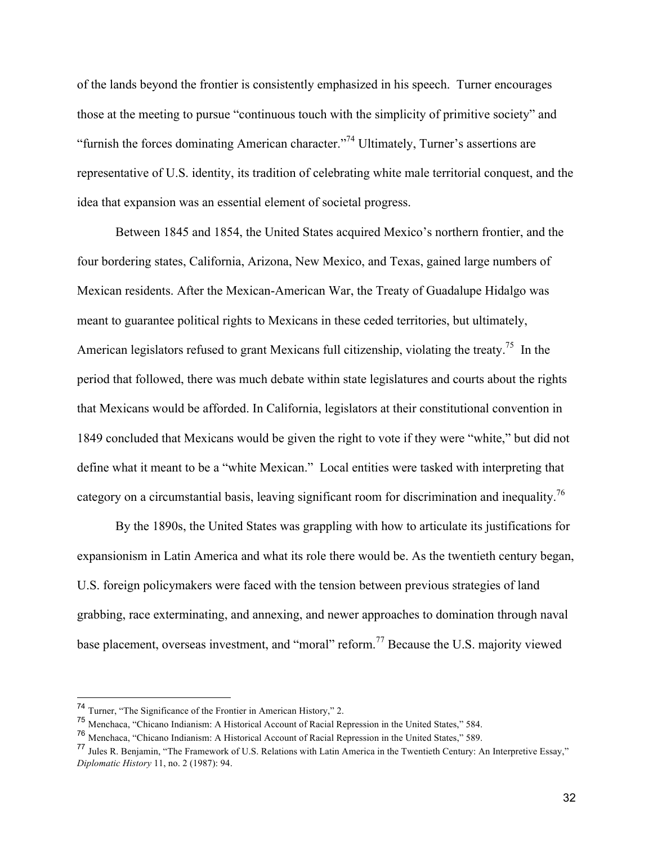of the lands beyond the frontier is consistently emphasized in his speech. Turner encourages those at the meeting to pursue "continuous touch with the simplicity of primitive society" and "furnish the forces dominating American character."74 Ultimately, Turner's assertions are representative of U.S. identity, its tradition of celebrating white male territorial conquest, and the idea that expansion was an essential element of societal progress.

Between 1845 and 1854, the United States acquired Mexico's northern frontier, and the four bordering states, California, Arizona, New Mexico, and Texas, gained large numbers of Mexican residents. After the Mexican-American War, the Treaty of Guadalupe Hidalgo was meant to guarantee political rights to Mexicans in these ceded territories, but ultimately, American legislators refused to grant Mexicans full citizenship, violating the treaty.<sup>75</sup> In the period that followed, there was much debate within state legislatures and courts about the rights that Mexicans would be afforded. In California, legislators at their constitutional convention in 1849 concluded that Mexicans would be given the right to vote if they were "white," but did not define what it meant to be a "white Mexican." Local entities were tasked with interpreting that category on a circumstantial basis, leaving significant room for discrimination and inequality.<sup>76</sup>

By the 1890s, the United States was grappling with how to articulate its justifications for expansionism in Latin America and what its role there would be. As the twentieth century began, U.S. foreign policymakers were faced with the tension between previous strategies of land grabbing, race exterminating, and annexing, and newer approaches to domination through naval base placement, overseas investment, and "moral" reform.<sup>77</sup> Because the U.S. majority viewed

 <sup>74</sup> Turner, "The Significance of the Frontier in American History," 2.

<sup>75</sup> Menchaca, "Chicano Indianism: A Historical Account of Racial Repression in the United States," 584.

<sup>76</sup> Menchaca, "Chicano Indianism: A Historical Account of Racial Repression in the United States," 589.

<sup>77</sup> Jules R. Benjamin, "The Framework of U.S. Relations with Latin America in the Twentieth Century: An Interpretive Essay," *Diplomatic History* 11, no. 2 (1987): 94.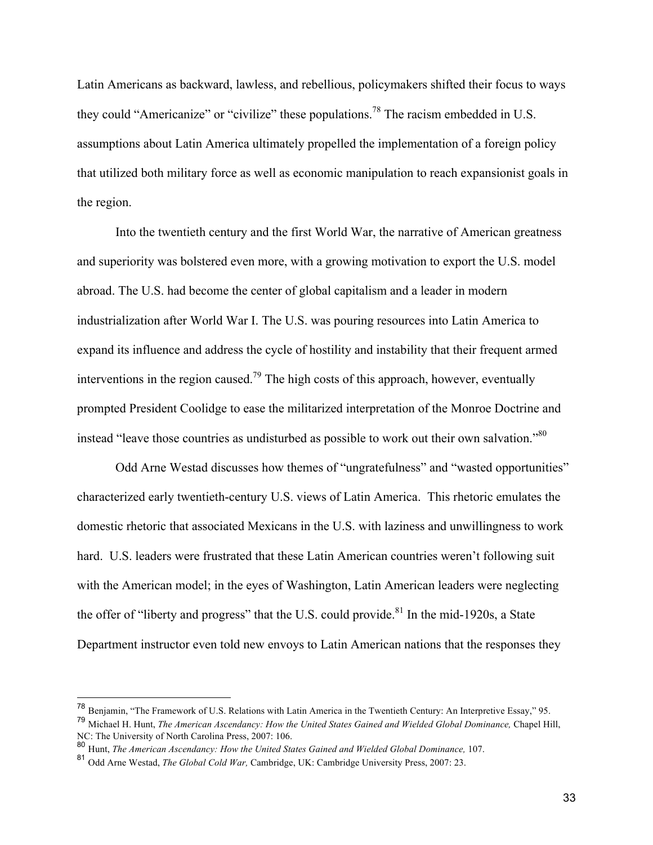Latin Americans as backward, lawless, and rebellious, policymakers shifted their focus to ways they could "Americanize" or "civilize" these populations.<sup>78</sup> The racism embedded in U.S. assumptions about Latin America ultimately propelled the implementation of a foreign policy that utilized both military force as well as economic manipulation to reach expansionist goals in the region.

Into the twentieth century and the first World War, the narrative of American greatness and superiority was bolstered even more, with a growing motivation to export the U.S. model abroad. The U.S. had become the center of global capitalism and a leader in modern industrialization after World War I. The U.S. was pouring resources into Latin America to expand its influence and address the cycle of hostility and instability that their frequent armed interventions in the region caused.<sup>79</sup> The high costs of this approach, however, eventually prompted President Coolidge to ease the militarized interpretation of the Monroe Doctrine and instead "leave those countries as undisturbed as possible to work out their own salvation."<sup>80</sup>

Odd Arne Westad discusses how themes of "ungratefulness" and "wasted opportunities" characterized early twentieth-century U.S. views of Latin America. This rhetoric emulates the domestic rhetoric that associated Mexicans in the U.S. with laziness and unwillingness to work hard. U.S. leaders were frustrated that these Latin American countries weren't following suit with the American model; in the eyes of Washington, Latin American leaders were neglecting the offer of "liberty and progress" that the U.S. could provide. $81$  In the mid-1920s, a State Department instructor even told new envoys to Latin American nations that the responses they

 <sup>78</sup> Benjamin, "The Framework of U.S. Relations with Latin America in the Twentieth Century: An Interpretive Essay," 95.

<sup>79</sup> Michael H. Hunt, *The American Ascendancy: How the United States Gained and Wielded Global Dominance,* Chapel Hill, NC: The University of North Carolina Press, 2007: 106.

<sup>80</sup> Hunt, *The American Ascendancy: How the United States Gained and Wielded Global Dominance,* 107.

<sup>81</sup> Odd Arne Westad, *The Global Cold War,* Cambridge, UK: Cambridge University Press, 2007: 23.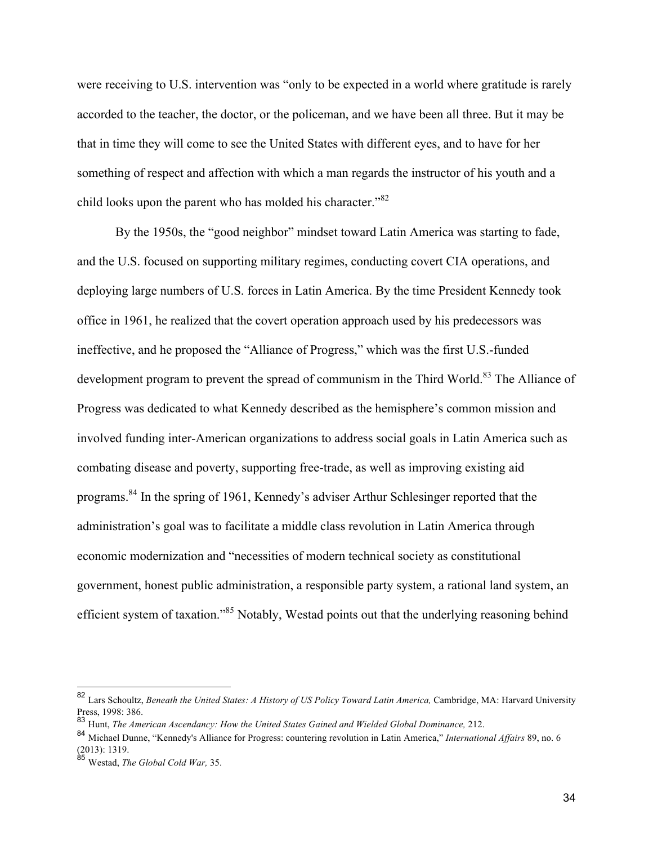were receiving to U.S. intervention was "only to be expected in a world where gratitude is rarely accorded to the teacher, the doctor, or the policeman, and we have been all three. But it may be that in time they will come to see the United States with different eyes, and to have for her something of respect and affection with which a man regards the instructor of his youth and a child looks upon the parent who has molded his character."<sup>82</sup>

By the 1950s, the "good neighbor" mindset toward Latin America was starting to fade, and the U.S. focused on supporting military regimes, conducting covert CIA operations, and deploying large numbers of U.S. forces in Latin America. By the time President Kennedy took office in 1961, he realized that the covert operation approach used by his predecessors was ineffective, and he proposed the "Alliance of Progress," which was the first U.S.-funded development program to prevent the spread of communism in the Third World.<sup>83</sup> The Alliance of Progress was dedicated to what Kennedy described as the hemisphere's common mission and involved funding inter-American organizations to address social goals in Latin America such as combating disease and poverty, supporting free-trade, as well as improving existing aid programs.84 In the spring of 1961, Kennedy's adviser Arthur Schlesinger reported that the administration's goal was to facilitate a middle class revolution in Latin America through economic modernization and "necessities of modern technical society as constitutional government, honest public administration, a responsible party system, a rational land system, an efficient system of taxation."<sup>85</sup> Notably, Westad points out that the underlying reasoning behind

 <sup>82</sup> Lars Schoultz, *Beneath the United States: A History of US Policy Toward Latin America,* Cambridge, MA: Harvard University Press, 1998: 386.

<sup>83</sup> Hunt, *The American Ascendancy: How the United States Gained and Wielded Global Dominance,* 212.

<sup>84</sup> Michael Dunne, "Kennedy's Alliance for Progress: countering revolution in Latin America," *International Affairs* 89, no. 6 (2013): 1319.

<sup>85</sup> Westad, *The Global Cold War,* 35.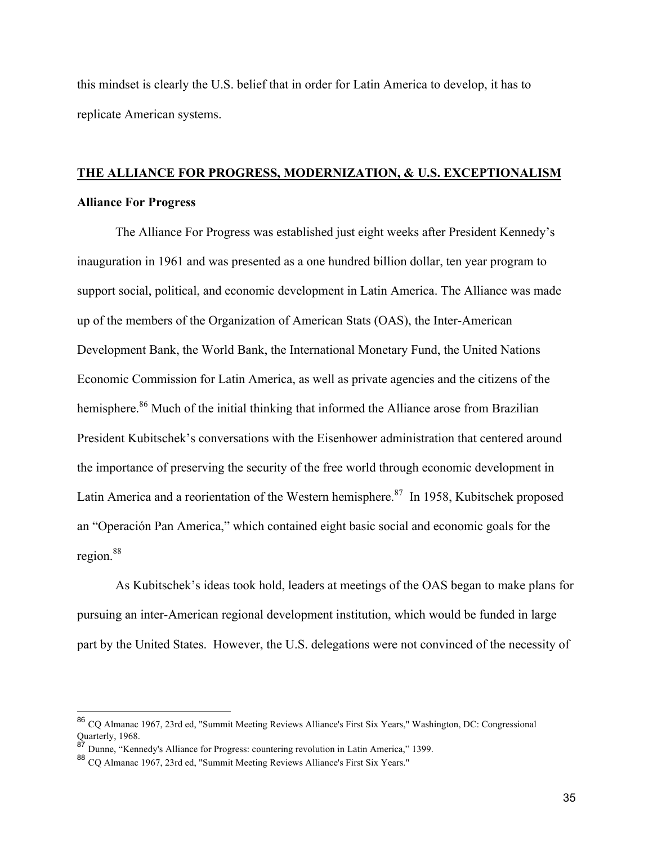this mindset is clearly the U.S. belief that in order for Latin America to develop, it has to replicate American systems.

# **THE ALLIANCE FOR PROGRESS, MODERNIZATION, & U.S. EXCEPTIONALISM Alliance For Progress**

The Alliance For Progress was established just eight weeks after President Kennedy's inauguration in 1961 and was presented as a one hundred billion dollar, ten year program to support social, political, and economic development in Latin America. The Alliance was made up of the members of the Organization of American Stats (OAS), the Inter-American Development Bank, the World Bank, the International Monetary Fund, the United Nations Economic Commission for Latin America, as well as private agencies and the citizens of the hemisphere.<sup>86</sup> Much of the initial thinking that informed the Alliance arose from Brazilian President Kubitschek's conversations with the Eisenhower administration that centered around the importance of preserving the security of the free world through economic development in Latin America and a reorientation of the Western hemisphere.<sup>87</sup> In 1958, Kubitschek proposed an "Operación Pan America," which contained eight basic social and economic goals for the region.<sup>88</sup>

As Kubitschek's ideas took hold, leaders at meetings of the OAS began to make plans for pursuing an inter-American regional development institution, which would be funded in large part by the United States. However, the U.S. delegations were not convinced of the necessity of

 <sup>86</sup> CQ Almanac 1967, 23rd ed, "Summit Meeting Reviews Alliance's First Six Years," Washington, DC: Congressional Quarterly, 1968.

 $8^7$  Dunne, "Kennedy's Alliance for Progress: countering revolution in Latin America," 1399.

<sup>88</sup> CQ Almanac 1967, 23rd ed, "Summit Meeting Reviews Alliance's First Six Years."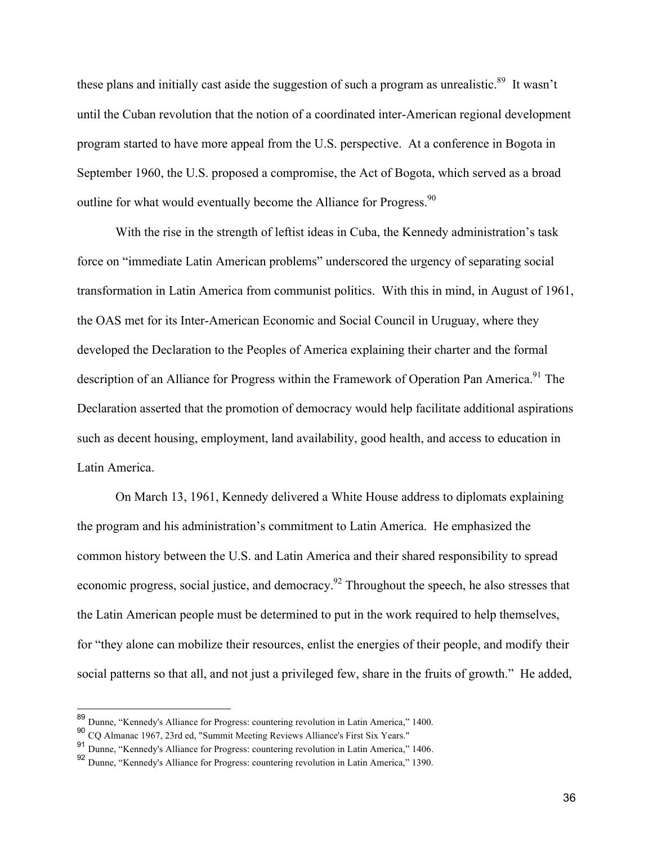these plans and initially cast aside the suggestion of such a program as unrealistic.<sup>89</sup> It wasn't until the Cuban revolution that the notion of a coordinated inter-American regional development program started to have more appeal from the U.S. perspective. At a conference in Bogota in September 1960, the U.S. proposed a compromise, the Act of Bogota, which served as a broad outline for what would eventually become the Alliance for Progress.<sup>90</sup>

With the rise in the strength of leftist ideas in Cuba, the Kennedy administration's task force on "immediate Latin American problems" underscored the urgency of separating social transformation in Latin America from communist politics. With this in mind, in August of 1961, the OAS met for its Inter-American Economic and Social Council in Uruguay, where they developed the Declaration to the Peoples of America explaining their charter and the formal description of an Alliance for Progress within the Framework of Operation Pan America.<sup>91</sup> The Declaration asserted that the promotion of democracy would help facilitate additional aspirations such as decent housing, employment, land availability, good health, and access to education in Latin America.

On March 13, 1961, Kennedy delivered a White House address to diplomats explaining the program and his administration's commitment to Latin America. He emphasized the common history between the U.S. and Latin America and their shared responsibility to spread economic progress, social justice, and democracy.<sup>92</sup> Throughout the speech, he also stresses that the Latin American people must be determined to put in the work required to help themselves, for "they alone can mobilize their resources, enlist the energies of their people, and modify their social patterns so that all, and not just a privileged few, share in the fruits of growth." He added,

 <sup>89</sup> Dunne, "Kennedy's Alliance for Progress: countering revolution in Latin America," 1400.

<sup>90</sup> CQ Almanac 1967, 23rd ed, "Summit Meeting Reviews Alliance's First Six Years."

<sup>91</sup> Dunne, "Kennedy's Alliance for Progress: countering revolution in Latin America," 1406.

<sup>92</sup> Dunne, "Kennedy's Alliance for Progress: countering revolution in Latin America," 1390.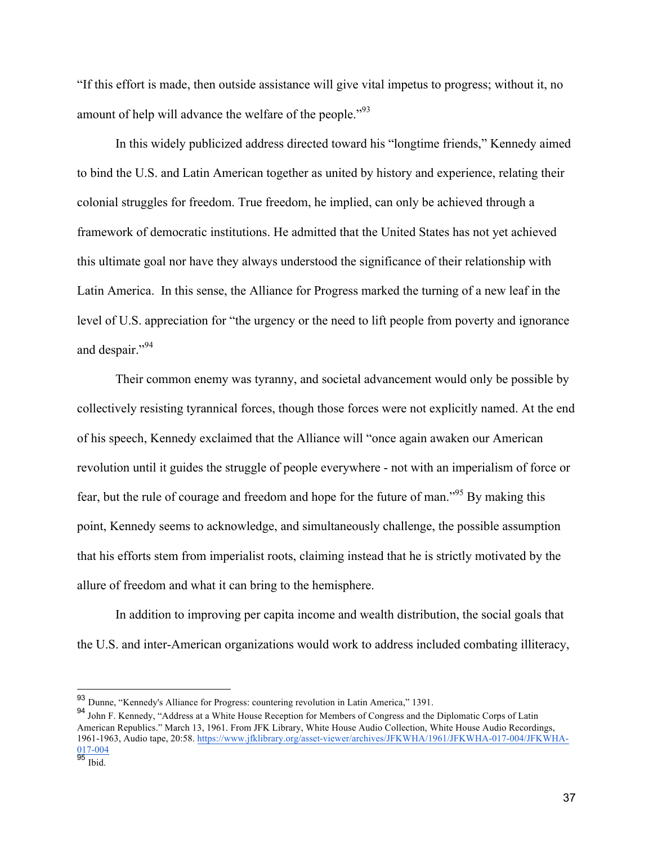"If this effort is made, then outside assistance will give vital impetus to progress; without it, no amount of help will advance the welfare of the people."<sup>93</sup>

In this widely publicized address directed toward his "longtime friends," Kennedy aimed to bind the U.S. and Latin American together as united by history and experience, relating their colonial struggles for freedom. True freedom, he implied, can only be achieved through a framework of democratic institutions. He admitted that the United States has not yet achieved this ultimate goal nor have they always understood the significance of their relationship with Latin America. In this sense, the Alliance for Progress marked the turning of a new leaf in the level of U.S. appreciation for "the urgency or the need to lift people from poverty and ignorance and despair."<sup>94</sup>

Their common enemy was tyranny, and societal advancement would only be possible by collectively resisting tyrannical forces, though those forces were not explicitly named. At the end of his speech, Kennedy exclaimed that the Alliance will "once again awaken our American revolution until it guides the struggle of people everywhere - not with an imperialism of force or fear, but the rule of courage and freedom and hope for the future of man."95 By making this point, Kennedy seems to acknowledge, and simultaneously challenge, the possible assumption that his efforts stem from imperialist roots, claiming instead that he is strictly motivated by the allure of freedom and what it can bring to the hemisphere.

In addition to improving per capita income and wealth distribution, the social goals that the U.S. and inter-American organizations would work to address included combating illiteracy,

 <sup>93</sup> Dunne, "Kennedy's Alliance for Progress: countering revolution in Latin America," 1391.

<sup>94</sup> John F. Kennedy, "Address at a White House Reception for Members of Congress and the Diplomatic Corps of Latin American Republics." March 13, 1961. From JFK Library, White House Audio Collection, White House Audio Recordings, 1961-1963, Audio tape, 20:58. https://www.jfklibrary.org/asset-viewer/archives/JFKWHA/1961/JFKWHA-017-004/JFKWHA-017-004

<sup>&</sup>lt;sup>95</sup> Ibid.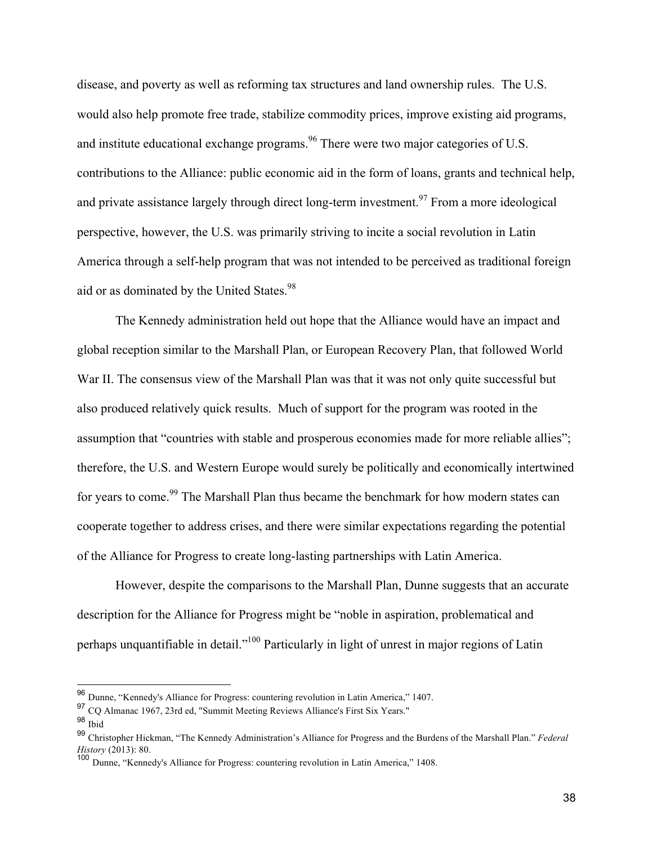disease, and poverty as well as reforming tax structures and land ownership rules. The U.S. would also help promote free trade, stabilize commodity prices, improve existing aid programs, and institute educational exchange programs.<sup>96</sup> There were two major categories of U.S. contributions to the Alliance: public economic aid in the form of loans, grants and technical help, and private assistance largely through direct long-term investment.<sup>97</sup> From a more ideological perspective, however, the U.S. was primarily striving to incite a social revolution in Latin America through a self-help program that was not intended to be perceived as traditional foreign aid or as dominated by the United States.<sup>98</sup>

The Kennedy administration held out hope that the Alliance would have an impact and global reception similar to the Marshall Plan, or European Recovery Plan, that followed World War II. The consensus view of the Marshall Plan was that it was not only quite successful but also produced relatively quick results. Much of support for the program was rooted in the assumption that "countries with stable and prosperous economies made for more reliable allies"; therefore, the U.S. and Western Europe would surely be politically and economically intertwined for years to come.<sup>99</sup> The Marshall Plan thus became the benchmark for how modern states can cooperate together to address crises, and there were similar expectations regarding the potential of the Alliance for Progress to create long-lasting partnerships with Latin America.

However, despite the comparisons to the Marshall Plan, Dunne suggests that an accurate description for the Alliance for Progress might be "noble in aspiration, problematical and perhaps unquantifiable in detail."100 Particularly in light of unrest in major regions of Latin

 <sup>96</sup> Dunne, "Kennedy's Alliance for Progress: countering revolution in Latin America," 1407.

<sup>97</sup> CQ Almanac 1967, 23rd ed, "Summit Meeting Reviews Alliance's First Six Years."

<sup>98</sup> Ibid

<sup>99</sup> Christopher Hickman, "The Kennedy Administration's Alliance for Progress and the Burdens of the Marshall Plan." *Federal History* (2013): 80.

<sup>100</sup> Dunne, "Kennedy's Alliance for Progress: countering revolution in Latin America," 1408.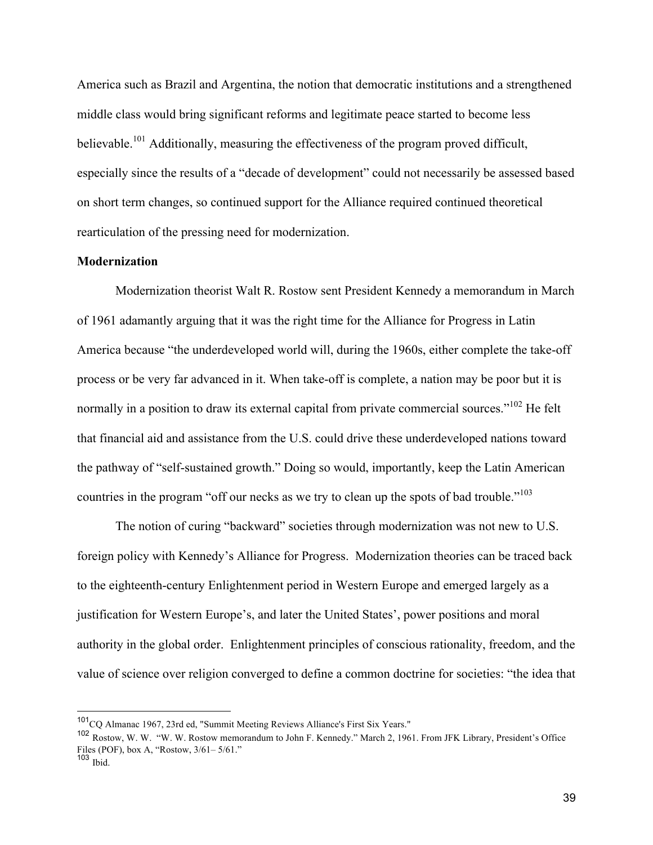America such as Brazil and Argentina, the notion that democratic institutions and a strengthened middle class would bring significant reforms and legitimate peace started to become less believable.<sup>101</sup> Additionally, measuring the effectiveness of the program proved difficult, especially since the results of a "decade of development" could not necessarily be assessed based on short term changes, so continued support for the Alliance required continued theoretical rearticulation of the pressing need for modernization.

# **Modernization**

Modernization theorist Walt R. Rostow sent President Kennedy a memorandum in March of 1961 adamantly arguing that it was the right time for the Alliance for Progress in Latin America because "the underdeveloped world will, during the 1960s, either complete the take-off process or be very far advanced in it. When take-off is complete, a nation may be poor but it is normally in a position to draw its external capital from private commercial sources."<sup>102</sup> He felt that financial aid and assistance from the U.S. could drive these underdeveloped nations toward the pathway of "self-sustained growth." Doing so would, importantly, keep the Latin American countries in the program "off our necks as we try to clean up the spots of bad trouble."<sup>103</sup>

The notion of curing "backward" societies through modernization was not new to U.S. foreign policy with Kennedy's Alliance for Progress. Modernization theories can be traced back to the eighteenth-century Enlightenment period in Western Europe and emerged largely as a justification for Western Europe's, and later the United States', power positions and moral authority in the global order. Enlightenment principles of conscious rationality, freedom, and the value of science over religion converged to define a common doctrine for societies: "the idea that

 <sup>101</sup>CQ Almanac 1967, 23rd ed, "Summit Meeting Reviews Alliance's First Six Years."

<sup>102</sup> Rostow, W. W. "W. W. Rostow memorandum to John F. Kennedy." March 2, 1961. From JFK Library, President's Office Files (POF), box A, "Rostow, 3/61– 5/61."

 $103$  Ibid.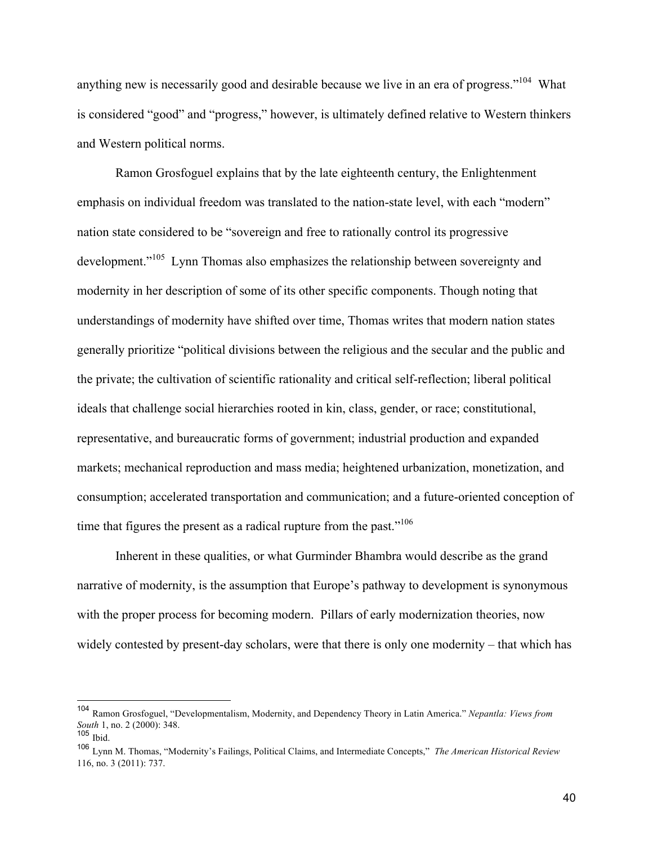anything new is necessarily good and desirable because we live in an era of progress."<sup>104</sup> What is considered "good" and "progress," however, is ultimately defined relative to Western thinkers and Western political norms.

Ramon Grosfoguel explains that by the late eighteenth century, the Enlightenment emphasis on individual freedom was translated to the nation-state level, with each "modern" nation state considered to be "sovereign and free to rationally control its progressive development."<sup>105</sup> Lynn Thomas also emphasizes the relationship between sovereignty and modernity in her description of some of its other specific components. Though noting that understandings of modernity have shifted over time, Thomas writes that modern nation states generally prioritize "political divisions between the religious and the secular and the public and the private; the cultivation of scientific rationality and critical self-reflection; liberal political ideals that challenge social hierarchies rooted in kin, class, gender, or race; constitutional, representative, and bureaucratic forms of government; industrial production and expanded markets; mechanical reproduction and mass media; heightened urbanization, monetization, and consumption; accelerated transportation and communication; and a future-oriented conception of time that figures the present as a radical rupture from the past."<sup>106</sup>

Inherent in these qualities, or what Gurminder Bhambra would describe as the grand narrative of modernity, is the assumption that Europe's pathway to development is synonymous with the proper process for becoming modern. Pillars of early modernization theories, now widely contested by present-day scholars, were that there is only one modernity – that which has

 <sup>104</sup> Ramon Grosfoguel, "Developmentalism, Modernity, and Dependency Theory in Latin America." *Nepantla: Views from South* 1, no. 2 (2000): 348.

 $105$  Ibid.

<sup>106</sup> Lynn M. Thomas, "Modernity's Failings, Political Claims, and Intermediate Concepts," *The American Historical Review*  116, no. 3 (2011): 737.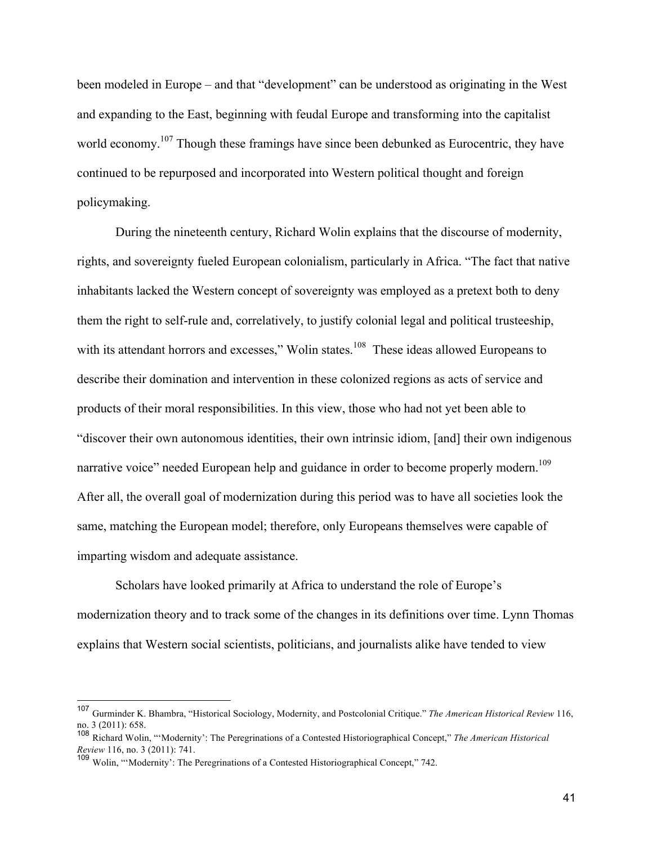been modeled in Europe – and that "development" can be understood as originating in the West and expanding to the East, beginning with feudal Europe and transforming into the capitalist world economy.<sup>107</sup> Though these framings have since been debunked as Eurocentric, they have continued to be repurposed and incorporated into Western political thought and foreign policymaking.

During the nineteenth century, Richard Wolin explains that the discourse of modernity, rights, and sovereignty fueled European colonialism, particularly in Africa. "The fact that native inhabitants lacked the Western concept of sovereignty was employed as a pretext both to deny them the right to self-rule and, correlatively, to justify colonial legal and political trusteeship, with its attendant horrors and excesses," Wolin states.<sup>108</sup> These ideas allowed Europeans to describe their domination and intervention in these colonized regions as acts of service and products of their moral responsibilities. In this view, those who had not yet been able to "discover their own autonomous identities, their own intrinsic idiom, [and] their own indigenous narrative voice" needed European help and guidance in order to become properly modern.<sup>109</sup> After all, the overall goal of modernization during this period was to have all societies look the same, matching the European model; therefore, only Europeans themselves were capable of imparting wisdom and adequate assistance.

Scholars have looked primarily at Africa to understand the role of Europe's modernization theory and to track some of the changes in its definitions over time. Lynn Thomas explains that Western social scientists, politicians, and journalists alike have tended to view

 <sup>107</sup> Gurminder K. Bhambra, "Historical Sociology, Modernity, and Postcolonial Critique." *The American Historical Review* 116, no. 3 (2011): 658.

<sup>108</sup> Richard Wolin, "'Modernity': The Peregrinations of a Contested Historiographical Concept," *The American Historical Review* 116, no. 3 (2011): 741.

<sup>&</sup>lt;sup>109</sup> Wolin, "'Modernity': The Peregrinations of a Contested Historiographical Concept," 742.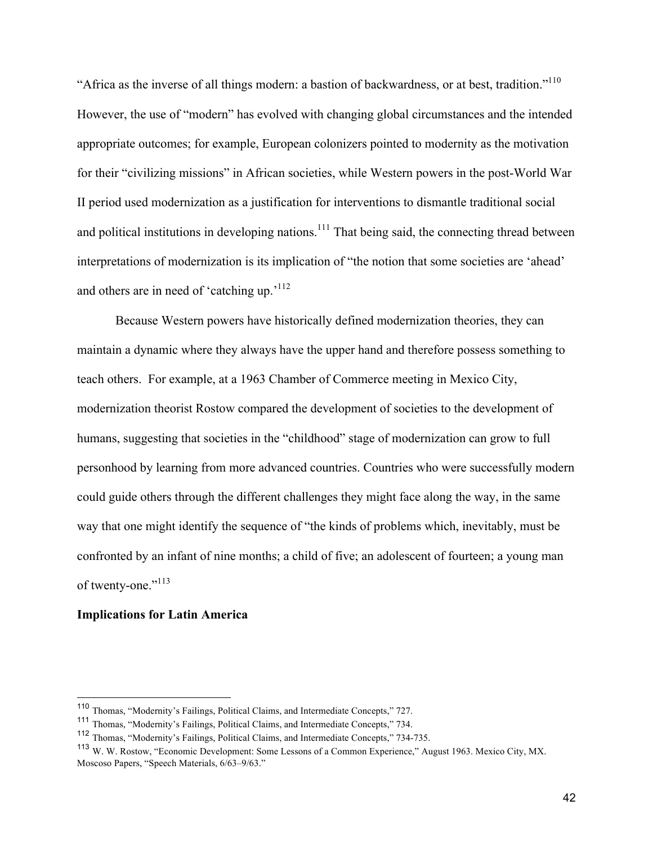"Africa as the inverse of all things modern: a bastion of backwardness, or at best, tradition."110 However, the use of "modern" has evolved with changing global circumstances and the intended appropriate outcomes; for example, European colonizers pointed to modernity as the motivation for their "civilizing missions" in African societies, while Western powers in the post-World War II period used modernization as a justification for interventions to dismantle traditional social and political institutions in developing nations.<sup>111</sup> That being said, the connecting thread between interpretations of modernization is its implication of "the notion that some societies are 'ahead' and others are in need of 'catching up.'<sup>112</sup>

Because Western powers have historically defined modernization theories, they can maintain a dynamic where they always have the upper hand and therefore possess something to teach others. For example, at a 1963 Chamber of Commerce meeting in Mexico City, modernization theorist Rostow compared the development of societies to the development of humans, suggesting that societies in the "childhood" stage of modernization can grow to full personhood by learning from more advanced countries. Countries who were successfully modern could guide others through the different challenges they might face along the way, in the same way that one might identify the sequence of "the kinds of problems which, inevitably, must be confronted by an infant of nine months; a child of five; an adolescent of fourteen; a young man of twenty-one."<sup>113</sup>

## **Implications for Latin America**

 <sup>110</sup> Thomas, "Modernity's Failings, Political Claims, and Intermediate Concepts," 727.

<sup>111</sup> Thomas, "Modernity's Failings, Political Claims, and Intermediate Concepts," 734.

<sup>112</sup> Thomas, "Modernity's Failings, Political Claims, and Intermediate Concepts," 734-735.

<sup>113</sup> W. W. Rostow, "Economic Development: Some Lessons of a Common Experience," August 1963. Mexico City, MX. Moscoso Papers, "Speech Materials, 6/63–9/63."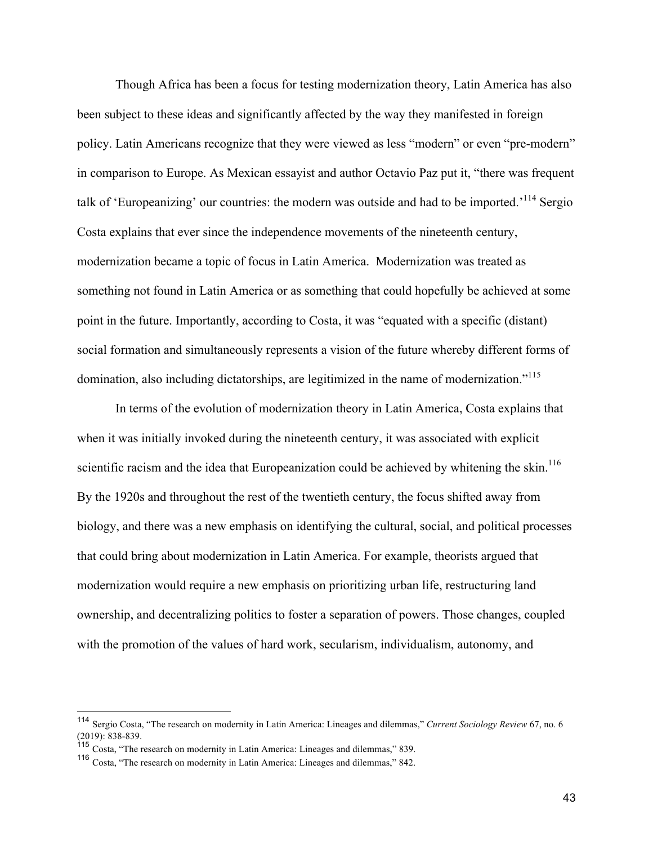Though Africa has been a focus for testing modernization theory, Latin America has also been subject to these ideas and significantly affected by the way they manifested in foreign policy. Latin Americans recognize that they were viewed as less "modern" or even "pre-modern" in comparison to Europe. As Mexican essayist and author Octavio Paz put it, "there was frequent talk of 'Europeanizing' our countries: the modern was outside and had to be imported.'<sup>114</sup> Sergio Costa explains that ever since the independence movements of the nineteenth century, modernization became a topic of focus in Latin America. Modernization was treated as something not found in Latin America or as something that could hopefully be achieved at some point in the future. Importantly, according to Costa, it was "equated with a specific (distant) social formation and simultaneously represents a vision of the future whereby different forms of domination, also including dictatorships, are legitimized in the name of modernization."<sup>115</sup>

In terms of the evolution of modernization theory in Latin America, Costa explains that when it was initially invoked during the nineteenth century, it was associated with explicit scientific racism and the idea that Europeanization could be achieved by whitening the skin.<sup>116</sup> By the 1920s and throughout the rest of the twentieth century, the focus shifted away from biology, and there was a new emphasis on identifying the cultural, social, and political processes that could bring about modernization in Latin America. For example, theorists argued that modernization would require a new emphasis on prioritizing urban life, restructuring land ownership, and decentralizing politics to foster a separation of powers. Those changes, coupled with the promotion of the values of hard work, secularism, individualism, autonomy, and

 <sup>114</sup> Sergio Costa, "The research on modernity in Latin America: Lineages and dilemmas," *Current Sociology Review* 67, no. 6 (2019): 838-839.

<sup>115</sup> Costa, "The research on modernity in Latin America: Lineages and dilemmas," 839.

<sup>116</sup> Costa, "The research on modernity in Latin America: Lineages and dilemmas," 842.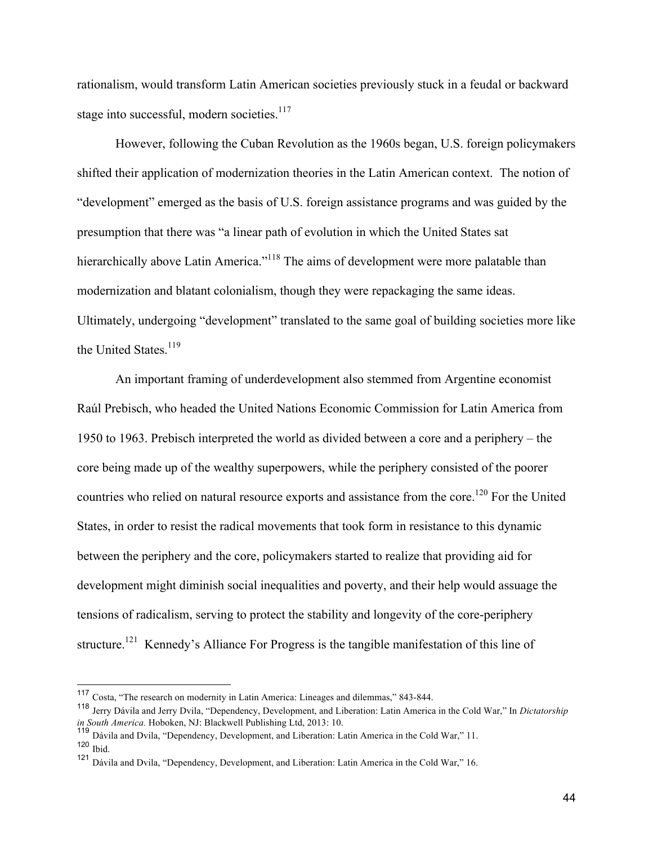rationalism, would transform Latin American societies previously stuck in a feudal or backward stage into successful, modern societies.<sup>117</sup>

However, following the Cuban Revolution as the 1960s began, U.S. foreign policymakers shifted their application of modernization theories in the Latin American context. The notion of "development" emerged as the basis of U.S. foreign assistance programs and was guided by the presumption that there was "a linear path of evolution in which the United States sat hierarchically above Latin America."<sup>118</sup> The aims of development were more palatable than modernization and blatant colonialism, though they were repackaging the same ideas. Ultimately, undergoing "development" translated to the same goal of building societies more like the United States.<sup>119</sup>

An important framing of underdevelopment also stemmed from Argentine economist Raúl Prebisch, who headed the United Nations Economic Commission for Latin America from 1950 to 1963. Prebisch interpreted the world as divided between a core and a periphery – the core being made up of the wealthy superpowers, while the periphery consisted of the poorer countries who relied on natural resource exports and assistance from the core.<sup>120</sup> For the United States, in order to resist the radical movements that took form in resistance to this dynamic between the periphery and the core, policymakers started to realize that providing aid for development might diminish social inequalities and poverty, and their help would assuage the tensions of radicalism, serving to protect the stability and longevity of the core-periphery structure.<sup>121</sup> Kennedy's Alliance For Progress is the tangible manifestation of this line of

 <sup>117</sup> Costa, "The research on modernity in Latin America: Lineages and dilemmas," 843-844.

<sup>118</sup> Jerry Dávila and Jerry Dvila, "Dependency, Development, and Liberation: Latin America in the Cold War," In *Dictatorship in South America.* Hoboken, NJ: Blackwell Publishing Ltd, 2013: 10.

<sup>119</sup> Dávila and Dvila, "Dependency, Development, and Liberation: Latin America in the Cold War," 11.  $120$  Ibid.

<sup>121</sup> Dávila and Dvila, "Dependency, Development, and Liberation: Latin America in the Cold War," 16.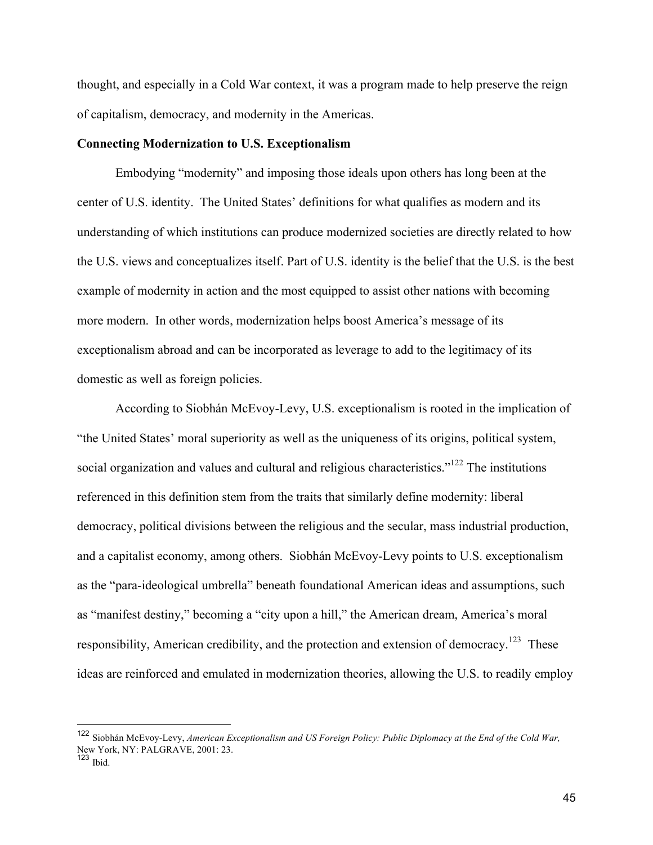thought, and especially in a Cold War context, it was a program made to help preserve the reign of capitalism, democracy, and modernity in the Americas.

## **Connecting Modernization to U.S. Exceptionalism**

Embodying "modernity" and imposing those ideals upon others has long been at the center of U.S. identity. The United States' definitions for what qualifies as modern and its understanding of which institutions can produce modernized societies are directly related to how the U.S. views and conceptualizes itself. Part of U.S. identity is the belief that the U.S. is the best example of modernity in action and the most equipped to assist other nations with becoming more modern. In other words, modernization helps boost America's message of its exceptionalism abroad and can be incorporated as leverage to add to the legitimacy of its domestic as well as foreign policies.

According to Siobhán McEvoy-Levy, U.S. exceptionalism is rooted in the implication of "the United States' moral superiority as well as the uniqueness of its origins, political system, social organization and values and cultural and religious characteristics."<sup>122</sup> The institutions referenced in this definition stem from the traits that similarly define modernity: liberal democracy, political divisions between the religious and the secular, mass industrial production, and a capitalist economy, among others. Siobhán McEvoy-Levy points to U.S. exceptionalism as the "para-ideological umbrella" beneath foundational American ideas and assumptions, such as "manifest destiny," becoming a "city upon a hill," the American dream, America's moral responsibility, American credibility, and the protection and extension of democracy.<sup>123</sup> These ideas are reinforced and emulated in modernization theories, allowing the U.S. to readily employ

 <sup>122</sup> Siobhán McEvoy-Levy, *American Exceptionalism and US Foreign Policy: Public Diplomacy at the End of the Cold War,*  New York, NY: PALGRAVE, 2001: 23.

 $123$  Ibid.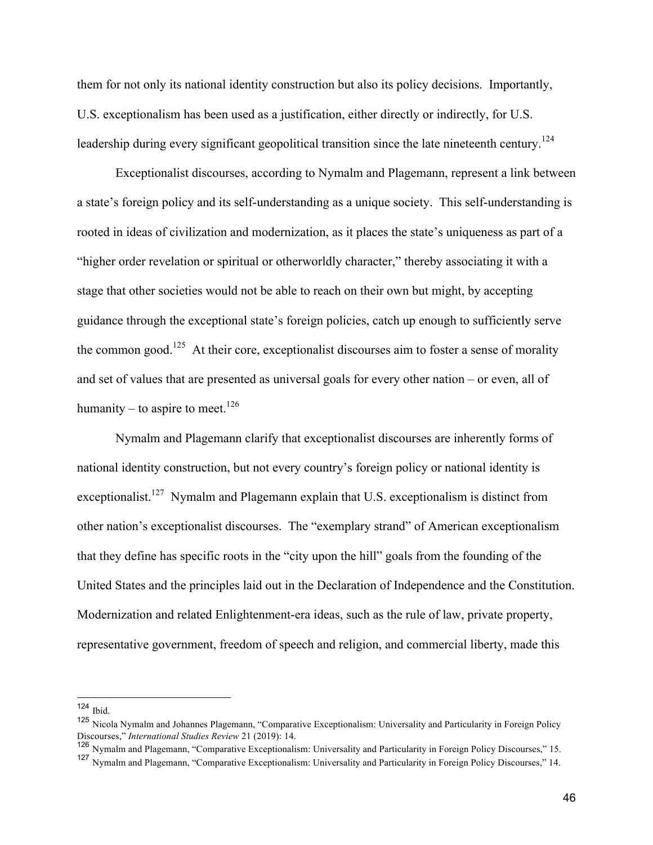them for not only its national identity construction but also its policy decisions. Importantly, U.S. exceptionalism has been used as a justification, either directly or indirectly, for U.S. leadership during every significant geopolitical transition since the late nineteenth century.<sup>124</sup>

Exceptionalist discourses, according to Nymalm and Plagemann, represent a link between a state's foreign policy and its self-understanding as a unique society. This self-understanding is rooted in ideas of civilization and modernization, as it places the state's uniqueness as part of a "higher order revelation or spiritual or otherworldly character," thereby associating it with a stage that other societies would not be able to reach on their own but might, by accepting guidance through the exceptional state's foreign policies, catch up enough to sufficiently serve the common good.<sup>125</sup> At their core, exceptionalist discourses aim to foster a sense of morality and set of values that are presented as universal goals for every other nation – or even, all of humanity – to aspire to meet.<sup>126</sup>

Nymalm and Plagemann clarify that exceptionalist discourses are inherently forms of national identity construction, but not every country's foreign policy or national identity is exceptionalist.<sup>127</sup> Nymalm and Plagemann explain that U.S. exceptionalism is distinct from other nation's exceptionalist discourses. The "exemplary strand" of American exceptionalism that they define has specific roots in the "city upon the hill" goals from the founding of the United States and the principles laid out in the Declaration of Independence and the Constitution. Modernization and related Enlightenment-era ideas, such as the rule of law, private property, representative government, freedom of speech and religion, and commercial liberty, made this

 <sup>124</sup> Ibid.

<sup>125</sup> Nicola Nymalm and Johannes Plagemann, "Comparative Exceptionalism: Universality and Particularity in Foreign Policy Discourses," *International Studies Review* 21 (2019): 14.

<sup>126</sup> Nymalm and Plagemann, "Comparative Exceptionalism: Universality and Particularity in Foreign Policy Discourses," 15.

<sup>127</sup> Nymalm and Plagemann, "Comparative Exceptionalism: Universality and Particularity in Foreign Policy Discourses," 14.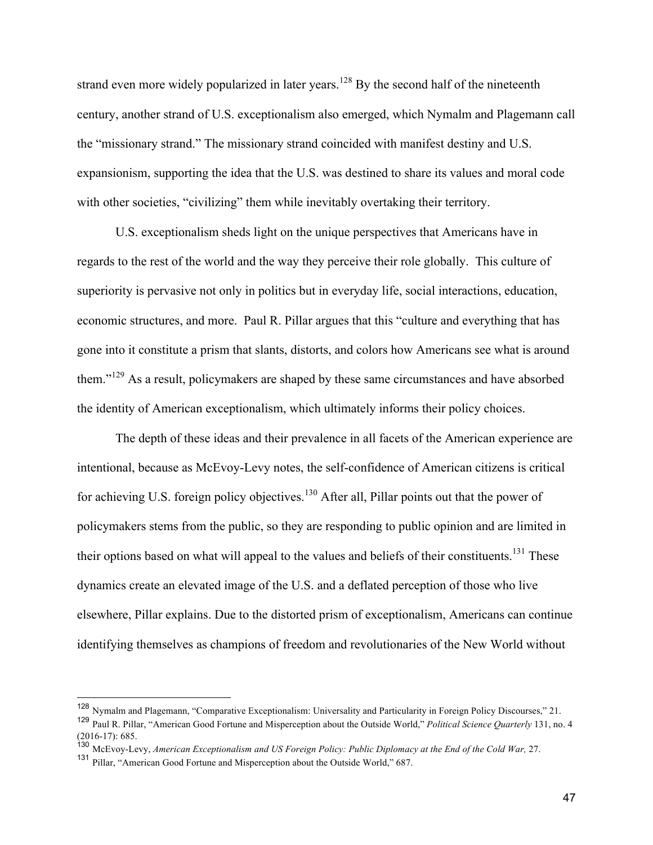strand even more widely popularized in later years.<sup>128</sup> By the second half of the nineteenth century, another strand of U.S. exceptionalism also emerged, which Nymalm and Plagemann call the "missionary strand." The missionary strand coincided with manifest destiny and U.S. expansionism, supporting the idea that the U.S. was destined to share its values and moral code with other societies, "civilizing" them while inevitably overtaking their territory.

U.S. exceptionalism sheds light on the unique perspectives that Americans have in regards to the rest of the world and the way they perceive their role globally. This culture of superiority is pervasive not only in politics but in everyday life, social interactions, education, economic structures, and more. Paul R. Pillar argues that this "culture and everything that has gone into it constitute a prism that slants, distorts, and colors how Americans see what is around them."<sup>129</sup> As a result, policymakers are shaped by these same circumstances and have absorbed the identity of American exceptionalism, which ultimately informs their policy choices.

The depth of these ideas and their prevalence in all facets of the American experience are intentional, because as McEvoy-Levy notes, the self-confidence of American citizens is critical for achieving U.S. foreign policy objectives.<sup>130</sup> After all, Pillar points out that the power of policymakers stems from the public, so they are responding to public opinion and are limited in their options based on what will appeal to the values and beliefs of their constituents.<sup>131</sup> These dynamics create an elevated image of the U.S. and a deflated perception of those who live elsewhere, Pillar explains. Due to the distorted prism of exceptionalism, Americans can continue identifying themselves as champions of freedom and revolutionaries of the New World without

 <sup>128</sup> Nymalm and Plagemann, "Comparative Exceptionalism: Universality and Particularity in Foreign Policy Discourses," 21.

<sup>129</sup> Paul R. Pillar, "American Good Fortune and Misperception about the Outside World," *Political Science Quarterly* 131, no. 4 (2016-17): 685.

<sup>130</sup> McEvoy-Levy, *American Exceptionalism and US Foreign Policy: Public Diplomacy at the End of the Cold War,* 27.

<sup>131</sup> Pillar, "American Good Fortune and Misperception about the Outside World," 687.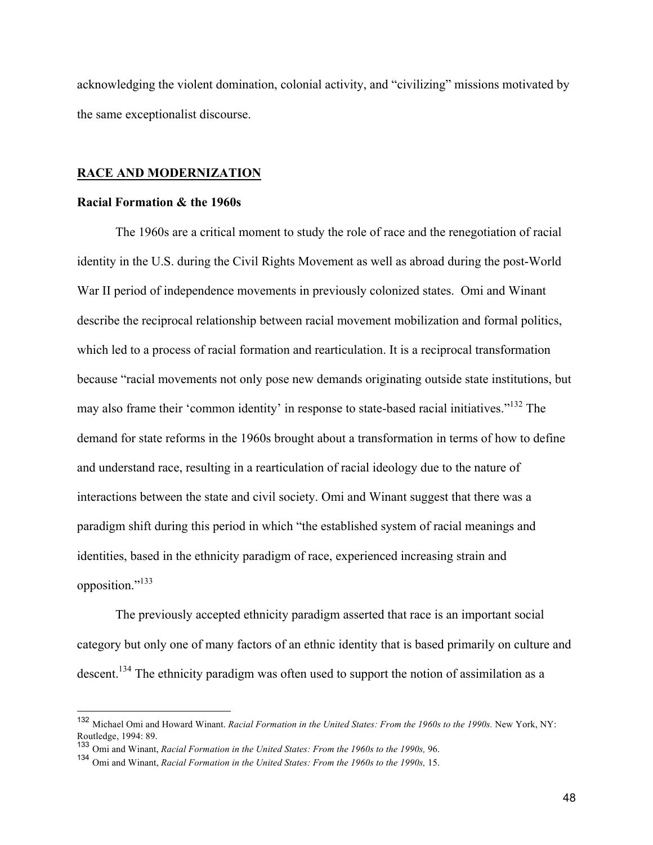acknowledging the violent domination, colonial activity, and "civilizing" missions motivated by the same exceptionalist discourse.

## **RACE AND MODERNIZATION**

#### **Racial Formation & the 1960s**

The 1960s are a critical moment to study the role of race and the renegotiation of racial identity in the U.S. during the Civil Rights Movement as well as abroad during the post-World War II period of independence movements in previously colonized states. Omi and Winant describe the reciprocal relationship between racial movement mobilization and formal politics, which led to a process of racial formation and rearticulation. It is a reciprocal transformation because "racial movements not only pose new demands originating outside state institutions, but may also frame their 'common identity' in response to state-based racial initiatives."<sup>132</sup> The demand for state reforms in the 1960s brought about a transformation in terms of how to define and understand race, resulting in a rearticulation of racial ideology due to the nature of interactions between the state and civil society. Omi and Winant suggest that there was a paradigm shift during this period in which "the established system of racial meanings and identities, based in the ethnicity paradigm of race, experienced increasing strain and opposition."<sup>133</sup>

The previously accepted ethnicity paradigm asserted that race is an important social category but only one of many factors of an ethnic identity that is based primarily on culture and descent.<sup>134</sup> The ethnicity paradigm was often used to support the notion of assimilation as a

 <sup>132</sup> Michael Omi and Howard Winant. *Racial Formation in the United States: From the 1960s to the 1990s.* New York, NY: Routledge, 1994: 89.

<sup>133</sup> Omi and Winant, *Racial Formation in the United States: From the 1960s to the 1990s,* 96.

<sup>134</sup> Omi and Winant, *Racial Formation in the United States: From the 1960s to the 1990s,* 15.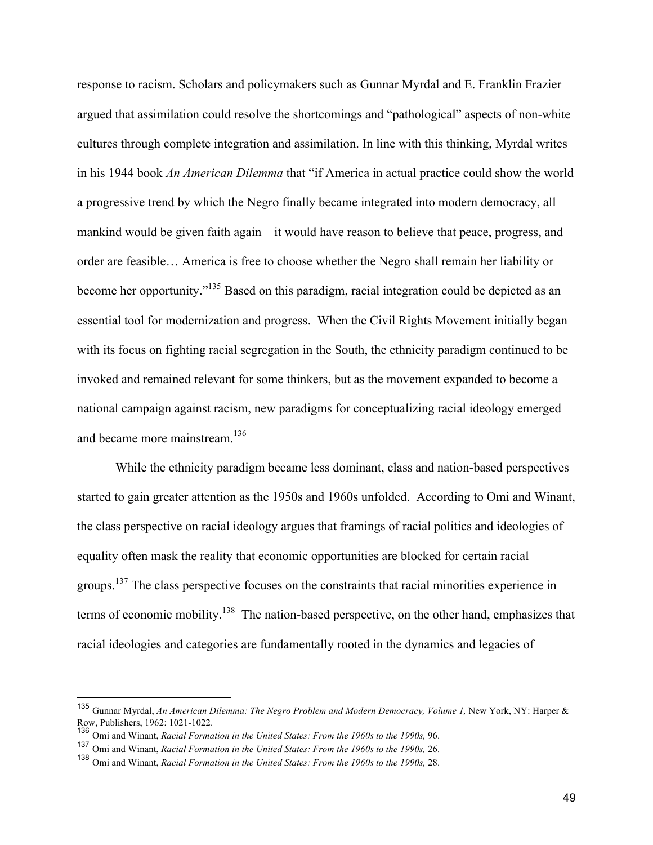response to racism. Scholars and policymakers such as Gunnar Myrdal and E. Franklin Frazier argued that assimilation could resolve the shortcomings and "pathological" aspects of non-white cultures through complete integration and assimilation. In line with this thinking, Myrdal writes in his 1944 book *An American Dilemma* that "if America in actual practice could show the world a progressive trend by which the Negro finally became integrated into modern democracy, all mankind would be given faith again – it would have reason to believe that peace, progress, and order are feasible… America is free to choose whether the Negro shall remain her liability or become her opportunity."135 Based on this paradigm, racial integration could be depicted as an essential tool for modernization and progress. When the Civil Rights Movement initially began with its focus on fighting racial segregation in the South, the ethnicity paradigm continued to be invoked and remained relevant for some thinkers, but as the movement expanded to become a national campaign against racism, new paradigms for conceptualizing racial ideology emerged and became more mainstream.<sup>136</sup>

While the ethnicity paradigm became less dominant, class and nation-based perspectives started to gain greater attention as the 1950s and 1960s unfolded. According to Omi and Winant, the class perspective on racial ideology argues that framings of racial politics and ideologies of equality often mask the reality that economic opportunities are blocked for certain racial groups.<sup>137</sup> The class perspective focuses on the constraints that racial minorities experience in terms of economic mobility.<sup>138</sup> The nation-based perspective, on the other hand, emphasizes that racial ideologies and categories are fundamentally rooted in the dynamics and legacies of

<sup>135</sup> Gunnar Myrdal, An American Dilemma: The Negro Problem and Modern Democracy, Volume 1, New York, NY: Harper & Row, Publishers, 1962: 1021-1022.

<sup>136</sup> Omi and Winant, *Racial Formation in the United States: From the 1960s to the 1990s,* 96.

<sup>137</sup> Omi and Winant, *Racial Formation in the United States: From the 1960s to the 1990s,* 26.

<sup>138</sup> Omi and Winant, *Racial Formation in the United States: From the 1960s to the 1990s,* 28.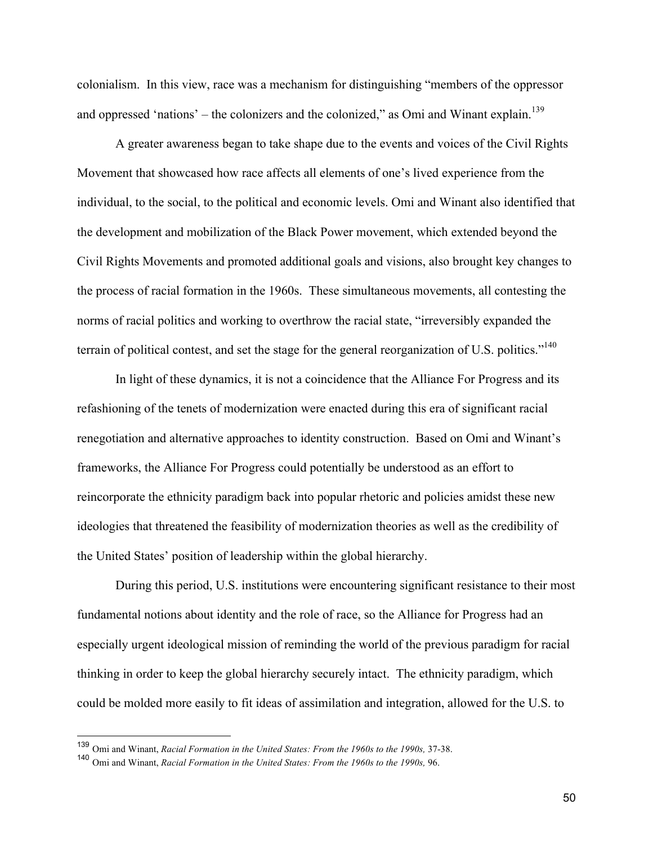colonialism. In this view, race was a mechanism for distinguishing "members of the oppressor and oppressed 'nations' – the colonizers and the colonized," as Omi and Winant explain.<sup>139</sup>

A greater awareness began to take shape due to the events and voices of the Civil Rights Movement that showcased how race affects all elements of one's lived experience from the individual, to the social, to the political and economic levels. Omi and Winant also identified that the development and mobilization of the Black Power movement, which extended beyond the Civil Rights Movements and promoted additional goals and visions, also brought key changes to the process of racial formation in the 1960s. These simultaneous movements, all contesting the norms of racial politics and working to overthrow the racial state, "irreversibly expanded the terrain of political contest, and set the stage for the general reorganization of U.S. politics."<sup>140</sup>

In light of these dynamics, it is not a coincidence that the Alliance For Progress and its refashioning of the tenets of modernization were enacted during this era of significant racial renegotiation and alternative approaches to identity construction. Based on Omi and Winant's frameworks, the Alliance For Progress could potentially be understood as an effort to reincorporate the ethnicity paradigm back into popular rhetoric and policies amidst these new ideologies that threatened the feasibility of modernization theories as well as the credibility of the United States' position of leadership within the global hierarchy.

During this period, U.S. institutions were encountering significant resistance to their most fundamental notions about identity and the role of race, so the Alliance for Progress had an especially urgent ideological mission of reminding the world of the previous paradigm for racial thinking in order to keep the global hierarchy securely intact. The ethnicity paradigm, which could be molded more easily to fit ideas of assimilation and integration, allowed for the U.S. to

 <sup>139</sup> Omi and Winant, *Racial Formation in the United States: From the 1960s to the 1990s,* 37-38.

<sup>140</sup> Omi and Winant, *Racial Formation in the United States: From the 1960s to the 1990s,* 96.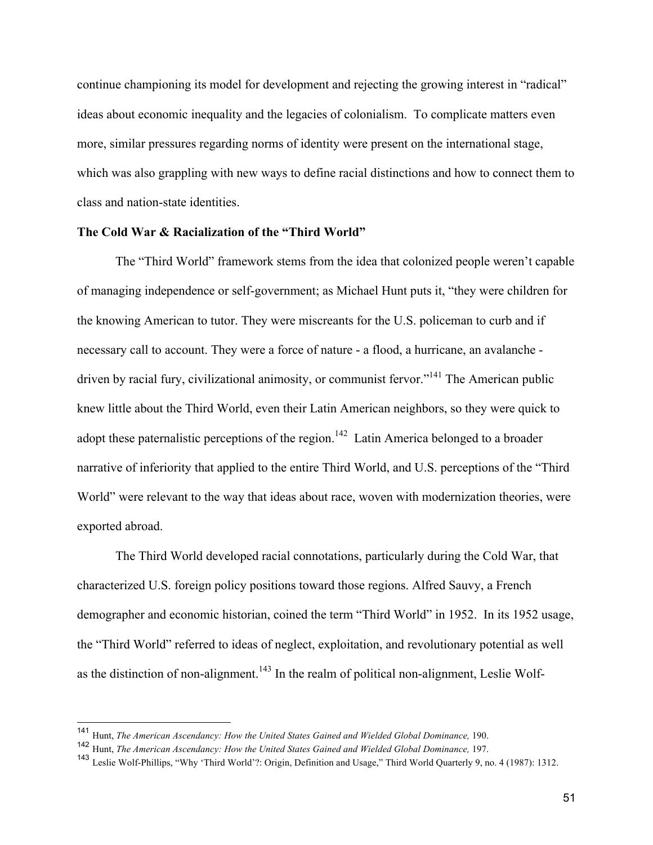continue championing its model for development and rejecting the growing interest in "radical" ideas about economic inequality and the legacies of colonialism. To complicate matters even more, similar pressures regarding norms of identity were present on the international stage, which was also grappling with new ways to define racial distinctions and how to connect them to class and nation-state identities.

# **The Cold War & Racialization of the "Third World"**

The "Third World" framework stems from the idea that colonized people weren't capable of managing independence or self-government; as Michael Hunt puts it, "they were children for the knowing American to tutor. They were miscreants for the U.S. policeman to curb and if necessary call to account. They were a force of nature - a flood, a hurricane, an avalanche driven by racial fury, civilizational animosity, or communist fervor."<sup>141</sup> The American public knew little about the Third World, even their Latin American neighbors, so they were quick to adopt these paternalistic perceptions of the region.<sup>142</sup> Latin America belonged to a broader narrative of inferiority that applied to the entire Third World, and U.S. perceptions of the "Third World" were relevant to the way that ideas about race, woven with modernization theories, were exported abroad.

The Third World developed racial connotations, particularly during the Cold War, that characterized U.S. foreign policy positions toward those regions. Alfred Sauvy, a French demographer and economic historian, coined the term "Third World" in 1952. In its 1952 usage, the "Third World" referred to ideas of neglect, exploitation, and revolutionary potential as well as the distinction of non-alignment.<sup>143</sup> In the realm of political non-alignment, Leslie Wolf-

 <sup>141</sup> Hunt, *The American Ascendancy: How the United States Gained and Wielded Global Dominance,* 190.

<sup>142</sup> Hunt, *The American Ascendancy: How the United States Gained and Wielded Global Dominance,* 197.

<sup>143</sup> Leslie Wolf-Phillips, "Why 'Third World'?: Origin, Definition and Usage," Third World Quarterly 9, no. 4 (1987): 1312.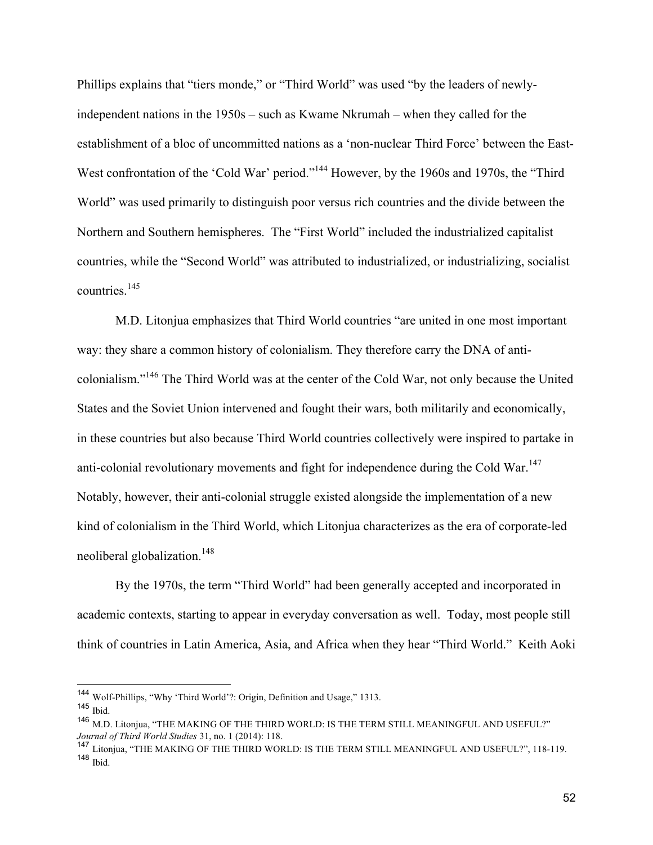Phillips explains that "tiers monde," or "Third World" was used "by the leaders of newlyindependent nations in the 1950s – such as Kwame Nkrumah – when they called for the establishment of a bloc of uncommitted nations as a 'non-nuclear Third Force' between the East-West confrontation of the 'Cold War' period."<sup>144</sup> However, by the 1960s and 1970s, the "Third" World" was used primarily to distinguish poor versus rich countries and the divide between the Northern and Southern hemispheres. The "First World" included the industrialized capitalist countries, while the "Second World" was attributed to industrialized, or industrializing, socialist countries.<sup>145</sup>

M.D. Litonjua emphasizes that Third World countries "are united in one most important way: they share a common history of colonialism. They therefore carry the DNA of anticolonialism."<sup>146</sup> The Third World was at the center of the Cold War, not only because the United States and the Soviet Union intervened and fought their wars, both militarily and economically, in these countries but also because Third World countries collectively were inspired to partake in anti-colonial revolutionary movements and fight for independence during the Cold War.<sup>147</sup> Notably, however, their anti-colonial struggle existed alongside the implementation of a new kind of colonialism in the Third World, which Litonjua characterizes as the era of corporate-led neoliberal globalization.<sup>148</sup>

By the 1970s, the term "Third World" had been generally accepted and incorporated in academic contexts, starting to appear in everyday conversation as well. Today, most people still think of countries in Latin America, Asia, and Africa when they hear "Third World." Keith Aoki

 <sup>144</sup> Wolf-Phillips, "Why 'Third World'?: Origin, Definition and Usage," 1313.

<sup>145</sup> Ibid.

<sup>146</sup> M.D. Litonjua, "THE MAKING OF THE THIRD WORLD: IS THE TERM STILL MEANINGFUL AND USEFUL?" *Journal of Third World Studies* 31, no. 1 (2014): 118.

<sup>147</sup> Litonjua, "THE MAKING OF THE THIRD WORLD: IS THE TERM STILL MEANINGFUL AND USEFUL?", 118-119. <sup>148</sup> Ibid.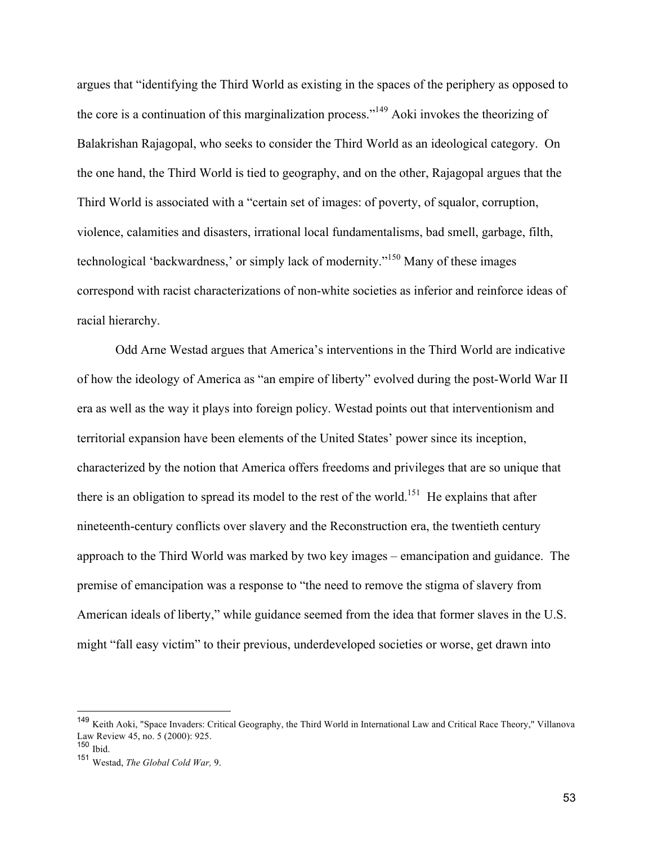argues that "identifying the Third World as existing in the spaces of the periphery as opposed to the core is a continuation of this marginalization process."<sup>149</sup> Aoki invokes the theorizing of Balakrishan Rajagopal, who seeks to consider the Third World as an ideological category. On the one hand, the Third World is tied to geography, and on the other, Rajagopal argues that the Third World is associated with a "certain set of images: of poverty, of squalor, corruption, violence, calamities and disasters, irrational local fundamentalisms, bad smell, garbage, filth, technological 'backwardness,' or simply lack of modernity."<sup>150</sup> Many of these images correspond with racist characterizations of non-white societies as inferior and reinforce ideas of racial hierarchy.

Odd Arne Westad argues that America's interventions in the Third World are indicative of how the ideology of America as "an empire of liberty" evolved during the post-World War II era as well as the way it plays into foreign policy. Westad points out that interventionism and territorial expansion have been elements of the United States' power since its inception, characterized by the notion that America offers freedoms and privileges that are so unique that there is an obligation to spread its model to the rest of the world.<sup>151</sup> He explains that after nineteenth-century conflicts over slavery and the Reconstruction era, the twentieth century approach to the Third World was marked by two key images – emancipation and guidance. The premise of emancipation was a response to "the need to remove the stigma of slavery from American ideals of liberty," while guidance seemed from the idea that former slaves in the U.S. might "fall easy victim" to their previous, underdeveloped societies or worse, get drawn into

 <sup>149</sup> Keith Aoki, "Space Invaders: Critical Geography, the Third World in International Law and Critical Race Theory," Villanova Law Review 45, no. 5 (2000): 925.

<sup>150</sup> Ibid.

<sup>151</sup> Westad, *The Global Cold War,* 9.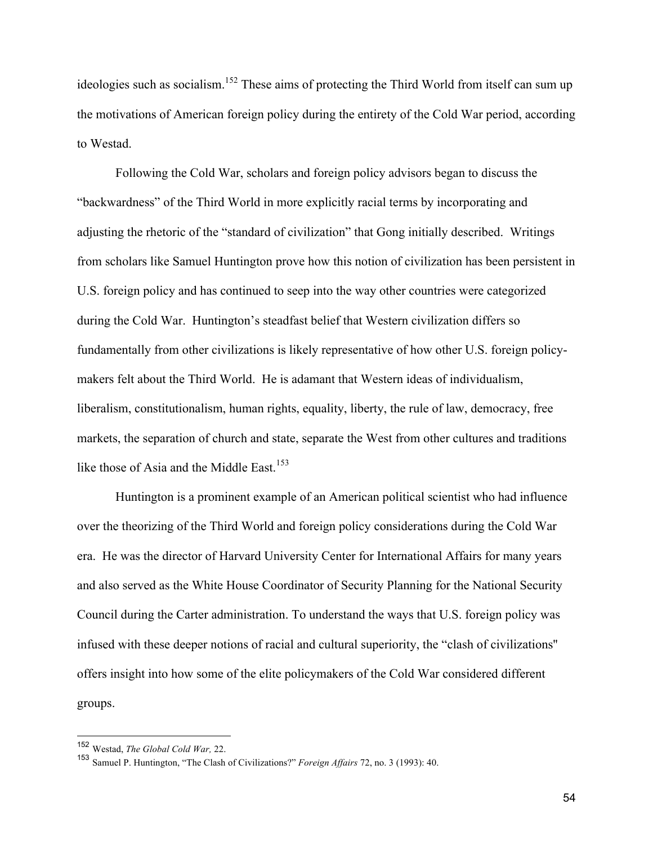ideologies such as socialism.<sup>152</sup> These aims of protecting the Third World from itself can sum up the motivations of American foreign policy during the entirety of the Cold War period, according to Westad.

Following the Cold War, scholars and foreign policy advisors began to discuss the "backwardness" of the Third World in more explicitly racial terms by incorporating and adjusting the rhetoric of the "standard of civilization" that Gong initially described. Writings from scholars like Samuel Huntington prove how this notion of civilization has been persistent in U.S. foreign policy and has continued to seep into the way other countries were categorized during the Cold War. Huntington's steadfast belief that Western civilization differs so fundamentally from other civilizations is likely representative of how other U.S. foreign policymakers felt about the Third World. He is adamant that Western ideas of individualism, liberalism, constitutionalism, human rights, equality, liberty, the rule of law, democracy, free markets, the separation of church and state, separate the West from other cultures and traditions like those of Asia and the Middle East.<sup>153</sup>

Huntington is a prominent example of an American political scientist who had influence over the theorizing of the Third World and foreign policy considerations during the Cold War era. He was the director of Harvard University Center for International Affairs for many years and also served as the White House Coordinator of Security Planning for the National Security Council during the Carter administration. To understand the ways that U.S. foreign policy was infused with these deeper notions of racial and cultural superiority, the "clash of civilizations'' offers insight into how some of the elite policymakers of the Cold War considered different groups.

 <sup>152</sup> Westad, *The Global Cold War,* 22.

<sup>153</sup> Samuel P. Huntington, "The Clash of Civilizations?" *Foreign Affairs* 72, no. 3 (1993): 40.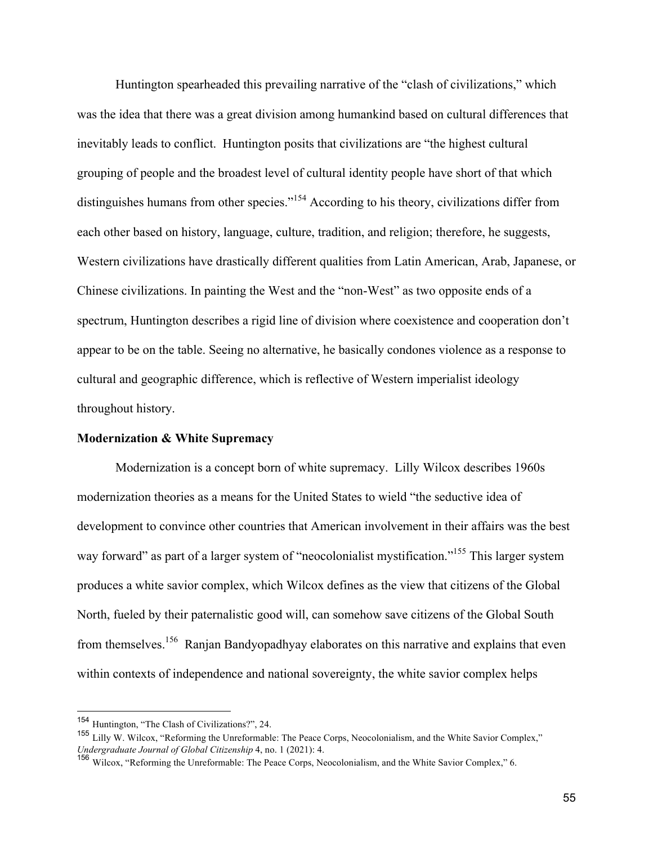Huntington spearheaded this prevailing narrative of the "clash of civilizations," which was the idea that there was a great division among humankind based on cultural differences that inevitably leads to conflict. Huntington posits that civilizations are "the highest cultural grouping of people and the broadest level of cultural identity people have short of that which distinguishes humans from other species."<sup>154</sup> According to his theory, civilizations differ from each other based on history, language, culture, tradition, and religion; therefore, he suggests, Western civilizations have drastically different qualities from Latin American, Arab, Japanese, or Chinese civilizations. In painting the West and the "non-West" as two opposite ends of a spectrum, Huntington describes a rigid line of division where coexistence and cooperation don't appear to be on the table. Seeing no alternative, he basically condones violence as a response to cultural and geographic difference, which is reflective of Western imperialist ideology throughout history.

## **Modernization & White Supremacy**

Modernization is a concept born of white supremacy. Lilly Wilcox describes 1960s modernization theories as a means for the United States to wield "the seductive idea of development to convince other countries that American involvement in their affairs was the best way forward" as part of a larger system of "neocolonialist mystification."<sup>155</sup> This larger system produces a white savior complex, which Wilcox defines as the view that citizens of the Global North, fueled by their paternalistic good will, can somehow save citizens of the Global South from themselves.156 Ranjan Bandyopadhyay elaborates on this narrative and explains that even within contexts of independence and national sovereignty, the white savior complex helps

 <sup>154</sup> Huntington, "The Clash of Civilizations?", 24.

<sup>&</sup>lt;sup>155</sup> Lilly W. Wilcox, "Reforming the Unreformable: The Peace Corps, Neocolonialism, and the White Savior Complex," *Undergraduate Journal of Global Citizenship* 4, no. 1 (2021): 4.

<sup>156</sup> Wilcox, "Reforming the Unreformable: The Peace Corps, Neocolonialism, and the White Savior Complex," 6.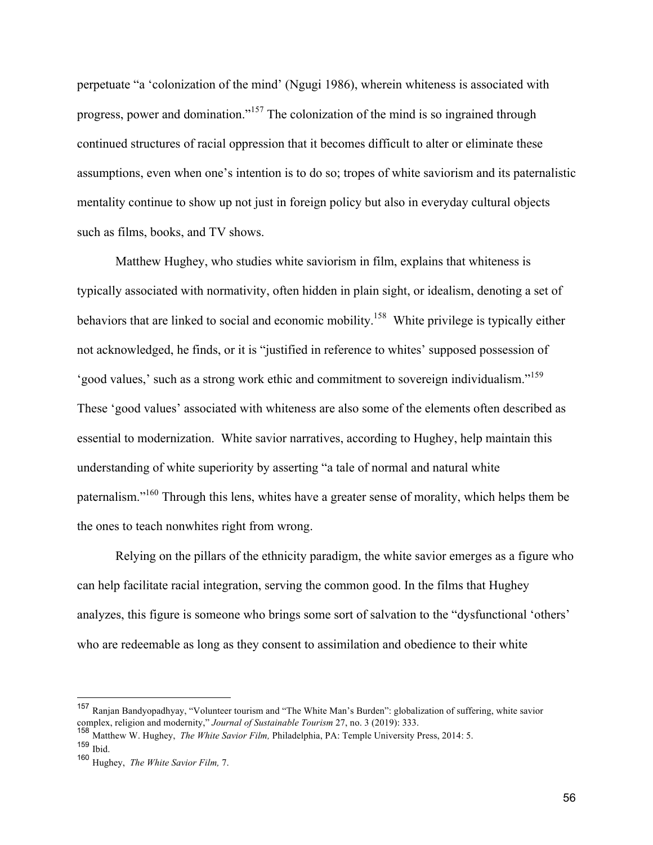perpetuate "a 'colonization of the mind' (Ngugi 1986), wherein whiteness is associated with progress, power and domination."<sup>157</sup> The colonization of the mind is so ingrained through continued structures of racial oppression that it becomes difficult to alter or eliminate these assumptions, even when one's intention is to do so; tropes of white saviorism and its paternalistic mentality continue to show up not just in foreign policy but also in everyday cultural objects such as films, books, and TV shows.

Matthew Hughey, who studies white saviorism in film, explains that whiteness is typically associated with normativity, often hidden in plain sight, or idealism, denoting a set of behaviors that are linked to social and economic mobility.<sup>158</sup> White privilege is typically either not acknowledged, he finds, or it is "justified in reference to whites' supposed possession of 'good values,' such as a strong work ethic and commitment to sovereign individualism."<sup>159</sup> These 'good values' associated with whiteness are also some of the elements often described as essential to modernization. White savior narratives, according to Hughey, help maintain this understanding of white superiority by asserting "a tale of normal and natural white paternalism."<sup>160</sup> Through this lens, whites have a greater sense of morality, which helps them be the ones to teach nonwhites right from wrong.

Relying on the pillars of the ethnicity paradigm, the white savior emerges as a figure who can help facilitate racial integration, serving the common good. In the films that Hughey analyzes, this figure is someone who brings some sort of salvation to the "dysfunctional 'others' who are redeemable as long as they consent to assimilation and obedience to their white

 <sup>157</sup> Ranjan Bandyopadhyay, "Volunteer tourism and "The White Man's Burden": globalization of suffering, white savior complex, religion and modernity," *Journal of Sustainable Tourism* 27, no. 3 (2019): 333.

<sup>158</sup> Matthew W. Hughey, *The White Savior Film,* Philadelphia, PA: Temple University Press, 2014: 5. <sup>159</sup> Ibid.

<sup>160</sup> Hughey, *The White Savior Film,* 7.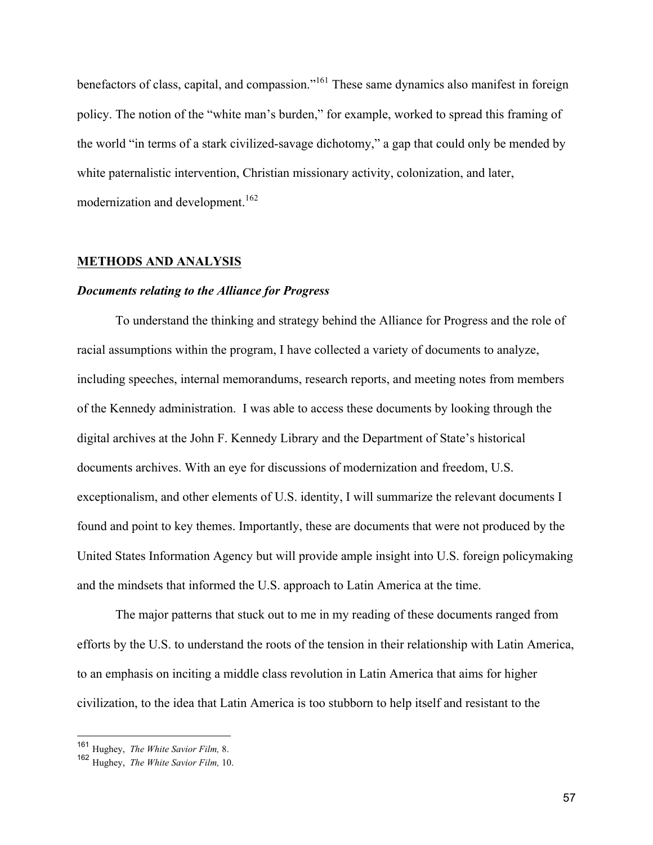benefactors of class, capital, and compassion."<sup>161</sup> These same dynamics also manifest in foreign policy. The notion of the "white man's burden," for example, worked to spread this framing of the world "in terms of a stark civilized-savage dichotomy," a gap that could only be mended by white paternalistic intervention, Christian missionary activity, colonization, and later, modernization and development.<sup>162</sup>

# **METHODS AND ANALYSIS**

#### *Documents relating to the Alliance for Progress*

To understand the thinking and strategy behind the Alliance for Progress and the role of racial assumptions within the program, I have collected a variety of documents to analyze, including speeches, internal memorandums, research reports, and meeting notes from members of the Kennedy administration. I was able to access these documents by looking through the digital archives at the John F. Kennedy Library and the Department of State's historical documents archives. With an eye for discussions of modernization and freedom, U.S. exceptionalism, and other elements of U.S. identity, I will summarize the relevant documents I found and point to key themes. Importantly, these are documents that were not produced by the United States Information Agency but will provide ample insight into U.S. foreign policymaking and the mindsets that informed the U.S. approach to Latin America at the time.

The major patterns that stuck out to me in my reading of these documents ranged from efforts by the U.S. to understand the roots of the tension in their relationship with Latin America, to an emphasis on inciting a middle class revolution in Latin America that aims for higher civilization, to the idea that Latin America is too stubborn to help itself and resistant to the

 <sup>161</sup> Hughey, *The White Savior Film,* 8.

<sup>162</sup> Hughey, *The White Savior Film,* 10.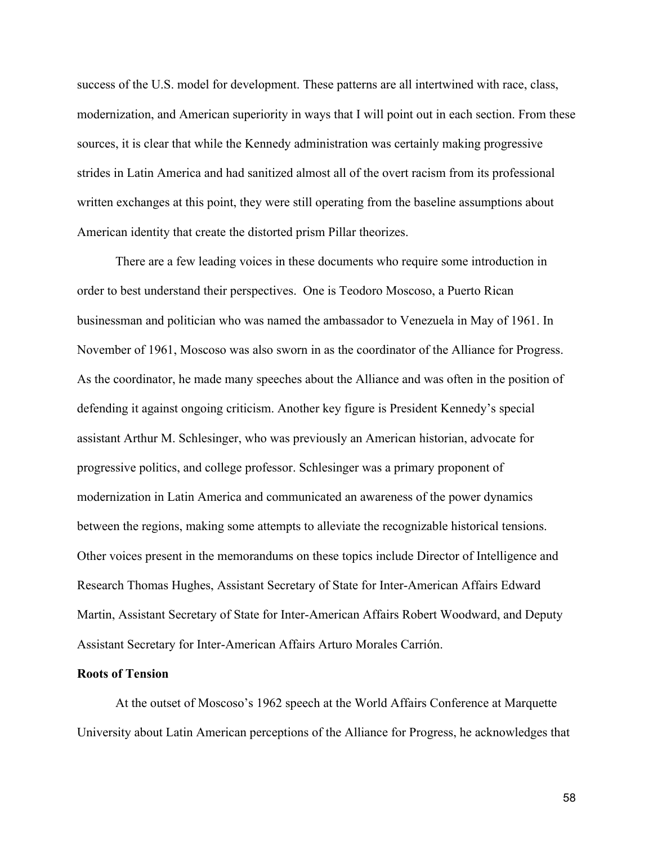success of the U.S. model for development. These patterns are all intertwined with race, class, modernization, and American superiority in ways that I will point out in each section. From these sources, it is clear that while the Kennedy administration was certainly making progressive strides in Latin America and had sanitized almost all of the overt racism from its professional written exchanges at this point, they were still operating from the baseline assumptions about American identity that create the distorted prism Pillar theorizes.

There are a few leading voices in these documents who require some introduction in order to best understand their perspectives. One is Teodoro Moscoso, a Puerto Rican businessman and politician who was named the ambassador to Venezuela in May of 1961. In November of 1961, Moscoso was also sworn in as the coordinator of the Alliance for Progress. As the coordinator, he made many speeches about the Alliance and was often in the position of defending it against ongoing criticism. Another key figure is President Kennedy's special assistant Arthur M. Schlesinger, who was previously an American historian, advocate for progressive politics, and college professor. Schlesinger was a primary proponent of modernization in Latin America and communicated an awareness of the power dynamics between the regions, making some attempts to alleviate the recognizable historical tensions. Other voices present in the memorandums on these topics include Director of Intelligence and Research Thomas Hughes, Assistant Secretary of State for Inter-American Affairs Edward Martin, Assistant Secretary of State for Inter-American Affairs Robert Woodward, and Deputy Assistant Secretary for Inter-American Affairs Arturo Morales Carrión.

# **Roots of Tension**

At the outset of Moscoso's 1962 speech at the World Affairs Conference at Marquette University about Latin American perceptions of the Alliance for Progress, he acknowledges that

58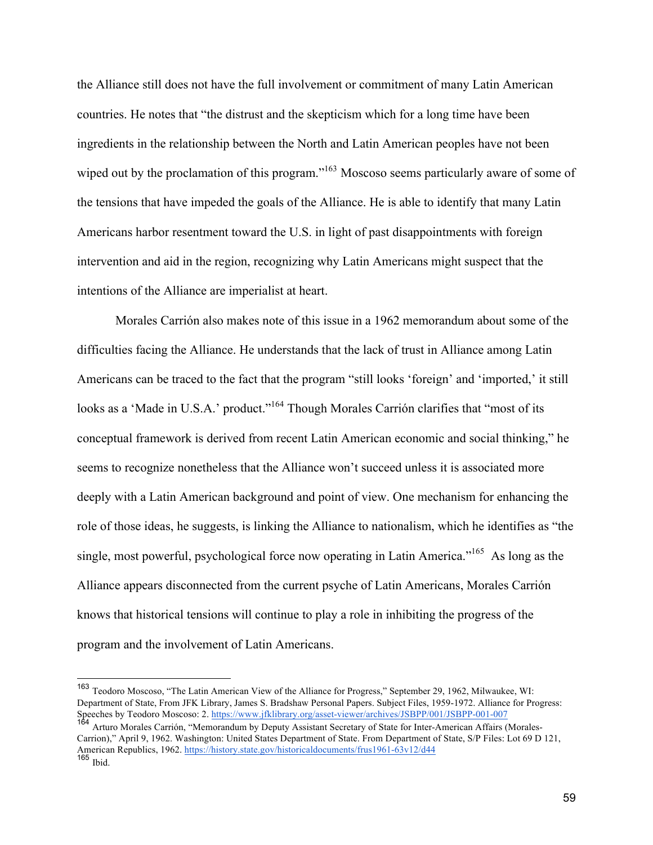the Alliance still does not have the full involvement or commitment of many Latin American countries. He notes that "the distrust and the skepticism which for a long time have been ingredients in the relationship between the North and Latin American peoples have not been wiped out by the proclamation of this program."<sup>163</sup> Moscoso seems particularly aware of some of the tensions that have impeded the goals of the Alliance. He is able to identify that many Latin Americans harbor resentment toward the U.S. in light of past disappointments with foreign intervention and aid in the region, recognizing why Latin Americans might suspect that the intentions of the Alliance are imperialist at heart.

Morales Carrión also makes note of this issue in a 1962 memorandum about some of the difficulties facing the Alliance. He understands that the lack of trust in Alliance among Latin Americans can be traced to the fact that the program "still looks 'foreign' and 'imported,' it still looks as a 'Made in U.S.A.' product."<sup>164</sup> Though Morales Carrión clarifies that "most of its conceptual framework is derived from recent Latin American economic and social thinking," he seems to recognize nonetheless that the Alliance won't succeed unless it is associated more deeply with a Latin American background and point of view. One mechanism for enhancing the role of those ideas, he suggests, is linking the Alliance to nationalism, which he identifies as "the single, most powerful, psychological force now operating in Latin America."<sup>165</sup> As long as the Alliance appears disconnected from the current psyche of Latin Americans, Morales Carrión knows that historical tensions will continue to play a role in inhibiting the progress of the program and the involvement of Latin Americans.

 <sup>163</sup> Teodoro Moscoso, "The Latin American View of the Alliance for Progress," September 29, 1962, Milwaukee, WI: Department of State, From JFK Library, James S. Bradshaw Personal Papers. Subject Files, 1959-1972. Alliance for Progress: Speeches by Teodoro Moscoso: 2. https://www.jfklibrary.org/asset-viewer/archives/JSBPP/001/JSBPP-001-007

<sup>164</sup> Arturo Morales Carrión, "Memorandum by Deputy Assistant Secretary of State for Inter-American Affairs (Morales-Carrion)," April 9, 1962. Washington: United States Department of State. From Department of State, S/P Files: Lot 69 D 121, American Republics, 1962. https://history.state.gov/historicaldocuments/frus1961-63v12/d44  $165$  Ibid.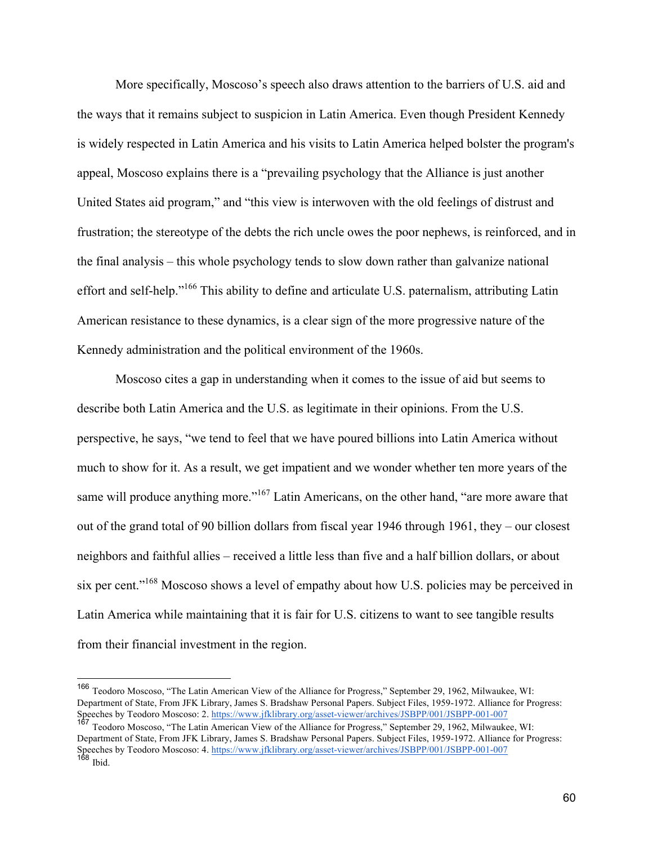More specifically, Moscoso's speech also draws attention to the barriers of U.S. aid and the ways that it remains subject to suspicion in Latin America. Even though President Kennedy is widely respected in Latin America and his visits to Latin America helped bolster the program's appeal, Moscoso explains there is a "prevailing psychology that the Alliance is just another United States aid program," and "this view is interwoven with the old feelings of distrust and frustration; the stereotype of the debts the rich uncle owes the poor nephews, is reinforced, and in the final analysis – this whole psychology tends to slow down rather than galvanize national effort and self-help."<sup>166</sup> This ability to define and articulate U.S. paternalism, attributing Latin American resistance to these dynamics, is a clear sign of the more progressive nature of the Kennedy administration and the political environment of the 1960s.

Moscoso cites a gap in understanding when it comes to the issue of aid but seems to describe both Latin America and the U.S. as legitimate in their opinions. From the U.S. perspective, he says, "we tend to feel that we have poured billions into Latin America without much to show for it. As a result, we get impatient and we wonder whether ten more years of the same will produce anything more."<sup>167</sup> Latin Americans, on the other hand, "are more aware that out of the grand total of 90 billion dollars from fiscal year 1946 through 1961, they – our closest neighbors and faithful allies – received a little less than five and a half billion dollars, or about six per cent."<sup>168</sup> Moscoso shows a level of empathy about how U.S. policies may be perceived in Latin America while maintaining that it is fair for U.S. citizens to want to see tangible results from their financial investment in the region.

 <sup>166</sup> Teodoro Moscoso, "The Latin American View of the Alliance for Progress," September 29, 1962, Milwaukee, WI: Department of State, From JFK Library, James S. Bradshaw Personal Papers. Subject Files, 1959-1972. Alliance for Progress: Speeches by Teodoro Moscoso: 2. https://www.jfklibrary.org/asset-viewer/archives/JSBPP/001/JSBPP-001-007

<sup>167</sup> Teodoro Moscoso, "The Latin American View of the Alliance for Progress," September 29, 1962, Milwaukee, WI: Department of State, From JFK Library, James S. Bradshaw Personal Papers. Subject Files, 1959-1972. Alliance for Progress: Speeches by Teodoro Moscoso: 4. https://www.jfklibrary.org/asset-viewer/archives/JSBPP/001/JSBPP-001-007  $168$  Ibid.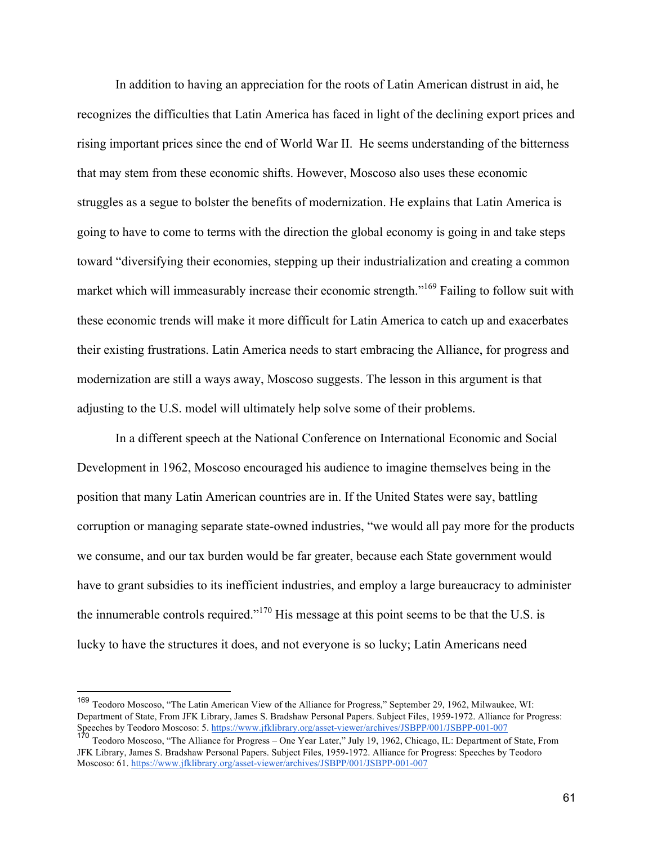In addition to having an appreciation for the roots of Latin American distrust in aid, he recognizes the difficulties that Latin America has faced in light of the declining export prices and rising important prices since the end of World War II. He seems understanding of the bitterness that may stem from these economic shifts. However, Moscoso also uses these economic struggles as a segue to bolster the benefits of modernization. He explains that Latin America is going to have to come to terms with the direction the global economy is going in and take steps toward "diversifying their economies, stepping up their industrialization and creating a common market which will immeasurably increase their economic strength."<sup>169</sup> Failing to follow suit with these economic trends will make it more difficult for Latin America to catch up and exacerbates their existing frustrations. Latin America needs to start embracing the Alliance, for progress and modernization are still a ways away, Moscoso suggests. The lesson in this argument is that adjusting to the U.S. model will ultimately help solve some of their problems.

In a different speech at the National Conference on International Economic and Social Development in 1962, Moscoso encouraged his audience to imagine themselves being in the position that many Latin American countries are in. If the United States were say, battling corruption or managing separate state-owned industries, "we would all pay more for the products we consume, and our tax burden would be far greater, because each State government would have to grant subsidies to its inefficient industries, and employ a large bureaucracy to administer the innumerable controls required."<sup>170</sup> His message at this point seems to be that the U.S. is lucky to have the structures it does, and not everyone is so lucky; Latin Americans need

 <sup>169</sup> Teodoro Moscoso, "The Latin American View of the Alliance for Progress," September 29, 1962, Milwaukee, WI: Department of State, From JFK Library, James S. Bradshaw Personal Papers. Subject Files, 1959-1972. Alliance for Progress: Speeches by Teodoro Moscoso: 5. https://www.jfklibrary.org/asset-viewer/archives/JSBPP/001/JSBPP-001-007

<sup>170</sup> Teodoro Moscoso, "The Alliance for Progress – One Year Later," July 19, 1962, Chicago, IL: Department of State, From JFK Library, James S. Bradshaw Personal Papers. Subject Files, 1959-1972. Alliance for Progress: Speeches by Teodoro Moscoso: 61. https://www.jfklibrary.org/asset-viewer/archives/JSBPP/001/JSBPP-001-007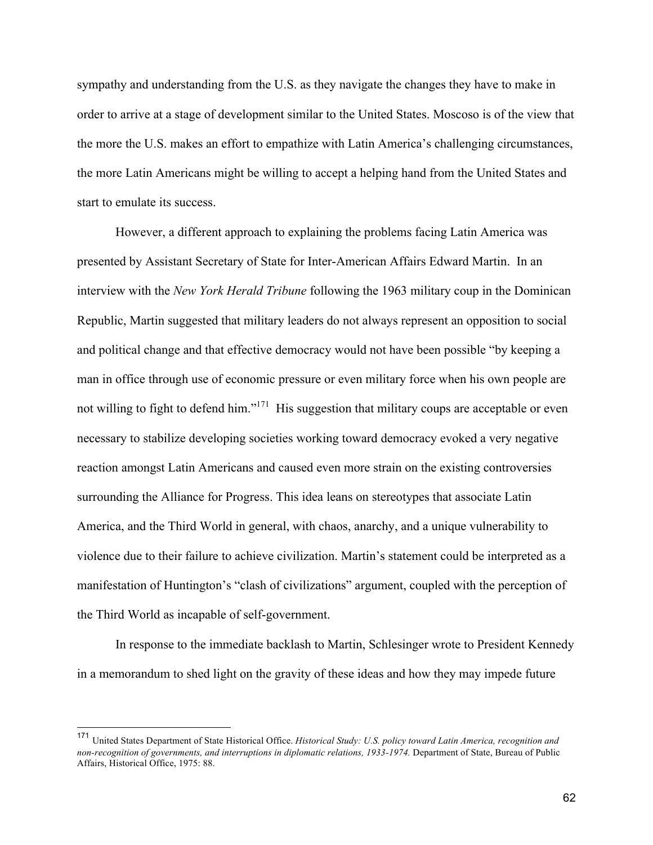sympathy and understanding from the U.S. as they navigate the changes they have to make in order to arrive at a stage of development similar to the United States. Moscoso is of the view that the more the U.S. makes an effort to empathize with Latin America's challenging circumstances, the more Latin Americans might be willing to accept a helping hand from the United States and start to emulate its success.

However, a different approach to explaining the problems facing Latin America was presented by Assistant Secretary of State for Inter-American Affairs Edward Martin. In an interview with the *New York Herald Tribune* following the 1963 military coup in the Dominican Republic, Martin suggested that military leaders do not always represent an opposition to social and political change and that effective democracy would not have been possible "by keeping a man in office through use of economic pressure or even military force when his own people are not willing to fight to defend him."<sup>171</sup> His suggestion that military coups are acceptable or even necessary to stabilize developing societies working toward democracy evoked a very negative reaction amongst Latin Americans and caused even more strain on the existing controversies surrounding the Alliance for Progress. This idea leans on stereotypes that associate Latin America, and the Third World in general, with chaos, anarchy, and a unique vulnerability to violence due to their failure to achieve civilization. Martin's statement could be interpreted as a manifestation of Huntington's "clash of civilizations" argument, coupled with the perception of the Third World as incapable of self-government.

In response to the immediate backlash to Martin, Schlesinger wrote to President Kennedy in a memorandum to shed light on the gravity of these ideas and how they may impede future

 <sup>171</sup> United States Department of State Historical Office. *Historical Study: U.S. policy toward Latin America, recognition and non-recognition of governments, and interruptions in diplomatic relations, 1933-1974.* Department of State, Bureau of Public Affairs, Historical Office, 1975: 88.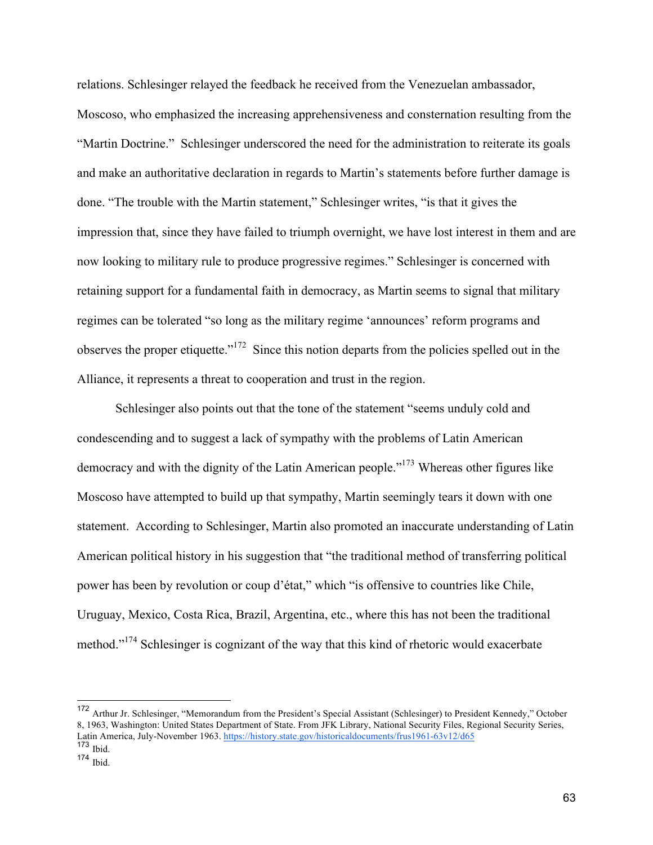relations. Schlesinger relayed the feedback he received from the Venezuelan ambassador, Moscoso, who emphasized the increasing apprehensiveness and consternation resulting from the "Martin Doctrine." Schlesinger underscored the need for the administration to reiterate its goals and make an authoritative declaration in regards to Martin's statements before further damage is done. "The trouble with the Martin statement," Schlesinger writes, "is that it gives the impression that, since they have failed to triumph overnight, we have lost interest in them and are now looking to military rule to produce progressive regimes." Schlesinger is concerned with retaining support for a fundamental faith in democracy, as Martin seems to signal that military regimes can be tolerated "so long as the military regime 'announces' reform programs and observes the proper etiquette."172 Since this notion departs from the policies spelled out in the Alliance, it represents a threat to cooperation and trust in the region.

Schlesinger also points out that the tone of the statement "seems unduly cold and condescending and to suggest a lack of sympathy with the problems of Latin American democracy and with the dignity of the Latin American people."<sup>173</sup> Whereas other figures like Moscoso have attempted to build up that sympathy, Martin seemingly tears it down with one statement. According to Schlesinger, Martin also promoted an inaccurate understanding of Latin American political history in his suggestion that "the traditional method of transferring political power has been by revolution or coup d'état," which "is offensive to countries like Chile, Uruguay, Mexico, Costa Rica, Brazil, Argentina, etc., where this has not been the traditional method."<sup>174</sup> Schlesinger is cognizant of the way that this kind of rhetoric would exacerbate

 <sup>172</sup> Arthur Jr. Schlesinger, "Memorandum from the President's Special Assistant (Schlesinger) to President Kennedy," October 8, 1963, Washington: United States Department of State. From JFK Library, National Security Files, Regional Security Series, Latin America, July-November 1963. https://history.state.gov/historicaldocuments/frus1961-63v12/d65

 $173$  Ibid.

<sup>174</sup> Ibid.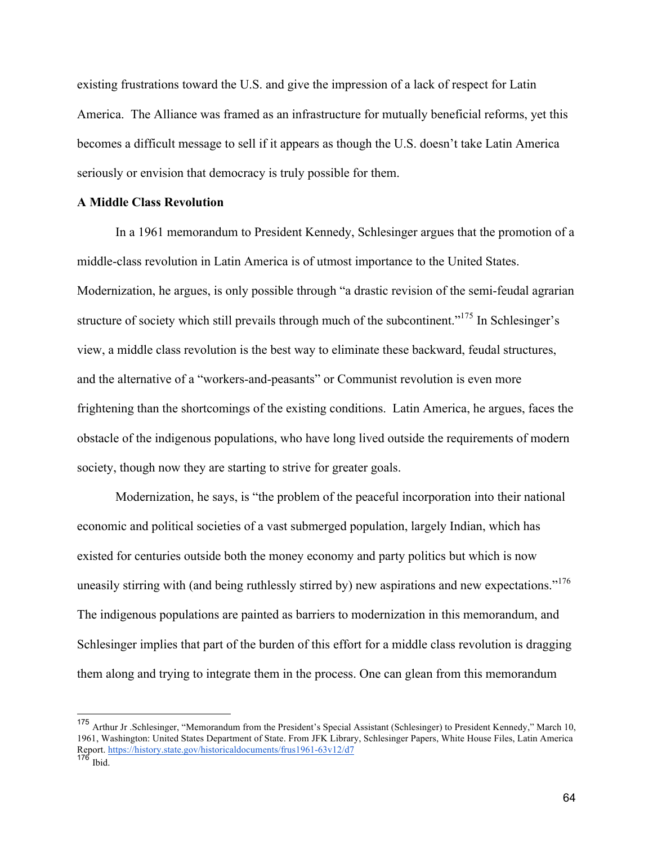existing frustrations toward the U.S. and give the impression of a lack of respect for Latin America. The Alliance was framed as an infrastructure for mutually beneficial reforms, yet this becomes a difficult message to sell if it appears as though the U.S. doesn't take Latin America seriously or envision that democracy is truly possible for them.

## **A Middle Class Revolution**

In a 1961 memorandum to President Kennedy, Schlesinger argues that the promotion of a middle-class revolution in Latin America is of utmost importance to the United States. Modernization, he argues, is only possible through "a drastic revision of the semi-feudal agrarian structure of society which still prevails through much of the subcontinent.<sup>"175</sup> In Schlesinger's view, a middle class revolution is the best way to eliminate these backward, feudal structures, and the alternative of a "workers-and-peasants" or Communist revolution is even more frightening than the shortcomings of the existing conditions. Latin America, he argues, faces the obstacle of the indigenous populations, who have long lived outside the requirements of modern society, though now they are starting to strive for greater goals.

Modernization, he says, is "the problem of the peaceful incorporation into their national economic and political societies of a vast submerged population, largely Indian, which has existed for centuries outside both the money economy and party politics but which is now uneasily stirring with (and being ruthlessly stirred by) new aspirations and new expectations."<sup>176</sup> The indigenous populations are painted as barriers to modernization in this memorandum, and Schlesinger implies that part of the burden of this effort for a middle class revolution is dragging them along and trying to integrate them in the process. One can glean from this memorandum

 <sup>175</sup> Arthur Jr .Schlesinger, "Memorandum from the President's Special Assistant (Schlesinger) to President Kennedy," March 10, 1961, Washington: United States Department of State. From JFK Library, Schlesinger Papers, White House Files, Latin America Report. https://history.state.gov/historicaldocuments/frus1961-63v12/d7

 $176$  Ibid.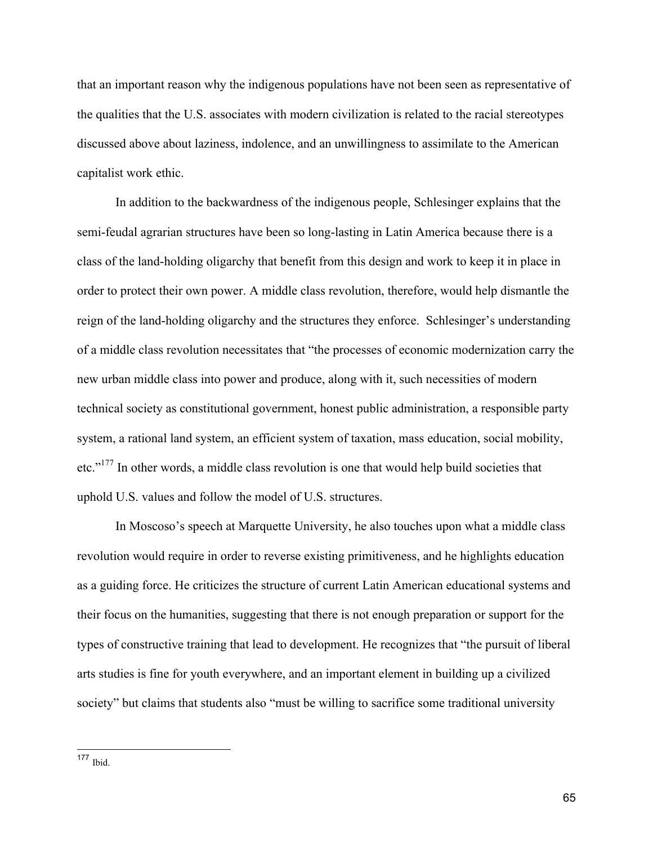that an important reason why the indigenous populations have not been seen as representative of the qualities that the U.S. associates with modern civilization is related to the racial stereotypes discussed above about laziness, indolence, and an unwillingness to assimilate to the American capitalist work ethic.

In addition to the backwardness of the indigenous people, Schlesinger explains that the semi-feudal agrarian structures have been so long-lasting in Latin America because there is a class of the land-holding oligarchy that benefit from this design and work to keep it in place in order to protect their own power. A middle class revolution, therefore, would help dismantle the reign of the land-holding oligarchy and the structures they enforce. Schlesinger's understanding of a middle class revolution necessitates that "the processes of economic modernization carry the new urban middle class into power and produce, along with it, such necessities of modern technical society as constitutional government, honest public administration, a responsible party system, a rational land system, an efficient system of taxation, mass education, social mobility, etc."<sup>177</sup> In other words, a middle class revolution is one that would help build societies that uphold U.S. values and follow the model of U.S. structures.

In Moscoso's speech at Marquette University, he also touches upon what a middle class revolution would require in order to reverse existing primitiveness, and he highlights education as a guiding force. He criticizes the structure of current Latin American educational systems and their focus on the humanities, suggesting that there is not enough preparation or support for the types of constructive training that lead to development. He recognizes that "the pursuit of liberal arts studies is fine for youth everywhere, and an important element in building up a civilized society" but claims that students also "must be willing to sacrifice some traditional university

<sup>177</sup> Ibid.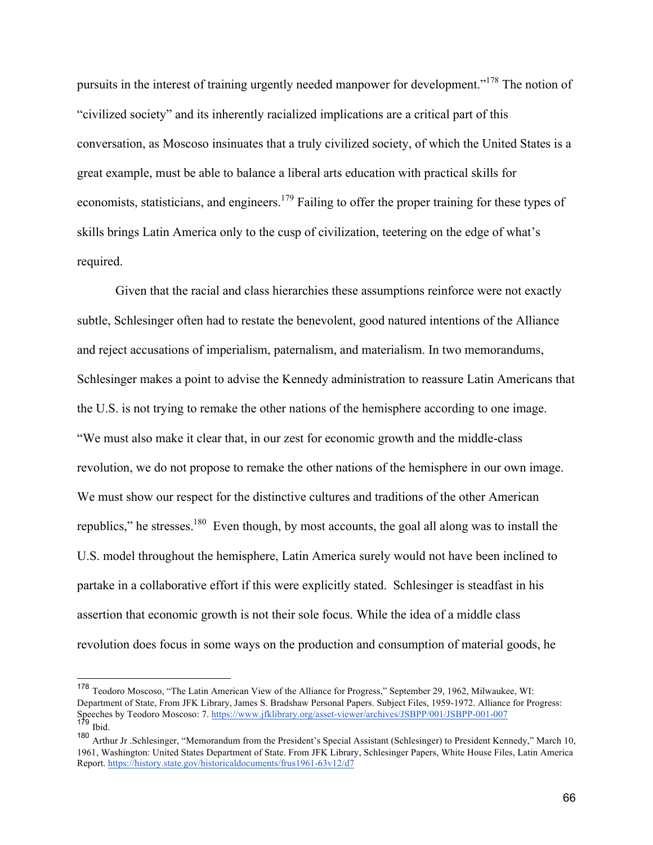pursuits in the interest of training urgently needed manpower for development."178 The notion of "civilized society" and its inherently racialized implications are a critical part of this conversation, as Moscoso insinuates that a truly civilized society, of which the United States is a great example, must be able to balance a liberal arts education with practical skills for economists, statisticians, and engineers.<sup>179</sup> Failing to offer the proper training for these types of skills brings Latin America only to the cusp of civilization, teetering on the edge of what's required.

Given that the racial and class hierarchies these assumptions reinforce were not exactly subtle, Schlesinger often had to restate the benevolent, good natured intentions of the Alliance and reject accusations of imperialism, paternalism, and materialism. In two memorandums, Schlesinger makes a point to advise the Kennedy administration to reassure Latin Americans that the U.S. is not trying to remake the other nations of the hemisphere according to one image. "We must also make it clear that, in our zest for economic growth and the middle-class revolution, we do not propose to remake the other nations of the hemisphere in our own image. We must show our respect for the distinctive cultures and traditions of the other American republics," he stresses.180 Even though, by most accounts, the goal all along was to install the U.S. model throughout the hemisphere, Latin America surely would not have been inclined to partake in a collaborative effort if this were explicitly stated. Schlesinger is steadfast in his assertion that economic growth is not their sole focus. While the idea of a middle class revolution does focus in some ways on the production and consumption of material goods, he

 <sup>178</sup> Teodoro Moscoso, "The Latin American View of the Alliance for Progress," September 29, 1962, Milwaukee, WI: Department of State, From JFK Library, James S. Bradshaw Personal Papers. Subject Files, 1959-1972. Alliance for Progress: Speeches by Teodoro Moscoso: 7. https://www.jfklibrary.org/asset-viewer/archives/JSBPP/001/JSBPP-001-007  $179$  Ibid.

<sup>180</sup> Arthur Jr .Schlesinger, "Memorandum from the President's Special Assistant (Schlesinger) to President Kennedy," March 10, 1961, Washington: United States Department of State. From JFK Library, Schlesinger Papers, White House Files, Latin America Report. https://history.state.gov/historicaldocuments/frus1961-63v12/d7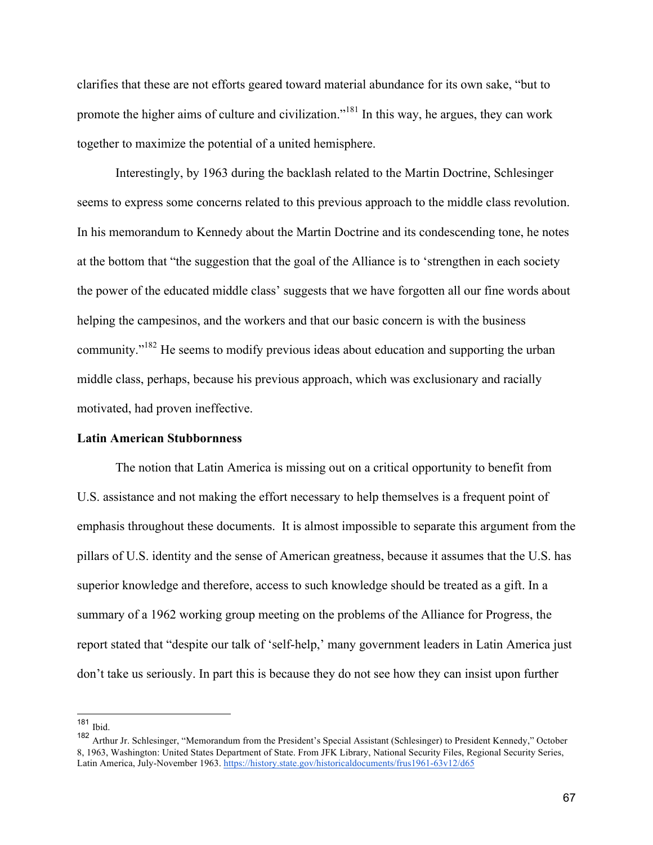clarifies that these are not efforts geared toward material abundance for its own sake, "but to promote the higher aims of culture and civilization."<sup>181</sup> In this way, he argues, they can work together to maximize the potential of a united hemisphere.

Interestingly, by 1963 during the backlash related to the Martin Doctrine, Schlesinger seems to express some concerns related to this previous approach to the middle class revolution. In his memorandum to Kennedy about the Martin Doctrine and its condescending tone, he notes at the bottom that "the suggestion that the goal of the Alliance is to 'strengthen in each society the power of the educated middle class' suggests that we have forgotten all our fine words about helping the campesinos, and the workers and that our basic concern is with the business community."182 He seems to modify previous ideas about education and supporting the urban middle class, perhaps, because his previous approach, which was exclusionary and racially motivated, had proven ineffective.

## **Latin American Stubbornness**

The notion that Latin America is missing out on a critical opportunity to benefit from U.S. assistance and not making the effort necessary to help themselves is a frequent point of emphasis throughout these documents. It is almost impossible to separate this argument from the pillars of U.S. identity and the sense of American greatness, because it assumes that the U.S. has superior knowledge and therefore, access to such knowledge should be treated as a gift. In a summary of a 1962 working group meeting on the problems of the Alliance for Progress, the report stated that "despite our talk of 'self-help,' many government leaders in Latin America just don't take us seriously. In part this is because they do not see how they can insist upon further

 <sup>181</sup> Ibid.

<sup>182</sup> Arthur Jr. Schlesinger, "Memorandum from the President's Special Assistant (Schlesinger) to President Kennedy," October 8, 1963, Washington: United States Department of State. From JFK Library, National Security Files, Regional Security Series, Latin America, July-November 1963. https://history.state.gov/historicaldocuments/frus1961-63v12/d65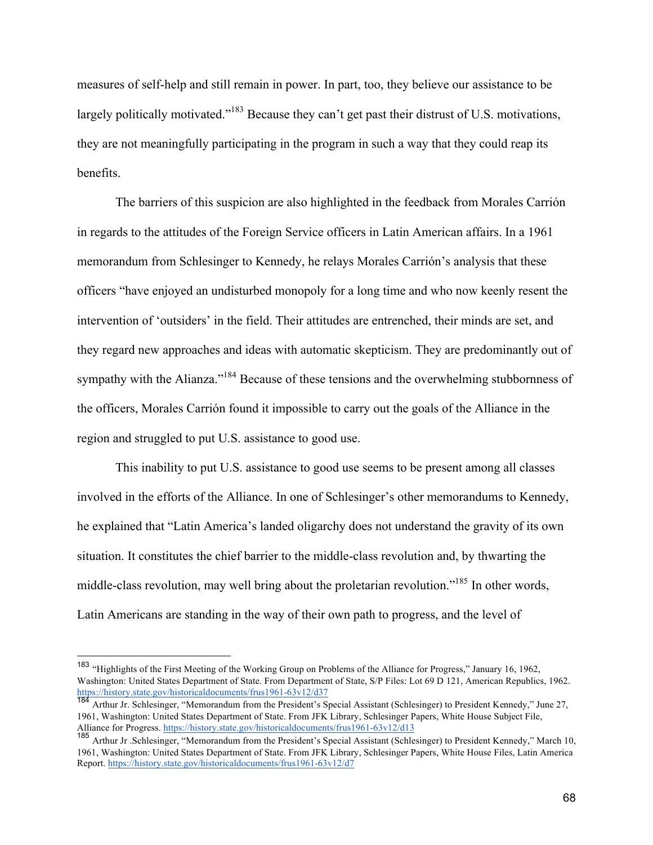measures of self-help and still remain in power. In part, too, they believe our assistance to be largely politically motivated."<sup>183</sup> Because they can't get past their distrust of U.S. motivations, they are not meaningfully participating in the program in such a way that they could reap its benefits.

The barriers of this suspicion are also highlighted in the feedback from Morales Carrión in regards to the attitudes of the Foreign Service officers in Latin American affairs. In a 1961 memorandum from Schlesinger to Kennedy, he relays Morales Carrión's analysis that these officers "have enjoyed an undisturbed monopoly for a long time and who now keenly resent the intervention of 'outsiders' in the field. Their attitudes are entrenched, their minds are set, and they regard new approaches and ideas with automatic skepticism. They are predominantly out of sympathy with the Alianza."<sup>184</sup> Because of these tensions and the overwhelming stubbornness of the officers, Morales Carrión found it impossible to carry out the goals of the Alliance in the region and struggled to put U.S. assistance to good use.

This inability to put U.S. assistance to good use seems to be present among all classes involved in the efforts of the Alliance. In one of Schlesinger's other memorandums to Kennedy, he explained that "Latin America's landed oligarchy does not understand the gravity of its own situation. It constitutes the chief barrier to the middle-class revolution and, by thwarting the middle-class revolution, may well bring about the proletarian revolution."185 In other words, Latin Americans are standing in the way of their own path to progress, and the level of

 <sup>183</sup> "Highlights of the First Meeting of the Working Group on Problems of the Alliance for Progress," January 16, 1962, Washington: United States Department of State. From Department of State, S/P Files: Lot 69 D 121, American Republics, 1962. https://history.state.gov/historicaldocuments/frus1961-63v12/d37

<sup>184</sup> Arthur Jr. Schlesinger, "Memorandum from the President's Special Assistant (Schlesinger) to President Kennedy," June 27, 1961, Washington: United States Department of State. From JFK Library, Schlesinger Papers, White House Subject File, Alliance for Progress. https://history.state.gov/historicaldocuments/frus1961-63v12/d13

<sup>185</sup> Arthur Jr .Schlesinger, "Memorandum from the President's Special Assistant (Schlesinger) to President Kennedy," March 10, 1961, Washington: United States Department of State. From JFK Library, Schlesinger Papers, White House Files, Latin America Report. https://history.state.gov/historicaldocuments/frus1961-63v12/d7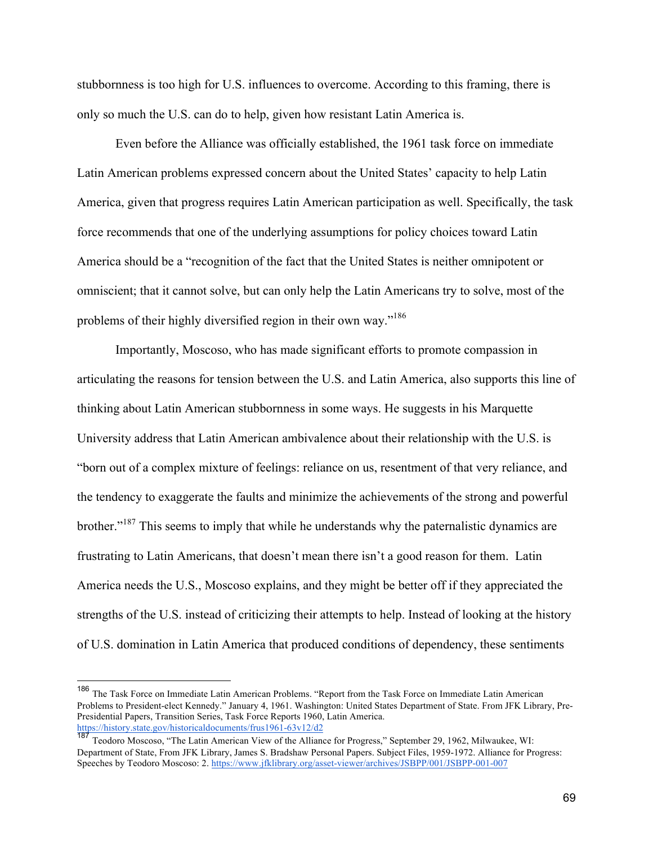stubbornness is too high for U.S. influences to overcome. According to this framing, there is only so much the U.S. can do to help, given how resistant Latin America is.

Even before the Alliance was officially established, the 1961 task force on immediate Latin American problems expressed concern about the United States' capacity to help Latin America, given that progress requires Latin American participation as well. Specifically, the task force recommends that one of the underlying assumptions for policy choices toward Latin America should be a "recognition of the fact that the United States is neither omnipotent or omniscient; that it cannot solve, but can only help the Latin Americans try to solve, most of the problems of their highly diversified region in their own way."<sup>186</sup>

Importantly, Moscoso, who has made significant efforts to promote compassion in articulating the reasons for tension between the U.S. and Latin America, also supports this line of thinking about Latin American stubbornness in some ways. He suggests in his Marquette University address that Latin American ambivalence about their relationship with the U.S. is "born out of a complex mixture of feelings: reliance on us, resentment of that very reliance, and the tendency to exaggerate the faults and minimize the achievements of the strong and powerful brother."<sup>187</sup> This seems to imply that while he understands why the paternalistic dynamics are frustrating to Latin Americans, that doesn't mean there isn't a good reason for them. Latin America needs the U.S., Moscoso explains, and they might be better off if they appreciated the strengths of the U.S. instead of criticizing their attempts to help. Instead of looking at the history of U.S. domination in Latin America that produced conditions of dependency, these sentiments

 <sup>186</sup> The Task Force on Immediate Latin American Problems. "Report from the Task Force on Immediate Latin American Problems to President-elect Kennedy." January 4, 1961. Washington: United States Department of State. From JFK Library, Pre-Presidential Papers, Transition Series, Task Force Reports 1960, Latin America. https://history.state.gov/historicaldocuments/frus1961-63v12/d2

<sup>187</sup> Teodoro Moscoso, "The Latin American View of the Alliance for Progress," September 29, 1962, Milwaukee, WI: Department of State, From JFK Library, James S. Bradshaw Personal Papers. Subject Files, 1959-1972. Alliance for Progress: Speeches by Teodoro Moscoso: 2. https://www.jfklibrary.org/asset-viewer/archives/JSBPP/001/JSBPP-001-007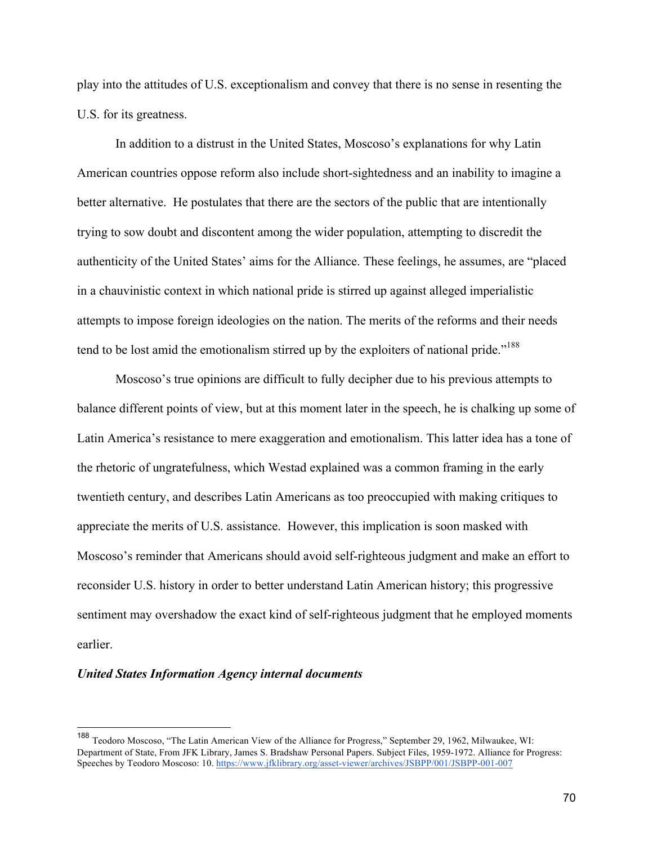play into the attitudes of U.S. exceptionalism and convey that there is no sense in resenting the U.S. for its greatness.

In addition to a distrust in the United States, Moscoso's explanations for why Latin American countries oppose reform also include short-sightedness and an inability to imagine a better alternative. He postulates that there are the sectors of the public that are intentionally trying to sow doubt and discontent among the wider population, attempting to discredit the authenticity of the United States' aims for the Alliance. These feelings, he assumes, are "placed in a chauvinistic context in which national pride is stirred up against alleged imperialistic attempts to impose foreign ideologies on the nation. The merits of the reforms and their needs tend to be lost amid the emotionalism stirred up by the exploiters of national pride."<sup>188</sup>

Moscoso's true opinions are difficult to fully decipher due to his previous attempts to balance different points of view, but at this moment later in the speech, he is chalking up some of Latin America's resistance to mere exaggeration and emotionalism. This latter idea has a tone of the rhetoric of ungratefulness, which Westad explained was a common framing in the early twentieth century, and describes Latin Americans as too preoccupied with making critiques to appreciate the merits of U.S. assistance. However, this implication is soon masked with Moscoso's reminder that Americans should avoid self-righteous judgment and make an effort to reconsider U.S. history in order to better understand Latin American history; this progressive sentiment may overshadow the exact kind of self-righteous judgment that he employed moments earlier.

#### *United States Information Agency internal documents*

 <sup>188</sup> Teodoro Moscoso, "The Latin American View of the Alliance for Progress," September 29, 1962, Milwaukee, WI: Department of State, From JFK Library, James S. Bradshaw Personal Papers. Subject Files, 1959-1972. Alliance for Progress: Speeches by Teodoro Moscoso: 10. https://www.jfklibrary.org/asset-viewer/archives/JSBPP/001/JSBPP-001-007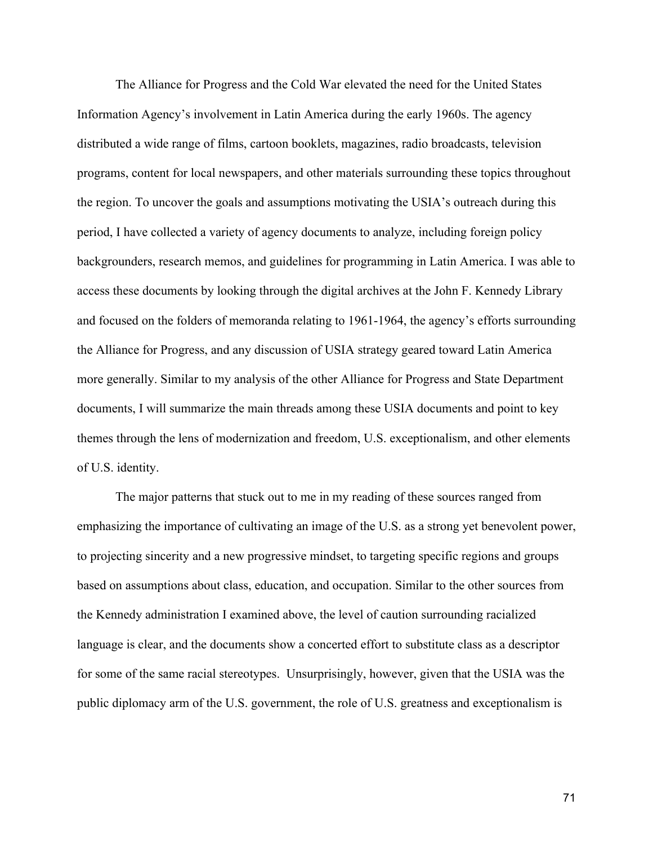The Alliance for Progress and the Cold War elevated the need for the United States Information Agency's involvement in Latin America during the early 1960s. The agency distributed a wide range of films, cartoon booklets, magazines, radio broadcasts, television programs, content for local newspapers, and other materials surrounding these topics throughout the region. To uncover the goals and assumptions motivating the USIA's outreach during this period, I have collected a variety of agency documents to analyze, including foreign policy backgrounders, research memos, and guidelines for programming in Latin America. I was able to access these documents by looking through the digital archives at the John F. Kennedy Library and focused on the folders of memoranda relating to 1961-1964, the agency's efforts surrounding the Alliance for Progress, and any discussion of USIA strategy geared toward Latin America more generally. Similar to my analysis of the other Alliance for Progress and State Department documents, I will summarize the main threads among these USIA documents and point to key themes through the lens of modernization and freedom, U.S. exceptionalism, and other elements of U.S. identity.

The major patterns that stuck out to me in my reading of these sources ranged from emphasizing the importance of cultivating an image of the U.S. as a strong yet benevolent power, to projecting sincerity and a new progressive mindset, to targeting specific regions and groups based on assumptions about class, education, and occupation. Similar to the other sources from the Kennedy administration I examined above, the level of caution surrounding racialized language is clear, and the documents show a concerted effort to substitute class as a descriptor for some of the same racial stereotypes. Unsurprisingly, however, given that the USIA was the public diplomacy arm of the U.S. government, the role of U.S. greatness and exceptionalism is

71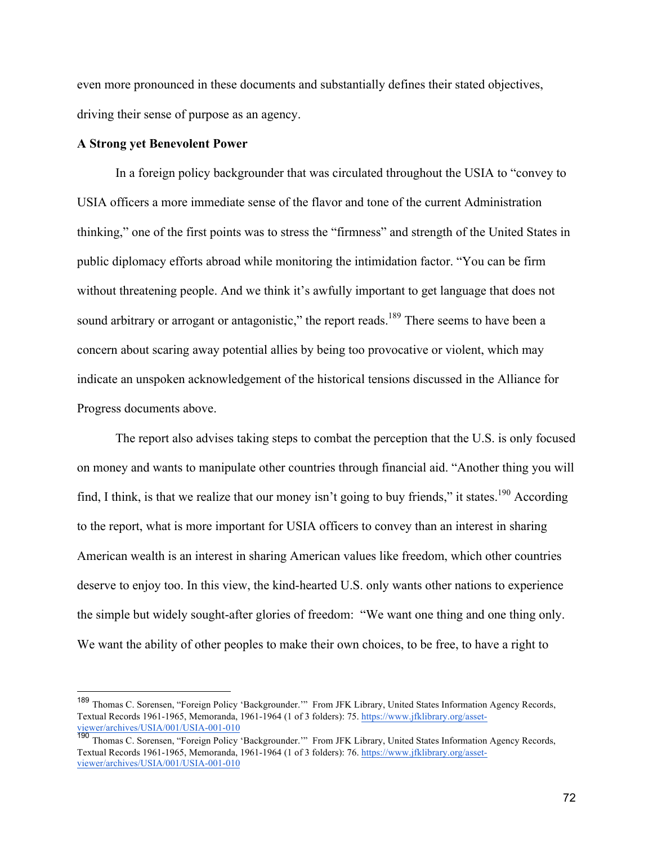even more pronounced in these documents and substantially defines their stated objectives, driving their sense of purpose as an agency.

# **A Strong yet Benevolent Power**

In a foreign policy backgrounder that was circulated throughout the USIA to "convey to USIA officers a more immediate sense of the flavor and tone of the current Administration thinking," one of the first points was to stress the "firmness" and strength of the United States in public diplomacy efforts abroad while monitoring the intimidation factor. "You can be firm without threatening people. And we think it's awfully important to get language that does not sound arbitrary or arrogant or antagonistic," the report reads.<sup>189</sup> There seems to have been a concern about scaring away potential allies by being too provocative or violent, which may indicate an unspoken acknowledgement of the historical tensions discussed in the Alliance for Progress documents above.

The report also advises taking steps to combat the perception that the U.S. is only focused on money and wants to manipulate other countries through financial aid. "Another thing you will find, I think, is that we realize that our money isn't going to buy friends," it states.<sup>190</sup> According to the report, what is more important for USIA officers to convey than an interest in sharing American wealth is an interest in sharing American values like freedom, which other countries deserve to enjoy too. In this view, the kind-hearted U.S. only wants other nations to experience the simple but widely sought-after glories of freedom: "We want one thing and one thing only. We want the ability of other peoples to make their own choices, to be free, to have a right to

 <sup>189</sup> Thomas C. Sorensen, "Foreign Policy 'Backgrounder.'" From JFK Library, United States Information Agency Records, Textual Records 1961-1965, Memoranda, 1961-1964 (1 of 3 folders): 75. https://www.jfklibrary.org/assetviewer/archives/USIA/001/USIA-001-010

<sup>190</sup> Thomas C. Sorensen, "Foreign Policy 'Backgrounder."" From JFK Library, United States Information Agency Records, Textual Records 1961-1965, Memoranda, 1961-1964 (1 of 3 folders): 76. https://www.jfklibrary.org/assetviewer/archives/USIA/001/USIA-001-010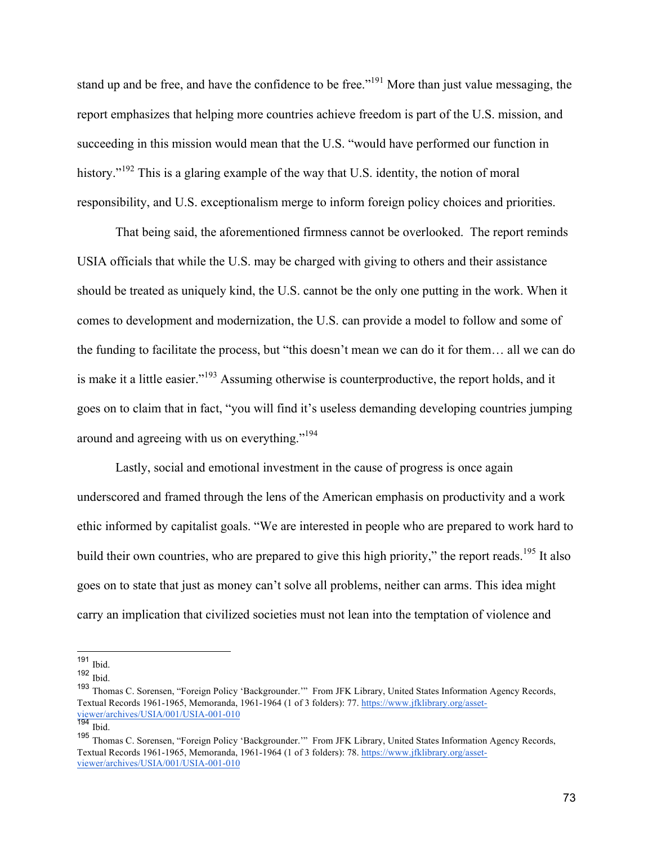stand up and be free, and have the confidence to be free."<sup>191</sup> More than just value messaging, the report emphasizes that helping more countries achieve freedom is part of the U.S. mission, and succeeding in this mission would mean that the U.S. "would have performed our function in history."<sup>192</sup> This is a glaring example of the way that U.S. identity, the notion of moral responsibility, and U.S. exceptionalism merge to inform foreign policy choices and priorities.

That being said, the aforementioned firmness cannot be overlooked. The report reminds USIA officials that while the U.S. may be charged with giving to others and their assistance should be treated as uniquely kind, the U.S. cannot be the only one putting in the work. When it comes to development and modernization, the U.S. can provide a model to follow and some of the funding to facilitate the process, but "this doesn't mean we can do it for them… all we can do is make it a little easier."193 Assuming otherwise is counterproductive, the report holds, and it goes on to claim that in fact, "you will find it's useless demanding developing countries jumping around and agreeing with us on everything."194

Lastly, social and emotional investment in the cause of progress is once again underscored and framed through the lens of the American emphasis on productivity and a work ethic informed by capitalist goals. "We are interested in people who are prepared to work hard to build their own countries, who are prepared to give this high priority," the report reads.<sup>195</sup> It also goes on to state that just as money can't solve all problems, neither can arms. This idea might carry an implication that civilized societies must not lean into the temptation of violence and

 <sup>191</sup> Ibid.

<sup>192</sup> Ibid.

<sup>193</sup> Thomas C. Sorensen, "Foreign Policy 'Backgrounder.'" From JFK Library, United States Information Agency Records, Textual Records 1961-1965, Memoranda, 1961-1964 (1 of 3 folders): 77. https://www.jfklibrary.org/assetviewer/archives/USIA/001/USIA-001-010

 $\frac{194}{1}$  Ibid.

<sup>195</sup> Thomas C. Sorensen, "Foreign Policy 'Backgrounder.'" From JFK Library, United States Information Agency Records, Textual Records 1961-1965, Memoranda, 1961-1964 (1 of 3 folders): 78. https://www.jfklibrary.org/assetviewer/archives/USIA/001/USIA-001-010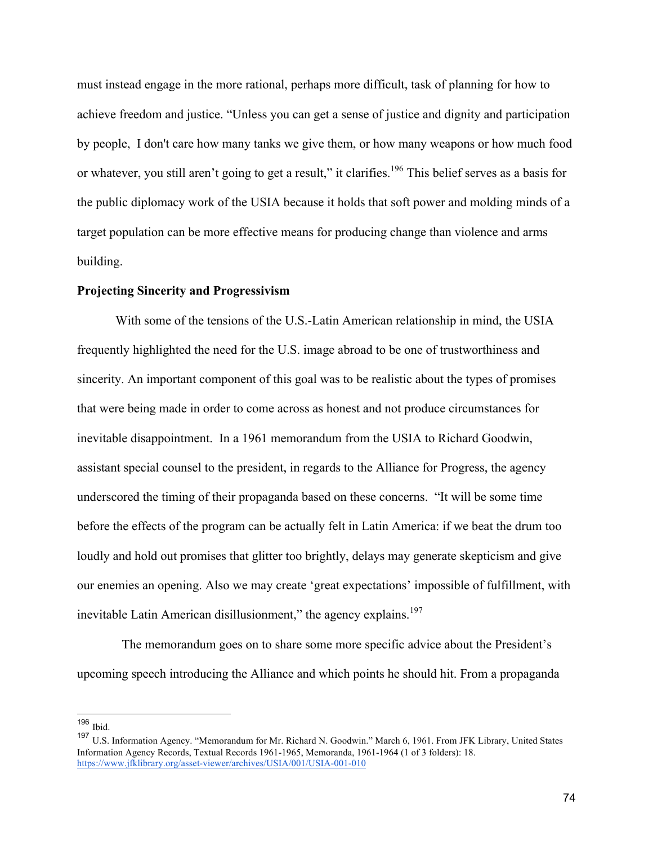must instead engage in the more rational, perhaps more difficult, task of planning for how to achieve freedom and justice. "Unless you can get a sense of justice and dignity and participation by people, I don't care how many tanks we give them, or how many weapons or how much food or whatever, you still aren't going to get a result," it clarifies.<sup>196</sup> This belief serves as a basis for the public diplomacy work of the USIA because it holds that soft power and molding minds of a target population can be more effective means for producing change than violence and arms building.

#### **Projecting Sincerity and Progressivism**

With some of the tensions of the U.S.-Latin American relationship in mind, the USIA frequently highlighted the need for the U.S. image abroad to be one of trustworthiness and sincerity. An important component of this goal was to be realistic about the types of promises that were being made in order to come across as honest and not produce circumstances for inevitable disappointment. In a 1961 memorandum from the USIA to Richard Goodwin, assistant special counsel to the president, in regards to the Alliance for Progress, the agency underscored the timing of their propaganda based on these concerns. "It will be some time before the effects of the program can be actually felt in Latin America: if we beat the drum too loudly and hold out promises that glitter too brightly, delays may generate skepticism and give our enemies an opening. Also we may create 'great expectations' impossible of fulfillment, with inevitable Latin American disillusionment," the agency explains. $197$ 

 The memorandum goes on to share some more specific advice about the President's upcoming speech introducing the Alliance and which points he should hit. From a propaganda

 <sup>196</sup> Ibid.

<sup>197</sup> U.S. Information Agency. "Memorandum for Mr. Richard N. Goodwin." March 6, 1961. From JFK Library, United States Information Agency Records, Textual Records 1961-1965, Memoranda, 1961-1964 (1 of 3 folders): 18. https://www.jfklibrary.org/asset-viewer/archives/USIA/001/USIA-001-010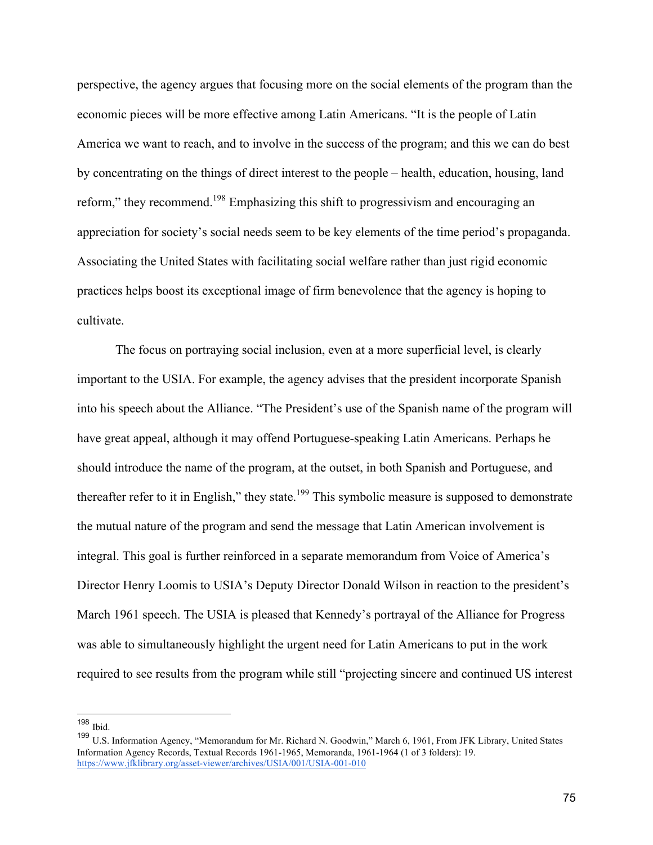perspective, the agency argues that focusing more on the social elements of the program than the economic pieces will be more effective among Latin Americans. "It is the people of Latin America we want to reach, and to involve in the success of the program; and this we can do best by concentrating on the things of direct interest to the people – health, education, housing, land reform," they recommend.<sup>198</sup> Emphasizing this shift to progressivism and encouraging an appreciation for society's social needs seem to be key elements of the time period's propaganda. Associating the United States with facilitating social welfare rather than just rigid economic practices helps boost its exceptional image of firm benevolence that the agency is hoping to cultivate.

The focus on portraying social inclusion, even at a more superficial level, is clearly important to the USIA. For example, the agency advises that the president incorporate Spanish into his speech about the Alliance. "The President's use of the Spanish name of the program will have great appeal, although it may offend Portuguese-speaking Latin Americans. Perhaps he should introduce the name of the program, at the outset, in both Spanish and Portuguese, and thereafter refer to it in English," they state.<sup>199</sup> This symbolic measure is supposed to demonstrate the mutual nature of the program and send the message that Latin American involvement is integral. This goal is further reinforced in a separate memorandum from Voice of America's Director Henry Loomis to USIA's Deputy Director Donald Wilson in reaction to the president's March 1961 speech. The USIA is pleased that Kennedy's portrayal of the Alliance for Progress was able to simultaneously highlight the urgent need for Latin Americans to put in the work required to see results from the program while still "projecting sincere and continued US interest

 <sup>198</sup> Ibid.

<sup>199</sup> U.S. Information Agency, "Memorandum for Mr. Richard N. Goodwin," March 6, 1961, From JFK Library, United States Information Agency Records, Textual Records 1961-1965, Memoranda, 1961-1964 (1 of 3 folders): 19. https://www.jfklibrary.org/asset-viewer/archives/USIA/001/USIA-001-010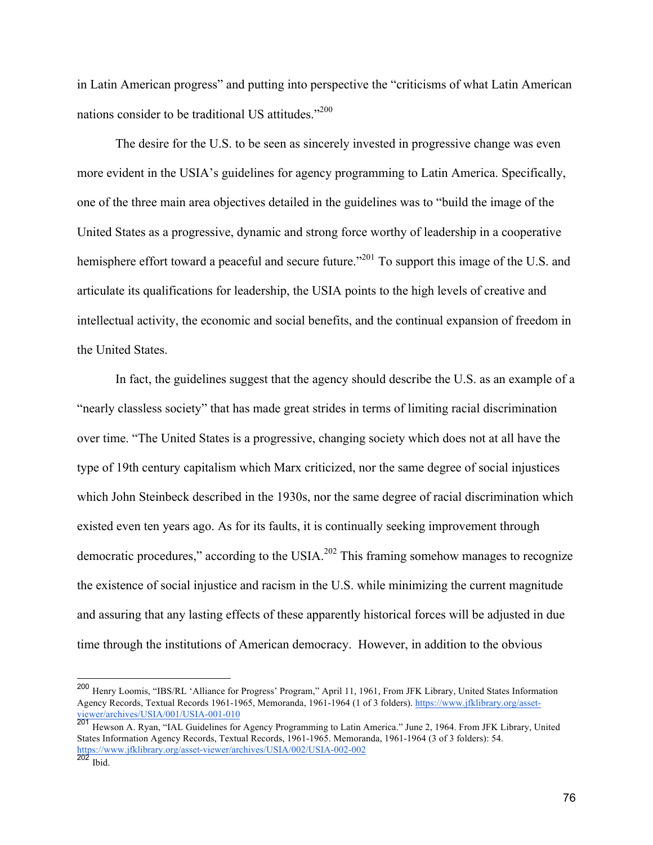in Latin American progress" and putting into perspective the "criticisms of what Latin American nations consider to be traditional US attitudes."<sup>200</sup>

The desire for the U.S. to be seen as sincerely invested in progressive change was even more evident in the USIA's guidelines for agency programming to Latin America. Specifically, one of the three main area objectives detailed in the guidelines was to "build the image of the United States as a progressive, dynamic and strong force worthy of leadership in a cooperative hemisphere effort toward a peaceful and secure future."<sup>201</sup> To support this image of the U.S. and articulate its qualifications for leadership, the USIA points to the high levels of creative and intellectual activity, the economic and social benefits, and the continual expansion of freedom in the United States.

In fact, the guidelines suggest that the agency should describe the U.S. as an example of a "nearly classless society" that has made great strides in terms of limiting racial discrimination over time. "The United States is a progressive, changing society which does not at all have the type of 19th century capitalism which Marx criticized, nor the same degree of social injustices which John Steinbeck described in the 1930s, nor the same degree of racial discrimination which existed even ten years ago. As for its faults, it is continually seeking improvement through democratic procedures," according to the USIA.<sup>202</sup> This framing somehow manages to recognize the existence of social injustice and racism in the U.S. while minimizing the current magnitude and assuring that any lasting effects of these apparently historical forces will be adjusted in due time through the institutions of American democracy. However, in addition to the obvious

 <sup>200</sup> Henry Loomis, "IBS/RL 'Alliance for Progress' Program," April 11, 1961, From JFK Library, United States Information Agency Records, Textual Records 1961-1965, Memoranda, 1961-1964 (1 of 3 folders). https://www.jfklibrary.org/assetviewer/archives/USIA/001/USIA-001-010

<sup>201</sup> Hewson A. Ryan, "IAL Guidelines for Agency Programming to Latin America." June 2, 1964. From JFK Library, United States Information Agency Records, Textual Records, 1961-1965. Memoranda, 1961-1964 (3 of 3 folders): 54. https://www.jfklibrary.org/asset-viewer/archives/USIA/002/USIA-002-002

 $202$  Ibid.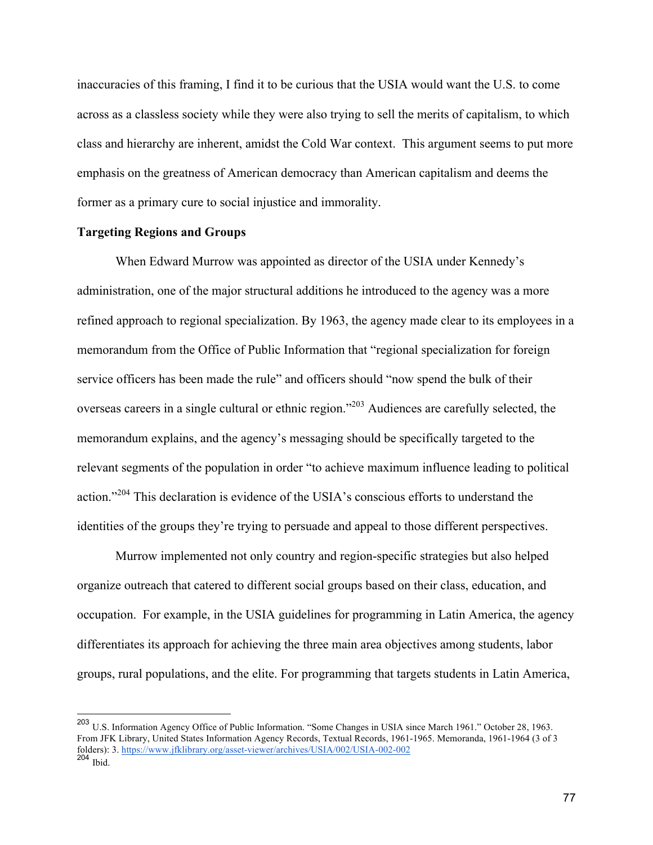inaccuracies of this framing, I find it to be curious that the USIA would want the U.S. to come across as a classless society while they were also trying to sell the merits of capitalism, to which class and hierarchy are inherent, amidst the Cold War context. This argument seems to put more emphasis on the greatness of American democracy than American capitalism and deems the former as a primary cure to social injustice and immorality.

# **Targeting Regions and Groups**

When Edward Murrow was appointed as director of the USIA under Kennedy's administration, one of the major structural additions he introduced to the agency was a more refined approach to regional specialization. By 1963, the agency made clear to its employees in a memorandum from the Office of Public Information that "regional specialization for foreign service officers has been made the rule" and officers should "now spend the bulk of their overseas careers in a single cultural or ethnic region."203 Audiences are carefully selected, the memorandum explains, and the agency's messaging should be specifically targeted to the relevant segments of the population in order "to achieve maximum influence leading to political action."<sup>204</sup> This declaration is evidence of the USIA's conscious efforts to understand the identities of the groups they're trying to persuade and appeal to those different perspectives.

Murrow implemented not only country and region-specific strategies but also helped organize outreach that catered to different social groups based on their class, education, and occupation. For example, in the USIA guidelines for programming in Latin America, the agency differentiates its approach for achieving the three main area objectives among students, labor groups, rural populations, and the elite. For programming that targets students in Latin America,

 <sup>203</sup> U.S. Information Agency Office of Public Information. "Some Changes in USIA since March 1961." October 28, 1963. From JFK Library, United States Information Agency Records, Textual Records, 1961-1965. Memoranda, 1961-1964 (3 of 3 folders): 3. https://www.jfklibrary.org/asset-viewer/archives/USIA/002/USIA-002-002  $204$  Ibid.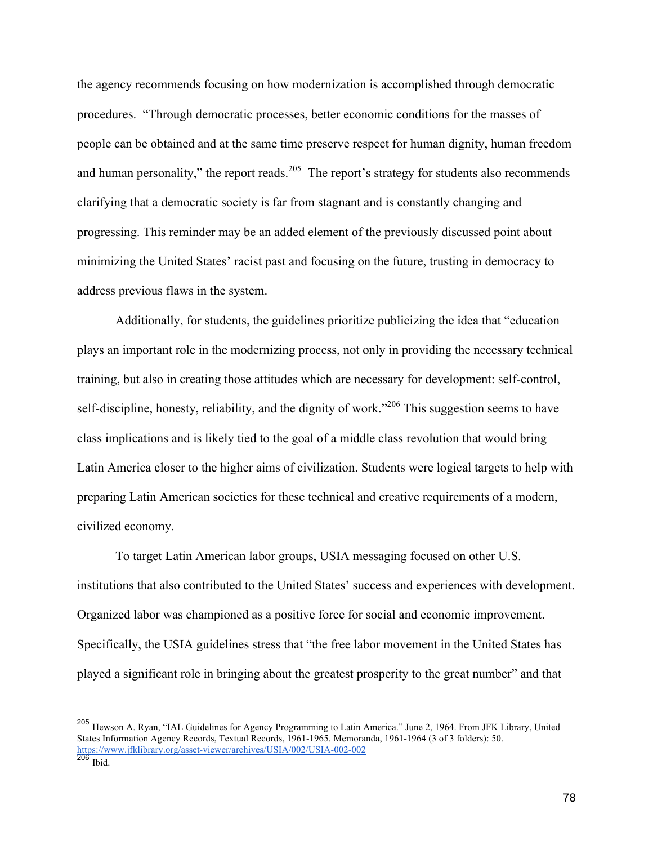the agency recommends focusing on how modernization is accomplished through democratic procedures. "Through democratic processes, better economic conditions for the masses of people can be obtained and at the same time preserve respect for human dignity, human freedom and human personality," the report reads.<sup>205</sup> The report's strategy for students also recommends clarifying that a democratic society is far from stagnant and is constantly changing and progressing. This reminder may be an added element of the previously discussed point about minimizing the United States' racist past and focusing on the future, trusting in democracy to address previous flaws in the system.

Additionally, for students, the guidelines prioritize publicizing the idea that "education plays an important role in the modernizing process, not only in providing the necessary technical training, but also in creating those attitudes which are necessary for development: self-control, self-discipline, honesty, reliability, and the dignity of work."<sup>206</sup> This suggestion seems to have class implications and is likely tied to the goal of a middle class revolution that would bring Latin America closer to the higher aims of civilization. Students were logical targets to help with preparing Latin American societies for these technical and creative requirements of a modern, civilized economy.

To target Latin American labor groups, USIA messaging focused on other U.S. institutions that also contributed to the United States' success and experiences with development. Organized labor was championed as a positive force for social and economic improvement. Specifically, the USIA guidelines stress that "the free labor movement in the United States has played a significant role in bringing about the greatest prosperity to the great number" and that

 <sup>205</sup> Hewson A. Ryan, "IAL Guidelines for Agency Programming to Latin America." June 2, 1964. From JFK Library, United States Information Agency Records, Textual Records, 1961-1965. Memoranda, 1961-1964 (3 of 3 folders): 50. https://www.jfklibrary.org/asset-viewer/archives/USIA/002/USIA-002-002

 $206$  Ibid.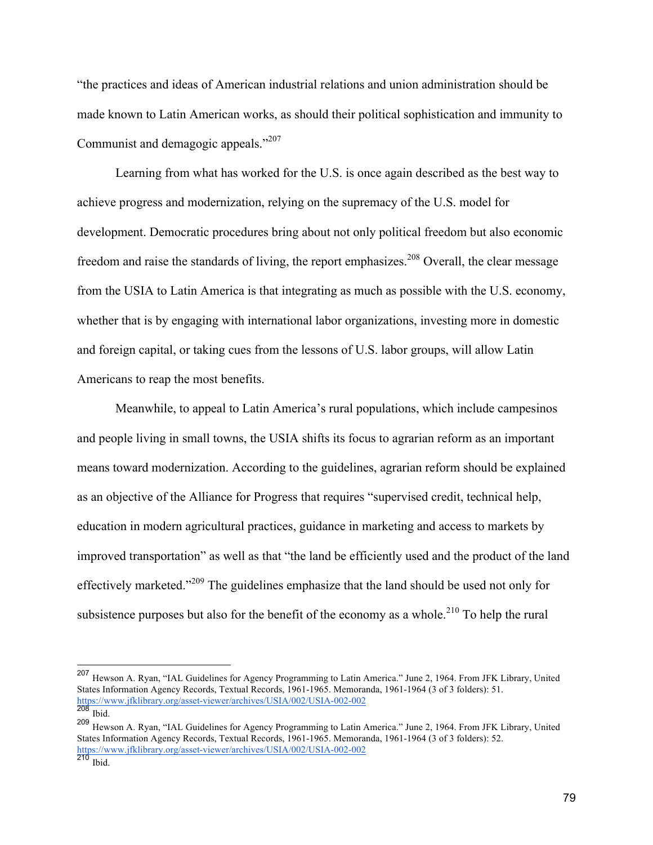"the practices and ideas of American industrial relations and union administration should be made known to Latin American works, as should their political sophistication and immunity to Communist and demagogic appeals."<sup>207</sup>

Learning from what has worked for the U.S. is once again described as the best way to achieve progress and modernization, relying on the supremacy of the U.S. model for development. Democratic procedures bring about not only political freedom but also economic freedom and raise the standards of living, the report emphasizes.<sup>208</sup> Overall, the clear message from the USIA to Latin America is that integrating as much as possible with the U.S. economy, whether that is by engaging with international labor organizations, investing more in domestic and foreign capital, or taking cues from the lessons of U.S. labor groups, will allow Latin Americans to reap the most benefits.

Meanwhile, to appeal to Latin America's rural populations, which include campesinos and people living in small towns, the USIA shifts its focus to agrarian reform as an important means toward modernization. According to the guidelines, agrarian reform should be explained as an objective of the Alliance for Progress that requires "supervised credit, technical help, education in modern agricultural practices, guidance in marketing and access to markets by improved transportation" as well as that "the land be efficiently used and the product of the land effectively marketed."<sup>209</sup> The guidelines emphasize that the land should be used not only for subsistence purposes but also for the benefit of the economy as a whole.<sup>210</sup> To help the rural

 <sup>207</sup> Hewson A. Ryan, "IAL Guidelines for Agency Programming to Latin America." June 2, 1964. From JFK Library, United States Information Agency Records, Textual Records, 1961-1965. Memoranda, 1961-1964 (3 of 3 folders): 51. https://www.jfklibrary.org/asset-viewer/archives/USIA/002/USIA-002-002

 $208$  Ibid.

<sup>209</sup> Hewson A. Ryan, "IAL Guidelines for Agency Programming to Latin America." June 2, 1964. From JFK Library, United States Information Agency Records, Textual Records, 1961-1965. Memoranda, 1961-1964 (3 of 3 folders): 52. https://www.jfklibrary.org/asset-viewer/archives/USIA/002/USIA-002-002

 $^{210}$  Ibid.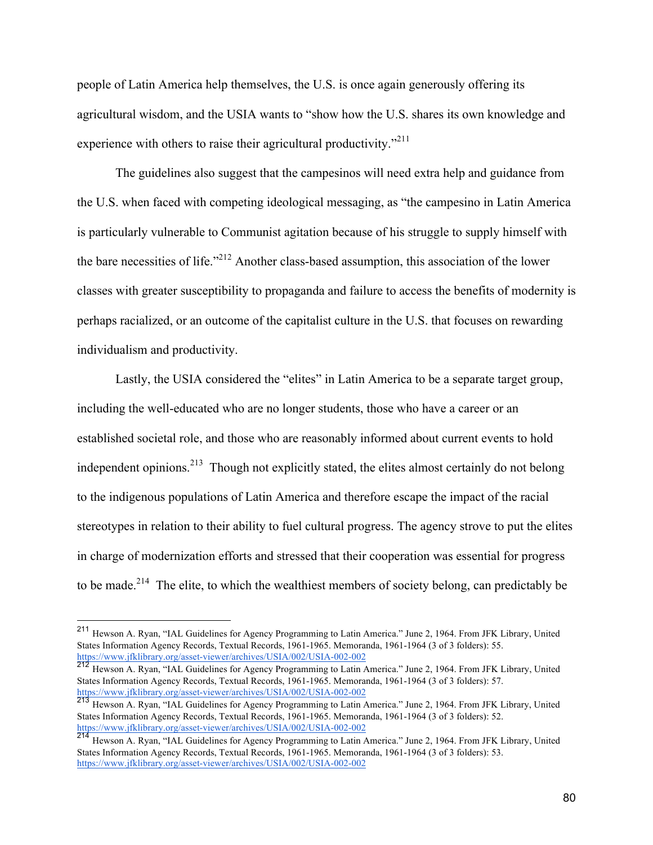people of Latin America help themselves, the U.S. is once again generously offering its agricultural wisdom, and the USIA wants to "show how the U.S. shares its own knowledge and experience with others to raise their agricultural productivity. $12^{11}$ 

The guidelines also suggest that the campesinos will need extra help and guidance from the U.S. when faced with competing ideological messaging, as "the campesino in Latin America is particularly vulnerable to Communist agitation because of his struggle to supply himself with the bare necessities of life."<sup>212</sup> Another class-based assumption, this association of the lower classes with greater susceptibility to propaganda and failure to access the benefits of modernity is perhaps racialized, or an outcome of the capitalist culture in the U.S. that focuses on rewarding individualism and productivity.

Lastly, the USIA considered the "elites" in Latin America to be a separate target group, including the well-educated who are no longer students, those who have a career or an established societal role, and those who are reasonably informed about current events to hold independent opinions.<sup>213</sup> Though not explicitly stated, the elites almost certainly do not belong to the indigenous populations of Latin America and therefore escape the impact of the racial stereotypes in relation to their ability to fuel cultural progress. The agency strove to put the elites in charge of modernization efforts and stressed that their cooperation was essential for progress to be made.<sup>214</sup> The elite, to which the wealthiest members of society belong, can predictably be

 <sup>211</sup> Hewson A. Ryan, "IAL Guidelines for Agency Programming to Latin America." June 2, 1964. From JFK Library, United States Information Agency Records, Textual Records, 1961-1965. Memoranda, 1961-1964 (3 of 3 folders): 55. https://www.jfklibrary.org/asset-viewer/archives/USIA/002/USIA-002-002

<sup>212</sup> Hewson A. Ryan, "IAL Guidelines for Agency Programming to Latin America." June 2, 1964. From JFK Library, United States Information Agency Records, Textual Records, 1961-1965. Memoranda, 1961-1964 (3 of 3 folders): 57. https://www.jfklibrary.org/asset-viewer/archives/USIA/002/USIA-002-002

<sup>213</sup> Hewson A. Ryan, "IAL Guidelines for Agency Programming to Latin America." June 2, 1964. From JFK Library, United States Information Agency Records, Textual Records, 1961-1965. Memoranda, 1961-1964 (3 of 3 folders): 52. https://www.jfklibrary.org/asset-viewer/archives/USIA/002/USIA-002-002

<sup>214</sup> Hewson A. Ryan, "IAL Guidelines for Agency Programming to Latin America." June 2, 1964. From JFK Library, United States Information Agency Records, Textual Records, 1961-1965. Memoranda, 1961-1964 (3 of 3 folders): 53. https://www.jfklibrary.org/asset-viewer/archives/USIA/002/USIA-002-002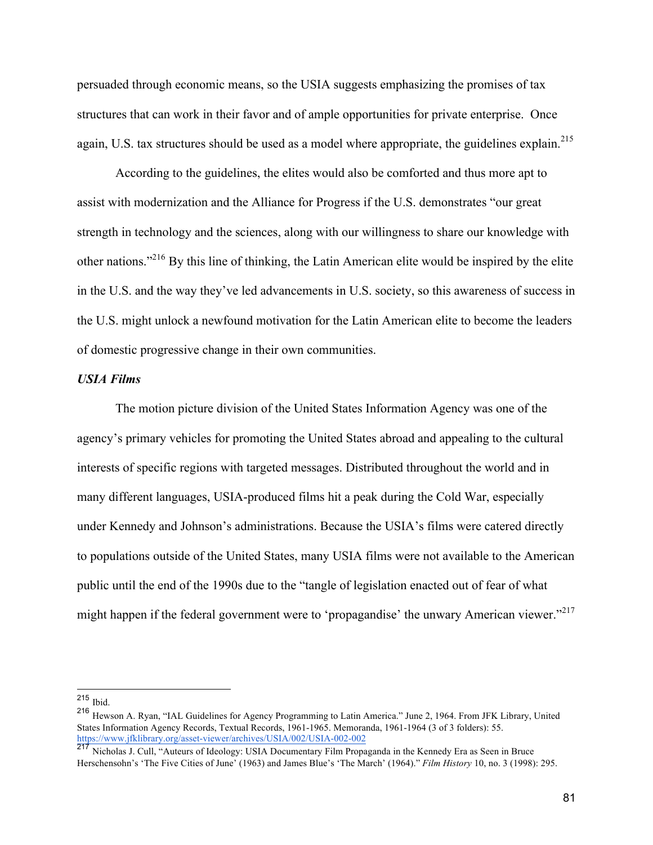persuaded through economic means, so the USIA suggests emphasizing the promises of tax structures that can work in their favor and of ample opportunities for private enterprise. Once again, U.S. tax structures should be used as a model where appropriate, the guidelines explain.<sup>215</sup>

According to the guidelines, the elites would also be comforted and thus more apt to assist with modernization and the Alliance for Progress if the U.S. demonstrates "our great strength in technology and the sciences, along with our willingness to share our knowledge with other nations."216 By this line of thinking, the Latin American elite would be inspired by the elite in the U.S. and the way they've led advancements in U.S. society, so this awareness of success in the U.S. might unlock a newfound motivation for the Latin American elite to become the leaders of domestic progressive change in their own communities.

# *USIA Films*

The motion picture division of the United States Information Agency was one of the agency's primary vehicles for promoting the United States abroad and appealing to the cultural interests of specific regions with targeted messages. Distributed throughout the world and in many different languages, USIA-produced films hit a peak during the Cold War, especially under Kennedy and Johnson's administrations. Because the USIA's films were catered directly to populations outside of the United States, many USIA films were not available to the American public until the end of the 1990s due to the "tangle of legislation enacted out of fear of what might happen if the federal government were to 'propagandise' the unwary American viewer."<sup>217</sup>

 $215$  Ibid.

<sup>216</sup> Hewson A. Ryan, "IAL Guidelines for Agency Programming to Latin America." June 2, 1964. From JFK Library, United States Information Agency Records, Textual Records, 1961-1965. Memoranda, 1961-1964 (3 of 3 folders): 55. https://www.jfklibrary.org/asset-viewer/archives/USIA/002/USIA-002-002

<sup>&</sup>lt;sup>217</sup> Nicholas J. Cull, "Auteurs of Ideology: USIA Documentary Film Propaganda in the Kennedy Era as Seen in Bruce Herschensohn's 'The Five Cities of June' (1963) and James Blue's 'The March' (1964)." *Film History* 10, no. 3 (1998): 295.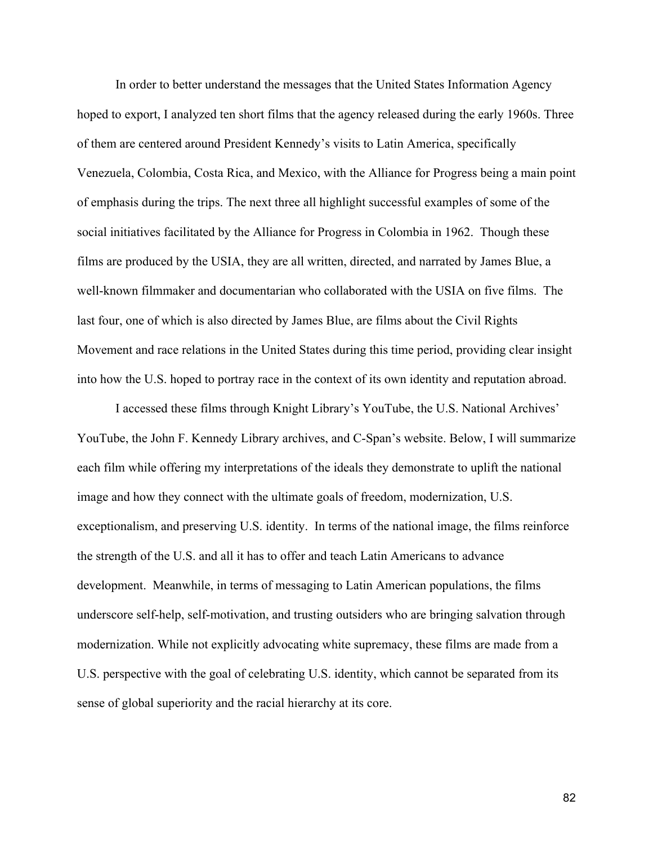In order to better understand the messages that the United States Information Agency hoped to export, I analyzed ten short films that the agency released during the early 1960s. Three of them are centered around President Kennedy's visits to Latin America, specifically Venezuela, Colombia, Costa Rica, and Mexico, with the Alliance for Progress being a main point of emphasis during the trips. The next three all highlight successful examples of some of the social initiatives facilitated by the Alliance for Progress in Colombia in 1962. Though these films are produced by the USIA, they are all written, directed, and narrated by James Blue, a well-known filmmaker and documentarian who collaborated with the USIA on five films. The last four, one of which is also directed by James Blue, are films about the Civil Rights Movement and race relations in the United States during this time period, providing clear insight into how the U.S. hoped to portray race in the context of its own identity and reputation abroad.

I accessed these films through Knight Library's YouTube, the U.S. National Archives' YouTube, the John F. Kennedy Library archives, and C-Span's website. Below, I will summarize each film while offering my interpretations of the ideals they demonstrate to uplift the national image and how they connect with the ultimate goals of freedom, modernization, U.S. exceptionalism, and preserving U.S. identity. In terms of the national image, the films reinforce the strength of the U.S. and all it has to offer and teach Latin Americans to advance development. Meanwhile, in terms of messaging to Latin American populations, the films underscore self-help, self-motivation, and trusting outsiders who are bringing salvation through modernization. While not explicitly advocating white supremacy, these films are made from a U.S. perspective with the goal of celebrating U.S. identity, which cannot be separated from its sense of global superiority and the racial hierarchy at its core.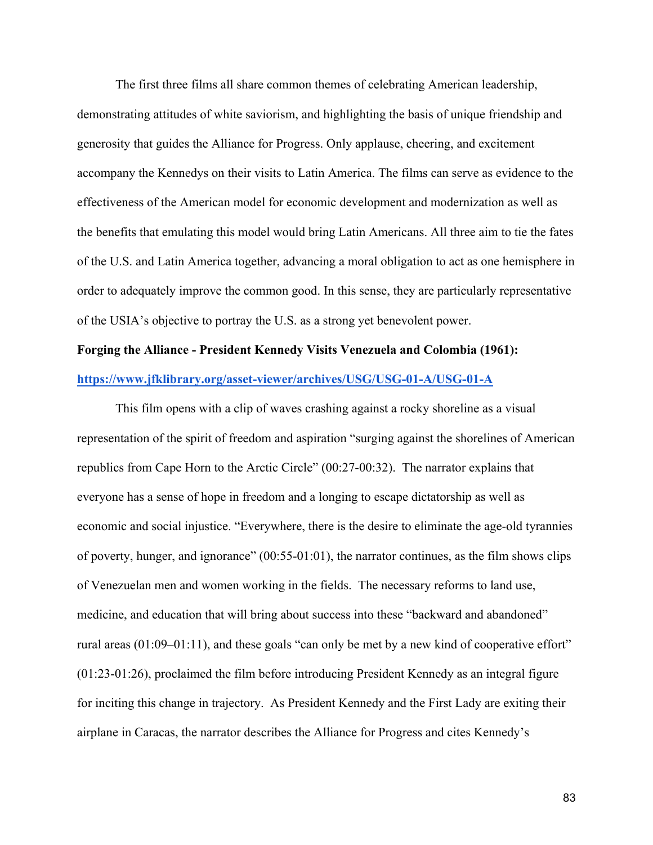The first three films all share common themes of celebrating American leadership, demonstrating attitudes of white saviorism, and highlighting the basis of unique friendship and generosity that guides the Alliance for Progress. Only applause, cheering, and excitement accompany the Kennedys on their visits to Latin America. The films can serve as evidence to the effectiveness of the American model for economic development and modernization as well as the benefits that emulating this model would bring Latin Americans. All three aim to tie the fates of the U.S. and Latin America together, advancing a moral obligation to act as one hemisphere in order to adequately improve the common good. In this sense, they are particularly representative of the USIA's objective to portray the U.S. as a strong yet benevolent power.

# **Forging the Alliance - President Kennedy Visits Venezuela and Colombia (1961): https://www.jfklibrary.org/asset-viewer/archives/USG/USG-01-A/USG-01-A**

This film opens with a clip of waves crashing against a rocky shoreline as a visual representation of the spirit of freedom and aspiration "surging against the shorelines of American republics from Cape Horn to the Arctic Circle" (00:27-00:32). The narrator explains that everyone has a sense of hope in freedom and a longing to escape dictatorship as well as economic and social injustice. "Everywhere, there is the desire to eliminate the age-old tyrannies of poverty, hunger, and ignorance" (00:55-01:01), the narrator continues, as the film shows clips of Venezuelan men and women working in the fields. The necessary reforms to land use, medicine, and education that will bring about success into these "backward and abandoned" rural areas (01:09–01:11), and these goals "can only be met by a new kind of cooperative effort" (01:23-01:26), proclaimed the film before introducing President Kennedy as an integral figure for inciting this change in trajectory. As President Kennedy and the First Lady are exiting their airplane in Caracas, the narrator describes the Alliance for Progress and cites Kennedy's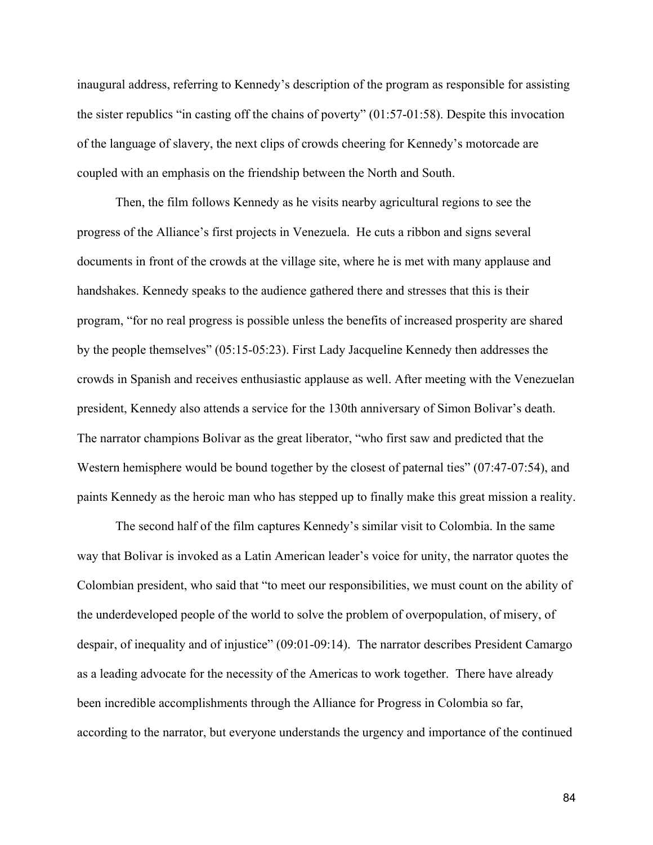inaugural address, referring to Kennedy's description of the program as responsible for assisting the sister republics "in casting off the chains of poverty" (01:57-01:58). Despite this invocation of the language of slavery, the next clips of crowds cheering for Kennedy's motorcade are coupled with an emphasis on the friendship between the North and South.

Then, the film follows Kennedy as he visits nearby agricultural regions to see the progress of the Alliance's first projects in Venezuela. He cuts a ribbon and signs several documents in front of the crowds at the village site, where he is met with many applause and handshakes. Kennedy speaks to the audience gathered there and stresses that this is their program, "for no real progress is possible unless the benefits of increased prosperity are shared by the people themselves" (05:15-05:23). First Lady Jacqueline Kennedy then addresses the crowds in Spanish and receives enthusiastic applause as well. After meeting with the Venezuelan president, Kennedy also attends a service for the 130th anniversary of Simon Bolivar's death. The narrator champions Bolivar as the great liberator, "who first saw and predicted that the Western hemisphere would be bound together by the closest of paternal ties" (07:47-07:54), and paints Kennedy as the heroic man who has stepped up to finally make this great mission a reality.

The second half of the film captures Kennedy's similar visit to Colombia. In the same way that Bolivar is invoked as a Latin American leader's voice for unity, the narrator quotes the Colombian president, who said that "to meet our responsibilities, we must count on the ability of the underdeveloped people of the world to solve the problem of overpopulation, of misery, of despair, of inequality and of injustice" (09:01-09:14). The narrator describes President Camargo as a leading advocate for the necessity of the Americas to work together. There have already been incredible accomplishments through the Alliance for Progress in Colombia so far, according to the narrator, but everyone understands the urgency and importance of the continued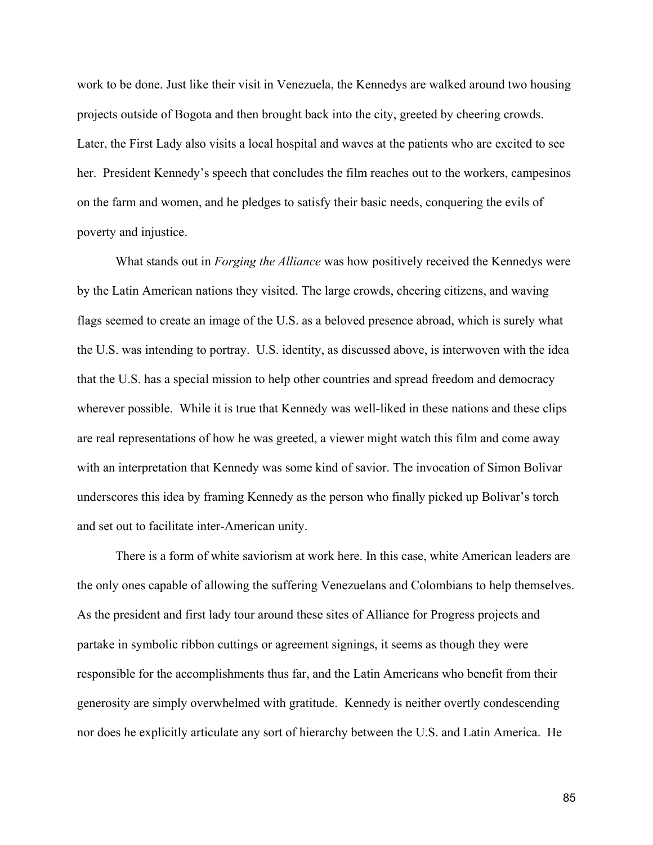work to be done. Just like their visit in Venezuela, the Kennedys are walked around two housing projects outside of Bogota and then brought back into the city, greeted by cheering crowds. Later, the First Lady also visits a local hospital and waves at the patients who are excited to see her. President Kennedy's speech that concludes the film reaches out to the workers, campesinos on the farm and women, and he pledges to satisfy their basic needs, conquering the evils of poverty and injustice.

What stands out in *Forging the Alliance* was how positively received the Kennedys were by the Latin American nations they visited. The large crowds, cheering citizens, and waving flags seemed to create an image of the U.S. as a beloved presence abroad, which is surely what the U.S. was intending to portray. U.S. identity, as discussed above, is interwoven with the idea that the U.S. has a special mission to help other countries and spread freedom and democracy wherever possible. While it is true that Kennedy was well-liked in these nations and these clips are real representations of how he was greeted, a viewer might watch this film and come away with an interpretation that Kennedy was some kind of savior. The invocation of Simon Bolivar underscores this idea by framing Kennedy as the person who finally picked up Bolivar's torch and set out to facilitate inter-American unity.

There is a form of white saviorism at work here. In this case, white American leaders are the only ones capable of allowing the suffering Venezuelans and Colombians to help themselves. As the president and first lady tour around these sites of Alliance for Progress projects and partake in symbolic ribbon cuttings or agreement signings, it seems as though they were responsible for the accomplishments thus far, and the Latin Americans who benefit from their generosity are simply overwhelmed with gratitude. Kennedy is neither overtly condescending nor does he explicitly articulate any sort of hierarchy between the U.S. and Latin America. He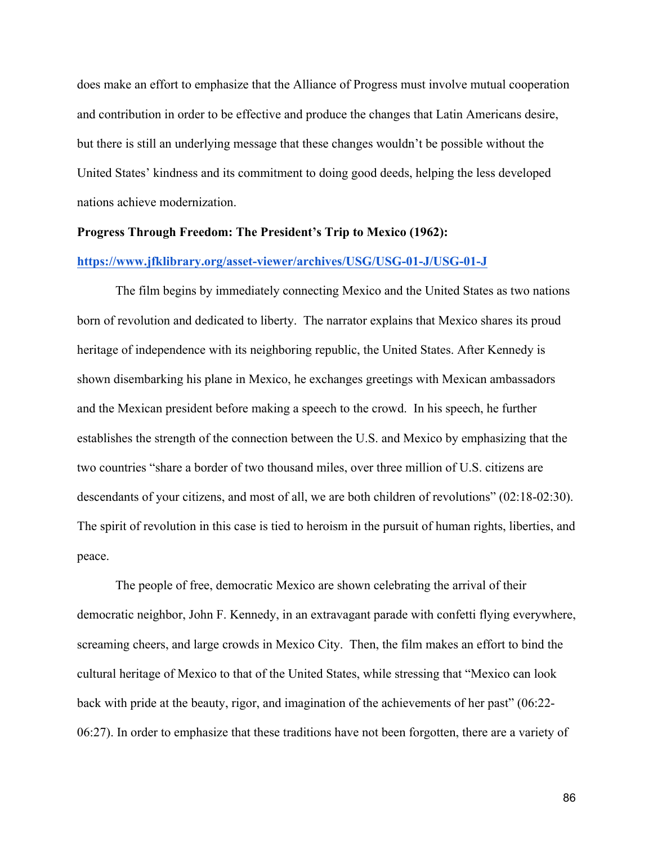does make an effort to emphasize that the Alliance of Progress must involve mutual cooperation and contribution in order to be effective and produce the changes that Latin Americans desire, but there is still an underlying message that these changes wouldn't be possible without the United States' kindness and its commitment to doing good deeds, helping the less developed nations achieve modernization.

# **Progress Through Freedom: The President's Trip to Mexico (1962):**

# **https://www.jfklibrary.org/asset-viewer/archives/USG/USG-01-J/USG-01-J**

The film begins by immediately connecting Mexico and the United States as two nations born of revolution and dedicated to liberty. The narrator explains that Mexico shares its proud heritage of independence with its neighboring republic, the United States. After Kennedy is shown disembarking his plane in Mexico, he exchanges greetings with Mexican ambassadors and the Mexican president before making a speech to the crowd. In his speech, he further establishes the strength of the connection between the U.S. and Mexico by emphasizing that the two countries "share a border of two thousand miles, over three million of U.S. citizens are descendants of your citizens, and most of all, we are both children of revolutions" (02:18-02:30). The spirit of revolution in this case is tied to heroism in the pursuit of human rights, liberties, and peace.

The people of free, democratic Mexico are shown celebrating the arrival of their democratic neighbor, John F. Kennedy, in an extravagant parade with confetti flying everywhere, screaming cheers, and large crowds in Mexico City. Then, the film makes an effort to bind the cultural heritage of Mexico to that of the United States, while stressing that "Mexico can look back with pride at the beauty, rigor, and imagination of the achievements of her past" (06:22- 06:27). In order to emphasize that these traditions have not been forgotten, there are a variety of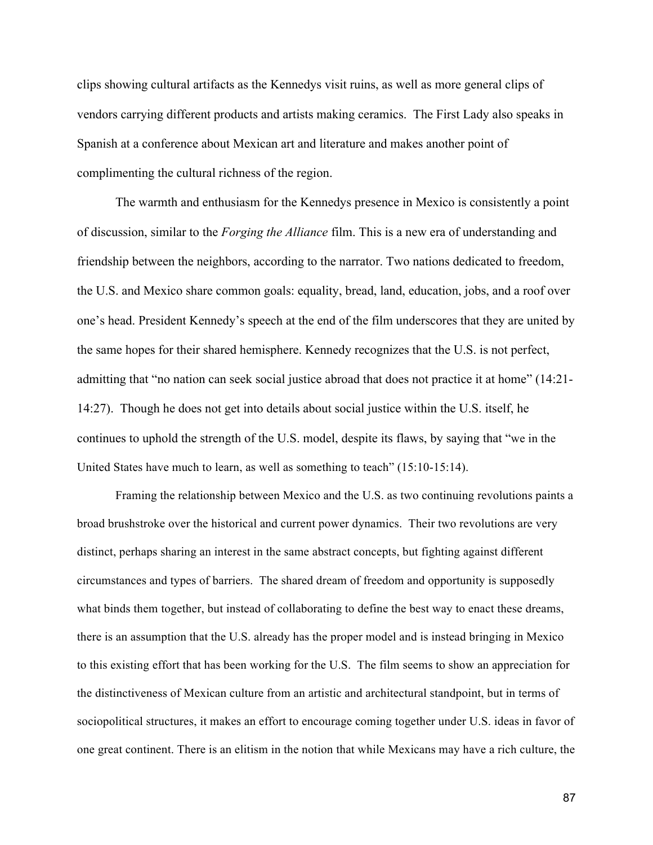clips showing cultural artifacts as the Kennedys visit ruins, as well as more general clips of vendors carrying different products and artists making ceramics. The First Lady also speaks in Spanish at a conference about Mexican art and literature and makes another point of complimenting the cultural richness of the region.

The warmth and enthusiasm for the Kennedys presence in Mexico is consistently a point of discussion, similar to the *Forging the Alliance* film. This is a new era of understanding and friendship between the neighbors, according to the narrator. Two nations dedicated to freedom, the U.S. and Mexico share common goals: equality, bread, land, education, jobs, and a roof over one's head. President Kennedy's speech at the end of the film underscores that they are united by the same hopes for their shared hemisphere. Kennedy recognizes that the U.S. is not perfect, admitting that "no nation can seek social justice abroad that does not practice it at home" (14:21- 14:27). Though he does not get into details about social justice within the U.S. itself, he continues to uphold the strength of the U.S. model, despite its flaws, by saying that "we in the United States have much to learn, as well as something to teach" (15:10-15:14).

Framing the relationship between Mexico and the U.S. as two continuing revolutions paints a broad brushstroke over the historical and current power dynamics. Their two revolutions are very distinct, perhaps sharing an interest in the same abstract concepts, but fighting against different circumstances and types of barriers. The shared dream of freedom and opportunity is supposedly what binds them together, but instead of collaborating to define the best way to enact these dreams, there is an assumption that the U.S. already has the proper model and is instead bringing in Mexico to this existing effort that has been working for the U.S. The film seems to show an appreciation for the distinctiveness of Mexican culture from an artistic and architectural standpoint, but in terms of sociopolitical structures, it makes an effort to encourage coming together under U.S. ideas in favor of one great continent. There is an elitism in the notion that while Mexicans may have a rich culture, the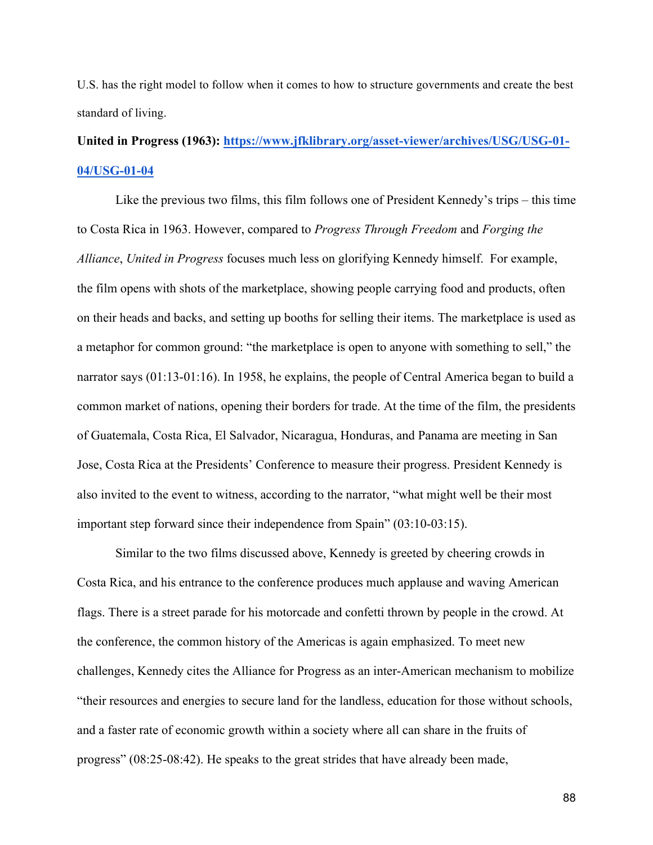U.S. has the right model to follow when it comes to how to structure governments and create the best standard of living.

# **United in Progress (1963): https://www.jfklibrary.org/asset-viewer/archives/USG/USG-01- 04/USG-01-04**

Like the previous two films, this film follows one of President Kennedy's trips – this time to Costa Rica in 1963. However, compared to *Progress Through Freedom* and *Forging the Alliance*, *United in Progress* focuses much less on glorifying Kennedy himself. For example, the film opens with shots of the marketplace, showing people carrying food and products, often on their heads and backs, and setting up booths for selling their items. The marketplace is used as a metaphor for common ground: "the marketplace is open to anyone with something to sell," the narrator says (01:13-01:16). In 1958, he explains, the people of Central America began to build a common market of nations, opening their borders for trade. At the time of the film, the presidents of Guatemala, Costa Rica, El Salvador, Nicaragua, Honduras, and Panama are meeting in San Jose, Costa Rica at the Presidents' Conference to measure their progress. President Kennedy is also invited to the event to witness, according to the narrator, "what might well be their most important step forward since their independence from Spain" (03:10-03:15).

Similar to the two films discussed above, Kennedy is greeted by cheering crowds in Costa Rica, and his entrance to the conference produces much applause and waving American flags. There is a street parade for his motorcade and confetti thrown by people in the crowd. At the conference, the common history of the Americas is again emphasized. To meet new challenges, Kennedy cites the Alliance for Progress as an inter-American mechanism to mobilize "their resources and energies to secure land for the landless, education for those without schools, and a faster rate of economic growth within a society where all can share in the fruits of progress" (08:25-08:42). He speaks to the great strides that have already been made,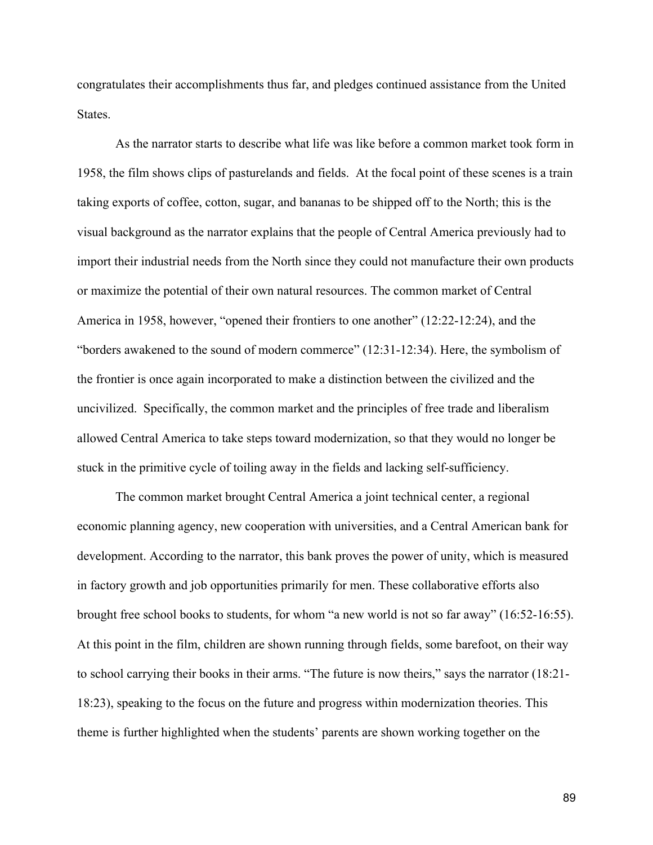congratulates their accomplishments thus far, and pledges continued assistance from the United States.

As the narrator starts to describe what life was like before a common market took form in 1958, the film shows clips of pasturelands and fields. At the focal point of these scenes is a train taking exports of coffee, cotton, sugar, and bananas to be shipped off to the North; this is the visual background as the narrator explains that the people of Central America previously had to import their industrial needs from the North since they could not manufacture their own products or maximize the potential of their own natural resources. The common market of Central America in 1958, however, "opened their frontiers to one another" (12:22-12:24), and the "borders awakened to the sound of modern commerce" (12:31-12:34). Here, the symbolism of the frontier is once again incorporated to make a distinction between the civilized and the uncivilized. Specifically, the common market and the principles of free trade and liberalism allowed Central America to take steps toward modernization, so that they would no longer be stuck in the primitive cycle of toiling away in the fields and lacking self-sufficiency.

The common market brought Central America a joint technical center, a regional economic planning agency, new cooperation with universities, and a Central American bank for development. According to the narrator, this bank proves the power of unity, which is measured in factory growth and job opportunities primarily for men. These collaborative efforts also brought free school books to students, for whom "a new world is not so far away" (16:52-16:55). At this point in the film, children are shown running through fields, some barefoot, on their way to school carrying their books in their arms. "The future is now theirs," says the narrator (18:21- 18:23), speaking to the focus on the future and progress within modernization theories. This theme is further highlighted when the students' parents are shown working together on the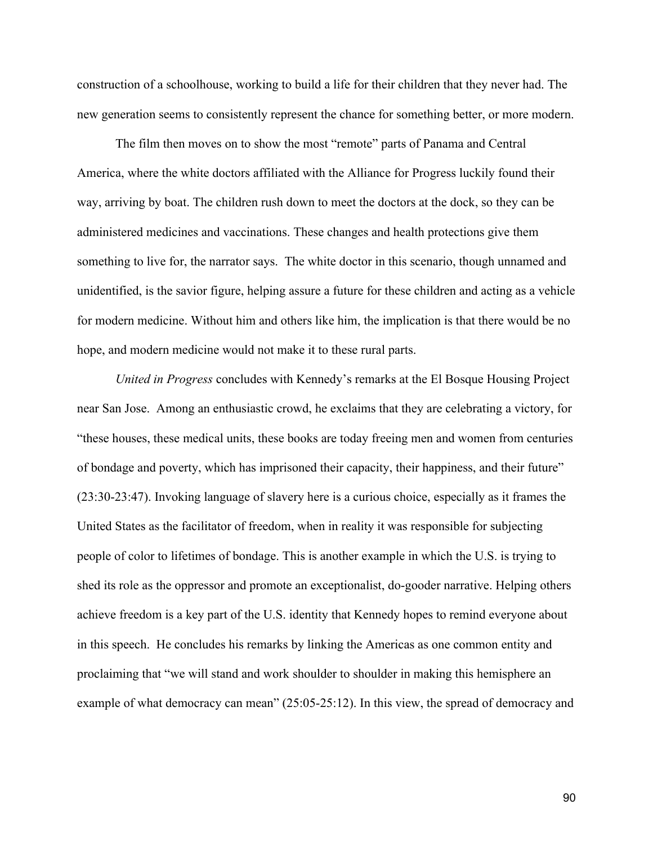construction of a schoolhouse, working to build a life for their children that they never had. The new generation seems to consistently represent the chance for something better, or more modern.

The film then moves on to show the most "remote" parts of Panama and Central America, where the white doctors affiliated with the Alliance for Progress luckily found their way, arriving by boat. The children rush down to meet the doctors at the dock, so they can be administered medicines and vaccinations. These changes and health protections give them something to live for, the narrator says. The white doctor in this scenario, though unnamed and unidentified, is the savior figure, helping assure a future for these children and acting as a vehicle for modern medicine. Without him and others like him, the implication is that there would be no hope, and modern medicine would not make it to these rural parts.

*United in Progress* concludes with Kennedy's remarks at the El Bosque Housing Project near San Jose. Among an enthusiastic crowd, he exclaims that they are celebrating a victory, for "these houses, these medical units, these books are today freeing men and women from centuries of bondage and poverty, which has imprisoned their capacity, their happiness, and their future" (23:30-23:47). Invoking language of slavery here is a curious choice, especially as it frames the United States as the facilitator of freedom, when in reality it was responsible for subjecting people of color to lifetimes of bondage. This is another example in which the U.S. is trying to shed its role as the oppressor and promote an exceptionalist, do-gooder narrative. Helping others achieve freedom is a key part of the U.S. identity that Kennedy hopes to remind everyone about in this speech. He concludes his remarks by linking the Americas as one common entity and proclaiming that "we will stand and work shoulder to shoulder in making this hemisphere an example of what democracy can mean" (25:05-25:12). In this view, the spread of democracy and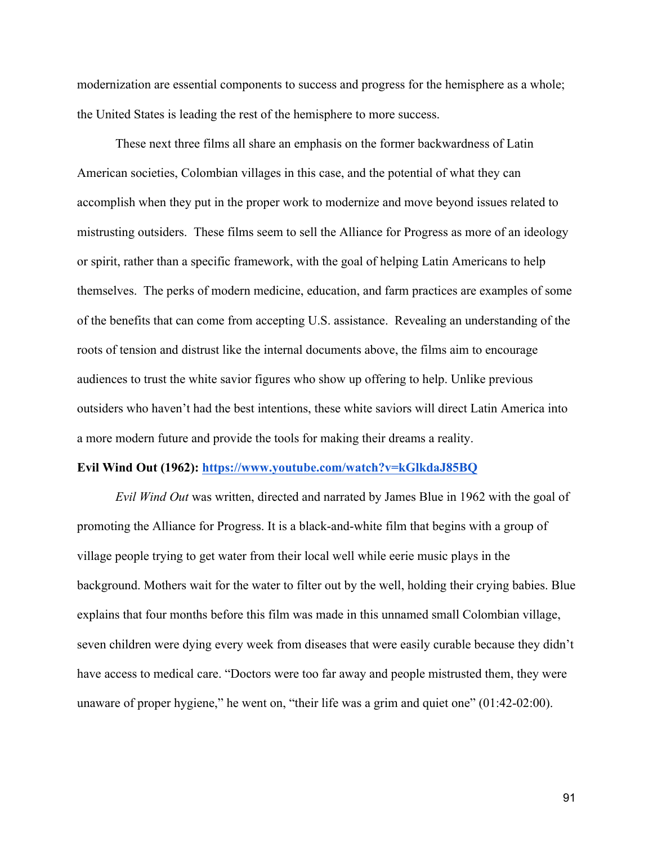modernization are essential components to success and progress for the hemisphere as a whole; the United States is leading the rest of the hemisphere to more success.

These next three films all share an emphasis on the former backwardness of Latin American societies, Colombian villages in this case, and the potential of what they can accomplish when they put in the proper work to modernize and move beyond issues related to mistrusting outsiders. These films seem to sell the Alliance for Progress as more of an ideology or spirit, rather than a specific framework, with the goal of helping Latin Americans to help themselves. The perks of modern medicine, education, and farm practices are examples of some of the benefits that can come from accepting U.S. assistance. Revealing an understanding of the roots of tension and distrust like the internal documents above, the films aim to encourage audiences to trust the white savior figures who show up offering to help. Unlike previous outsiders who haven't had the best intentions, these white saviors will direct Latin America into a more modern future and provide the tools for making their dreams a reality.

#### **Evil Wind Out (1962): https://www.youtube.com/watch?v=kGlkdaJ85BQ**

*Evil Wind Out* was written, directed and narrated by James Blue in 1962 with the goal of promoting the Alliance for Progress. It is a black-and-white film that begins with a group of village people trying to get water from their local well while eerie music plays in the background. Mothers wait for the water to filter out by the well, holding their crying babies. Blue explains that four months before this film was made in this unnamed small Colombian village, seven children were dying every week from diseases that were easily curable because they didn't have access to medical care. "Doctors were too far away and people mistrusted them, they were unaware of proper hygiene," he went on, "their life was a grim and quiet one" (01:42-02:00).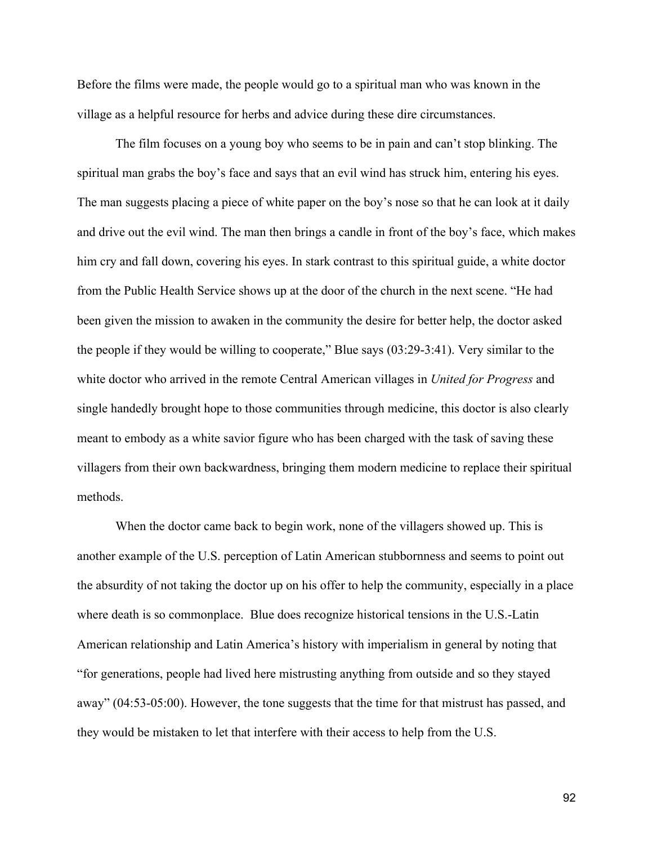Before the films were made, the people would go to a spiritual man who was known in the village as a helpful resource for herbs and advice during these dire circumstances.

The film focuses on a young boy who seems to be in pain and can't stop blinking. The spiritual man grabs the boy's face and says that an evil wind has struck him, entering his eyes. The man suggests placing a piece of white paper on the boy's nose so that he can look at it daily and drive out the evil wind. The man then brings a candle in front of the boy's face, which makes him cry and fall down, covering his eyes. In stark contrast to this spiritual guide, a white doctor from the Public Health Service shows up at the door of the church in the next scene. "He had been given the mission to awaken in the community the desire for better help, the doctor asked the people if they would be willing to cooperate," Blue says (03:29-3:41). Very similar to the white doctor who arrived in the remote Central American villages in *United for Progress* and single handedly brought hope to those communities through medicine, this doctor is also clearly meant to embody as a white savior figure who has been charged with the task of saving these villagers from their own backwardness, bringing them modern medicine to replace their spiritual methods.

When the doctor came back to begin work, none of the villagers showed up. This is another example of the U.S. perception of Latin American stubbornness and seems to point out the absurdity of not taking the doctor up on his offer to help the community, especially in a place where death is so commonplace. Blue does recognize historical tensions in the U.S.-Latin American relationship and Latin America's history with imperialism in general by noting that "for generations, people had lived here mistrusting anything from outside and so they stayed away" (04:53-05:00). However, the tone suggests that the time for that mistrust has passed, and they would be mistaken to let that interfere with their access to help from the U.S.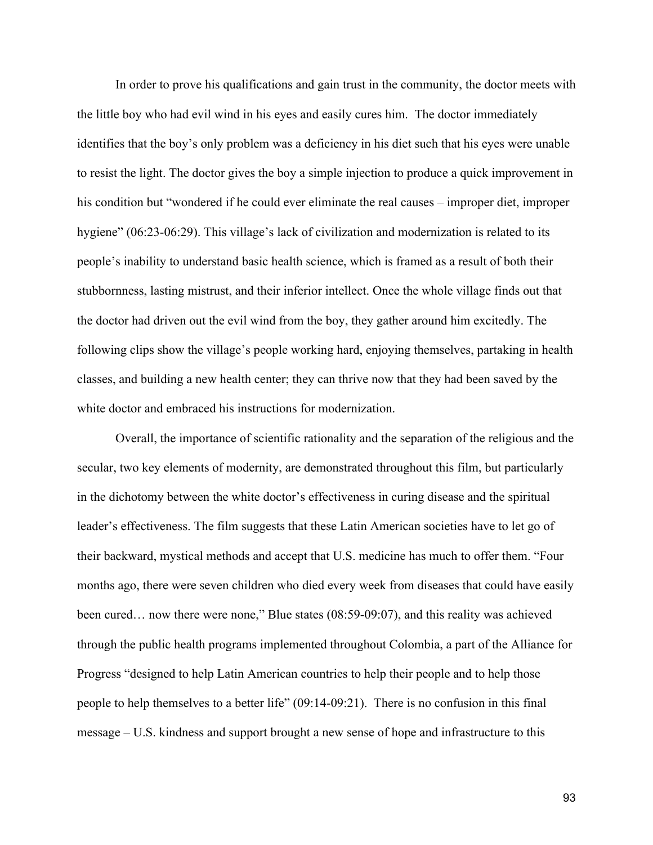In order to prove his qualifications and gain trust in the community, the doctor meets with the little boy who had evil wind in his eyes and easily cures him. The doctor immediately identifies that the boy's only problem was a deficiency in his diet such that his eyes were unable to resist the light. The doctor gives the boy a simple injection to produce a quick improvement in his condition but "wondered if he could ever eliminate the real causes – improper diet, improper hygiene" (06:23-06:29). This village's lack of civilization and modernization is related to its people's inability to understand basic health science, which is framed as a result of both their stubbornness, lasting mistrust, and their inferior intellect. Once the whole village finds out that the doctor had driven out the evil wind from the boy, they gather around him excitedly. The following clips show the village's people working hard, enjoying themselves, partaking in health classes, and building a new health center; they can thrive now that they had been saved by the white doctor and embraced his instructions for modernization.

Overall, the importance of scientific rationality and the separation of the religious and the secular, two key elements of modernity, are demonstrated throughout this film, but particularly in the dichotomy between the white doctor's effectiveness in curing disease and the spiritual leader's effectiveness. The film suggests that these Latin American societies have to let go of their backward, mystical methods and accept that U.S. medicine has much to offer them. "Four months ago, there were seven children who died every week from diseases that could have easily been cured… now there were none," Blue states (08:59-09:07), and this reality was achieved through the public health programs implemented throughout Colombia, a part of the Alliance for Progress "designed to help Latin American countries to help their people and to help those people to help themselves to a better life" (09:14-09:21). There is no confusion in this final message – U.S. kindness and support brought a new sense of hope and infrastructure to this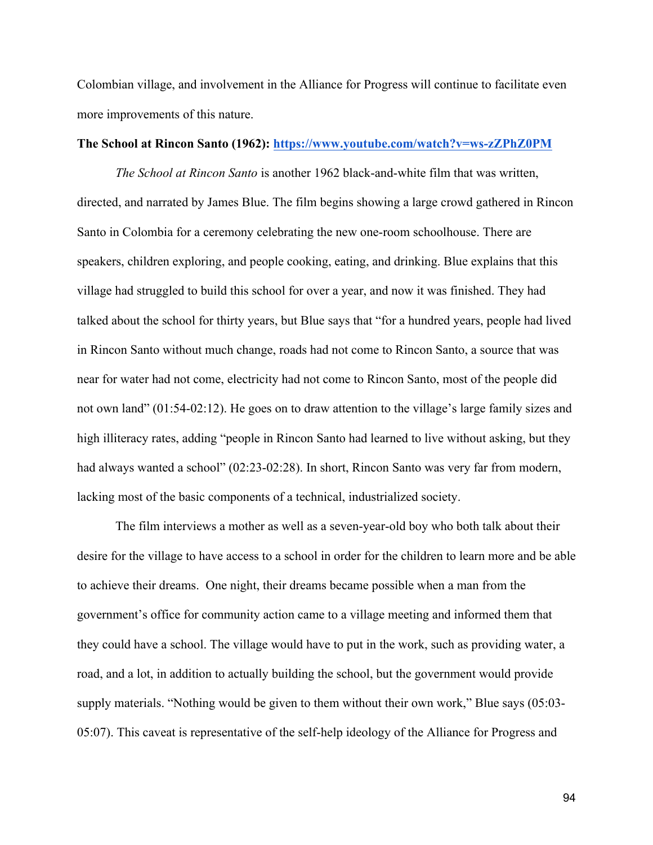Colombian village, and involvement in the Alliance for Progress will continue to facilitate even more improvements of this nature.

# **The School at Rincon Santo (1962): https://www.youtube.com/watch?v=ws-zZPhZ0PM**

*The School at Rincon Santo* is another 1962 black-and-white film that was written, directed, and narrated by James Blue. The film begins showing a large crowd gathered in Rincon Santo in Colombia for a ceremony celebrating the new one-room schoolhouse. There are speakers, children exploring, and people cooking, eating, and drinking. Blue explains that this village had struggled to build this school for over a year, and now it was finished. They had talked about the school for thirty years, but Blue says that "for a hundred years, people had lived in Rincon Santo without much change, roads had not come to Rincon Santo, a source that was near for water had not come, electricity had not come to Rincon Santo, most of the people did not own land" (01:54-02:12). He goes on to draw attention to the village's large family sizes and high illiteracy rates, adding "people in Rincon Santo had learned to live without asking, but they had always wanted a school" (02:23-02:28). In short, Rincon Santo was very far from modern, lacking most of the basic components of a technical, industrialized society.

The film interviews a mother as well as a seven-year-old boy who both talk about their desire for the village to have access to a school in order for the children to learn more and be able to achieve their dreams. One night, their dreams became possible when a man from the government's office for community action came to a village meeting and informed them that they could have a school. The village would have to put in the work, such as providing water, a road, and a lot, in addition to actually building the school, but the government would provide supply materials. "Nothing would be given to them without their own work," Blue says (05:03- 05:07). This caveat is representative of the self-help ideology of the Alliance for Progress and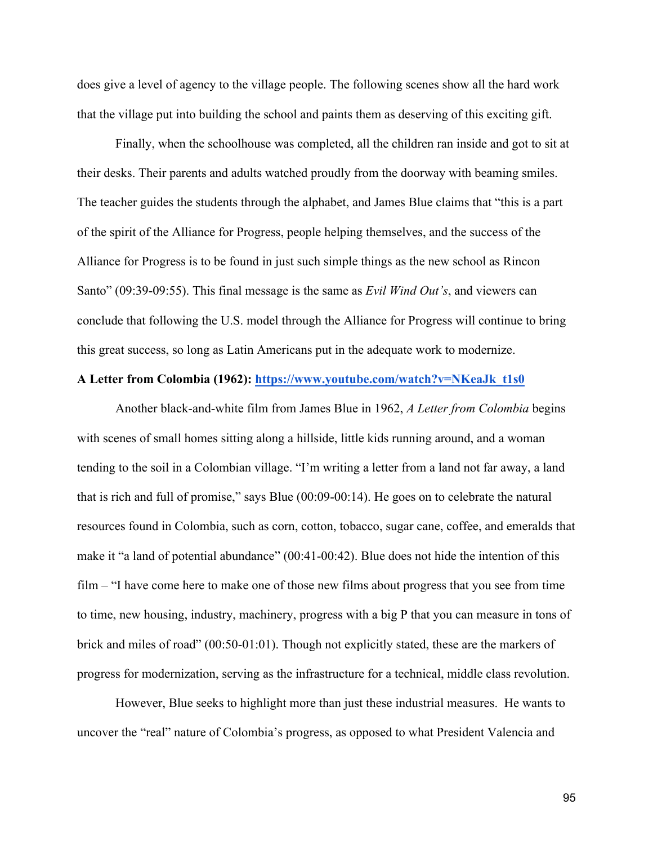does give a level of agency to the village people. The following scenes show all the hard work that the village put into building the school and paints them as deserving of this exciting gift.

Finally, when the schoolhouse was completed, all the children ran inside and got to sit at their desks. Their parents and adults watched proudly from the doorway with beaming smiles. The teacher guides the students through the alphabet, and James Blue claims that "this is a part of the spirit of the Alliance for Progress, people helping themselves, and the success of the Alliance for Progress is to be found in just such simple things as the new school as Rincon Santo" (09:39-09:55). This final message is the same as *Evil Wind Out's*, and viewers can conclude that following the U.S. model through the Alliance for Progress will continue to bring this great success, so long as Latin Americans put in the adequate work to modernize.

# **A Letter from Colombia (1962): https://www.youtube.com/watch?v=NKeaJk\_t1s0**

Another black-and-white film from James Blue in 1962, *A Letter from Colombia* begins with scenes of small homes sitting along a hillside, little kids running around, and a woman tending to the soil in a Colombian village. "I'm writing a letter from a land not far away, a land that is rich and full of promise," says Blue (00:09-00:14). He goes on to celebrate the natural resources found in Colombia, such as corn, cotton, tobacco, sugar cane, coffee, and emeralds that make it "a land of potential abundance" (00:41-00:42). Blue does not hide the intention of this film – "I have come here to make one of those new films about progress that you see from time to time, new housing, industry, machinery, progress with a big P that you can measure in tons of brick and miles of road" (00:50-01:01). Though not explicitly stated, these are the markers of progress for modernization, serving as the infrastructure for a technical, middle class revolution.

However, Blue seeks to highlight more than just these industrial measures. He wants to uncover the "real" nature of Colombia's progress, as opposed to what President Valencia and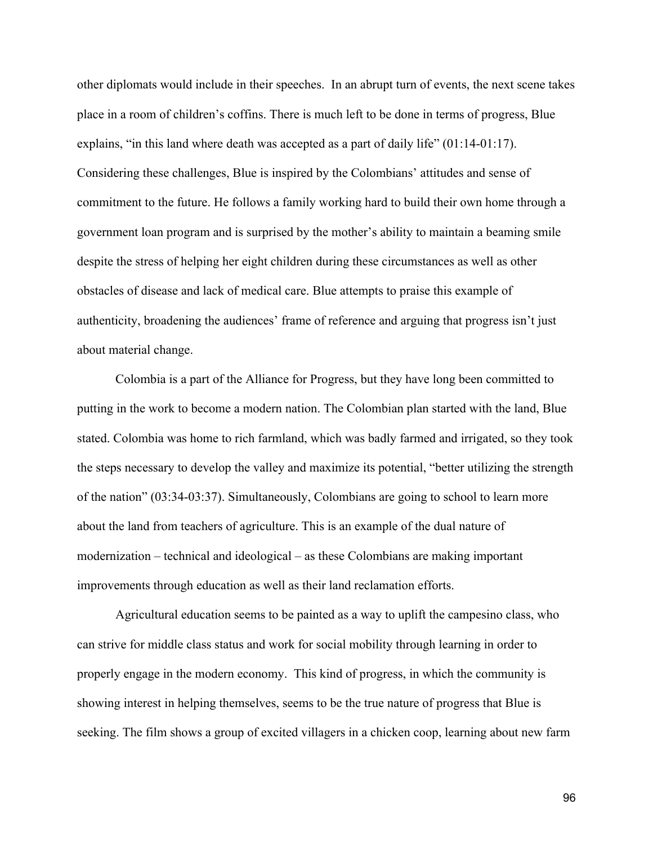other diplomats would include in their speeches. In an abrupt turn of events, the next scene takes place in a room of children's coffins. There is much left to be done in terms of progress, Blue explains, "in this land where death was accepted as a part of daily life" (01:14-01:17). Considering these challenges, Blue is inspired by the Colombians' attitudes and sense of commitment to the future. He follows a family working hard to build their own home through a government loan program and is surprised by the mother's ability to maintain a beaming smile despite the stress of helping her eight children during these circumstances as well as other obstacles of disease and lack of medical care. Blue attempts to praise this example of authenticity, broadening the audiences' frame of reference and arguing that progress isn't just about material change.

Colombia is a part of the Alliance for Progress, but they have long been committed to putting in the work to become a modern nation. The Colombian plan started with the land, Blue stated. Colombia was home to rich farmland, which was badly farmed and irrigated, so they took the steps necessary to develop the valley and maximize its potential, "better utilizing the strength of the nation" (03:34-03:37). Simultaneously, Colombians are going to school to learn more about the land from teachers of agriculture. This is an example of the dual nature of modernization – technical and ideological – as these Colombians are making important improvements through education as well as their land reclamation efforts.

Agricultural education seems to be painted as a way to uplift the campesino class, who can strive for middle class status and work for social mobility through learning in order to properly engage in the modern economy. This kind of progress, in which the community is showing interest in helping themselves, seems to be the true nature of progress that Blue is seeking. The film shows a group of excited villagers in a chicken coop, learning about new farm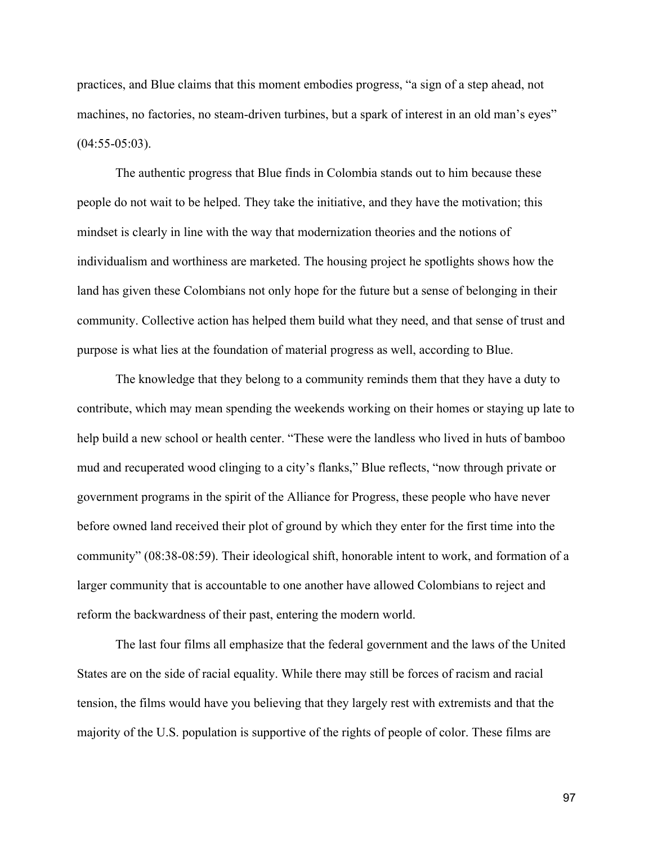practices, and Blue claims that this moment embodies progress, "a sign of a step ahead, not machines, no factories, no steam-driven turbines, but a spark of interest in an old man's eyes"  $(04:55-05:03)$ .

The authentic progress that Blue finds in Colombia stands out to him because these people do not wait to be helped. They take the initiative, and they have the motivation; this mindset is clearly in line with the way that modernization theories and the notions of individualism and worthiness are marketed. The housing project he spotlights shows how the land has given these Colombians not only hope for the future but a sense of belonging in their community. Collective action has helped them build what they need, and that sense of trust and purpose is what lies at the foundation of material progress as well, according to Blue.

The knowledge that they belong to a community reminds them that they have a duty to contribute, which may mean spending the weekends working on their homes or staying up late to help build a new school or health center. "These were the landless who lived in huts of bamboo mud and recuperated wood clinging to a city's flanks," Blue reflects, "now through private or government programs in the spirit of the Alliance for Progress, these people who have never before owned land received their plot of ground by which they enter for the first time into the community" (08:38-08:59). Their ideological shift, honorable intent to work, and formation of a larger community that is accountable to one another have allowed Colombians to reject and reform the backwardness of their past, entering the modern world.

The last four films all emphasize that the federal government and the laws of the United States are on the side of racial equality. While there may still be forces of racism and racial tension, the films would have you believing that they largely rest with extremists and that the majority of the U.S. population is supportive of the rights of people of color. These films are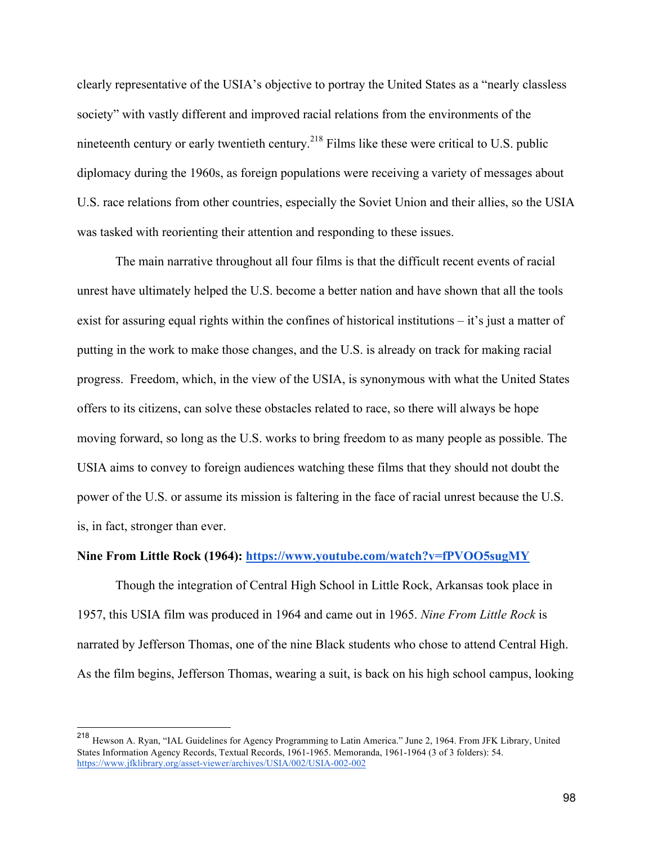clearly representative of the USIA's objective to portray the United States as a "nearly classless society" with vastly different and improved racial relations from the environments of the nineteenth century or early twentieth century.<sup>218</sup> Films like these were critical to U.S. public diplomacy during the 1960s, as foreign populations were receiving a variety of messages about U.S. race relations from other countries, especially the Soviet Union and their allies, so the USIA was tasked with reorienting their attention and responding to these issues.

The main narrative throughout all four films is that the difficult recent events of racial unrest have ultimately helped the U.S. become a better nation and have shown that all the tools exist for assuring equal rights within the confines of historical institutions – it's just a matter of putting in the work to make those changes, and the U.S. is already on track for making racial progress. Freedom, which, in the view of the USIA, is synonymous with what the United States offers to its citizens, can solve these obstacles related to race, so there will always be hope moving forward, so long as the U.S. works to bring freedom to as many people as possible. The USIA aims to convey to foreign audiences watching these films that they should not doubt the power of the U.S. or assume its mission is faltering in the face of racial unrest because the U.S. is, in fact, stronger than ever.

# **Nine From Little Rock (1964): https://www.youtube.com/watch?v=fPVOO5sugMY**

Though the integration of Central High School in Little Rock, Arkansas took place in 1957, this USIA film was produced in 1964 and came out in 1965. *Nine From Little Rock* is narrated by Jefferson Thomas, one of the nine Black students who chose to attend Central High. As the film begins, Jefferson Thomas, wearing a suit, is back on his high school campus, looking

 <sup>218</sup> Hewson A. Ryan, "IAL Guidelines for Agency Programming to Latin America." June 2, 1964. From JFK Library, United States Information Agency Records, Textual Records, 1961-1965. Memoranda, 1961-1964 (3 of 3 folders): 54. https://www.jfklibrary.org/asset-viewer/archives/USIA/002/USIA-002-002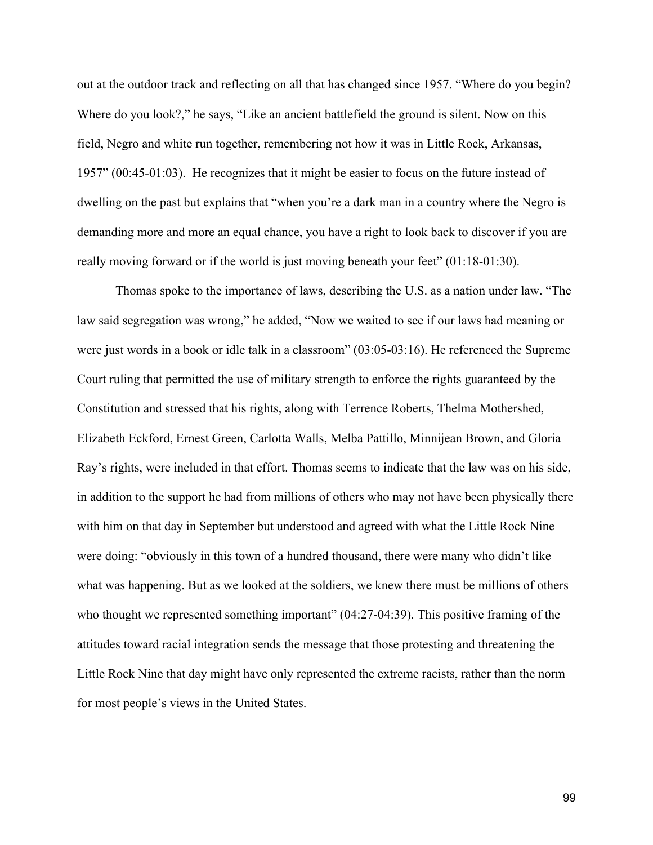out at the outdoor track and reflecting on all that has changed since 1957. "Where do you begin? Where do you look?," he says, "Like an ancient battlefield the ground is silent. Now on this field, Negro and white run together, remembering not how it was in Little Rock, Arkansas, 1957" (00:45-01:03). He recognizes that it might be easier to focus on the future instead of dwelling on the past but explains that "when you're a dark man in a country where the Negro is demanding more and more an equal chance, you have a right to look back to discover if you are really moving forward or if the world is just moving beneath your feet" (01:18-01:30).

Thomas spoke to the importance of laws, describing the U.S. as a nation under law. "The law said segregation was wrong," he added, "Now we waited to see if our laws had meaning or were just words in a book or idle talk in a classroom" (03:05-03:16). He referenced the Supreme Court ruling that permitted the use of military strength to enforce the rights guaranteed by the Constitution and stressed that his rights, along with Terrence Roberts, Thelma Mothershed, Elizabeth Eckford, Ernest Green, Carlotta Walls, Melba Pattillo, Minnijean Brown, and Gloria Ray's rights, were included in that effort. Thomas seems to indicate that the law was on his side, in addition to the support he had from millions of others who may not have been physically there with him on that day in September but understood and agreed with what the Little Rock Nine were doing: "obviously in this town of a hundred thousand, there were many who didn't like what was happening. But as we looked at the soldiers, we knew there must be millions of others who thought we represented something important" (04:27-04:39). This positive framing of the attitudes toward racial integration sends the message that those protesting and threatening the Little Rock Nine that day might have only represented the extreme racists, rather than the norm for most people's views in the United States.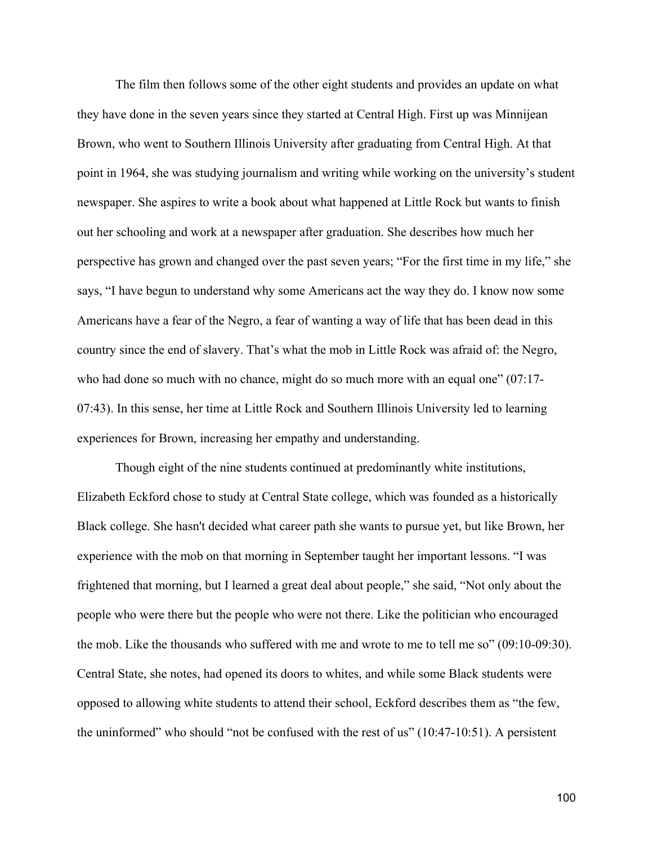The film then follows some of the other eight students and provides an update on what they have done in the seven years since they started at Central High. First up was Minnijean Brown, who went to Southern Illinois University after graduating from Central High. At that point in 1964, she was studying journalism and writing while working on the university's student newspaper. She aspires to write a book about what happened at Little Rock but wants to finish out her schooling and work at a newspaper after graduation. She describes how much her perspective has grown and changed over the past seven years; "For the first time in my life," she says, "I have begun to understand why some Americans act the way they do. I know now some Americans have a fear of the Negro, a fear of wanting a way of life that has been dead in this country since the end of slavery. That's what the mob in Little Rock was afraid of: the Negro, who had done so much with no chance, might do so much more with an equal one" (07:17-07:43). In this sense, her time at Little Rock and Southern Illinois University led to learning experiences for Brown, increasing her empathy and understanding.

Though eight of the nine students continued at predominantly white institutions, Elizabeth Eckford chose to study at Central State college, which was founded as a historically Black college. She hasn't decided what career path she wants to pursue yet, but like Brown, her experience with the mob on that morning in September taught her important lessons. "I was frightened that morning, but I learned a great deal about people," she said, "Not only about the people who were there but the people who were not there. Like the politician who encouraged the mob. Like the thousands who suffered with me and wrote to me to tell me so" (09:10-09:30). Central State, she notes, had opened its doors to whites, and while some Black students were opposed to allowing white students to attend their school, Eckford describes them as "the few, the uninformed" who should "not be confused with the rest of us" (10:47-10:51). A persistent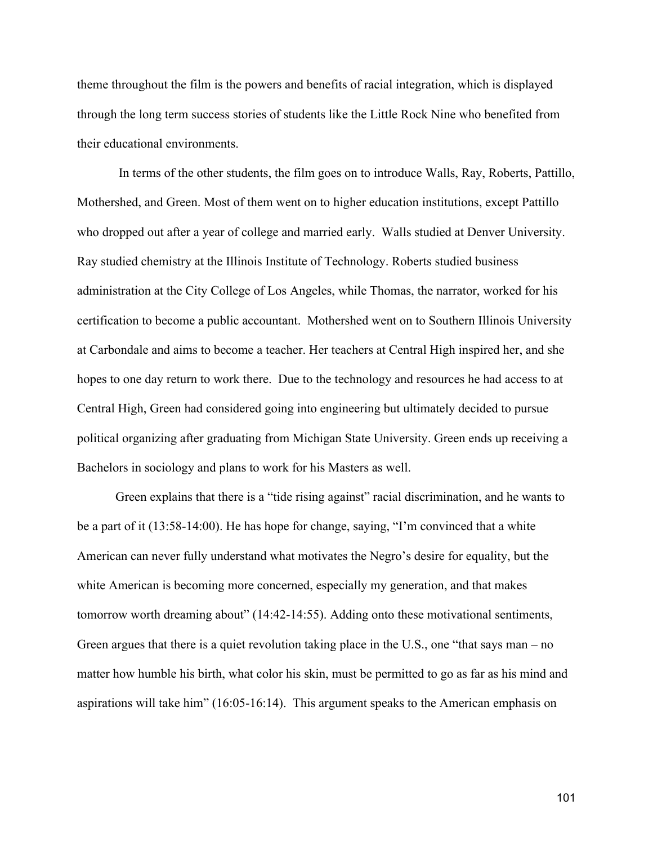theme throughout the film is the powers and benefits of racial integration, which is displayed through the long term success stories of students like the Little Rock Nine who benefited from their educational environments.

In terms of the other students, the film goes on to introduce Walls, Ray, Roberts, Pattillo, Mothershed, and Green. Most of them went on to higher education institutions, except Pattillo who dropped out after a year of college and married early. Walls studied at Denver University. Ray studied chemistry at the Illinois Institute of Technology. Roberts studied business administration at the City College of Los Angeles, while Thomas, the narrator, worked for his certification to become a public accountant. Mothershed went on to Southern Illinois University at Carbondale and aims to become a teacher. Her teachers at Central High inspired her, and she hopes to one day return to work there. Due to the technology and resources he had access to at Central High, Green had considered going into engineering but ultimately decided to pursue political organizing after graduating from Michigan State University. Green ends up receiving a Bachelors in sociology and plans to work for his Masters as well.

Green explains that there is a "tide rising against" racial discrimination, and he wants to be a part of it (13:58-14:00). He has hope for change, saying, "I'm convinced that a white American can never fully understand what motivates the Negro's desire for equality, but the white American is becoming more concerned, especially my generation, and that makes tomorrow worth dreaming about" (14:42-14:55). Adding onto these motivational sentiments, Green argues that there is a quiet revolution taking place in the U.S., one "that says man – no matter how humble his birth, what color his skin, must be permitted to go as far as his mind and aspirations will take him" (16:05-16:14). This argument speaks to the American emphasis on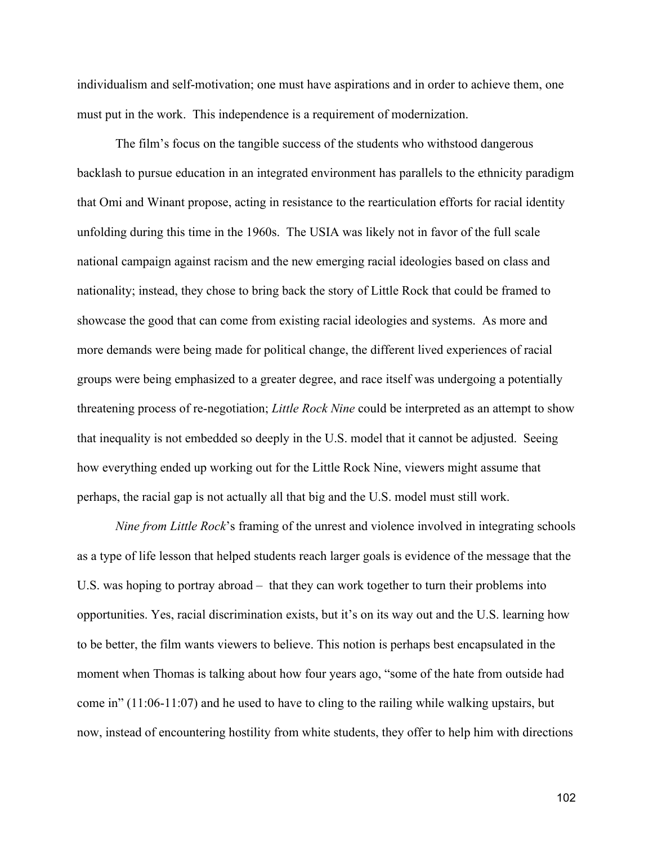individualism and self-motivation; one must have aspirations and in order to achieve them, one must put in the work. This independence is a requirement of modernization.

The film's focus on the tangible success of the students who withstood dangerous backlash to pursue education in an integrated environment has parallels to the ethnicity paradigm that Omi and Winant propose, acting in resistance to the rearticulation efforts for racial identity unfolding during this time in the 1960s. The USIA was likely not in favor of the full scale national campaign against racism and the new emerging racial ideologies based on class and nationality; instead, they chose to bring back the story of Little Rock that could be framed to showcase the good that can come from existing racial ideologies and systems. As more and more demands were being made for political change, the different lived experiences of racial groups were being emphasized to a greater degree, and race itself was undergoing a potentially threatening process of re-negotiation; *Little Rock Nine* could be interpreted as an attempt to show that inequality is not embedded so deeply in the U.S. model that it cannot be adjusted. Seeing how everything ended up working out for the Little Rock Nine, viewers might assume that perhaps, the racial gap is not actually all that big and the U.S. model must still work.

*Nine from Little Rock*'s framing of the unrest and violence involved in integrating schools as a type of life lesson that helped students reach larger goals is evidence of the message that the U.S. was hoping to portray abroad – that they can work together to turn their problems into opportunities. Yes, racial discrimination exists, but it's on its way out and the U.S. learning how to be better, the film wants viewers to believe. This notion is perhaps best encapsulated in the moment when Thomas is talking about how four years ago, "some of the hate from outside had come in" (11:06-11:07) and he used to have to cling to the railing while walking upstairs, but now, instead of encountering hostility from white students, they offer to help him with directions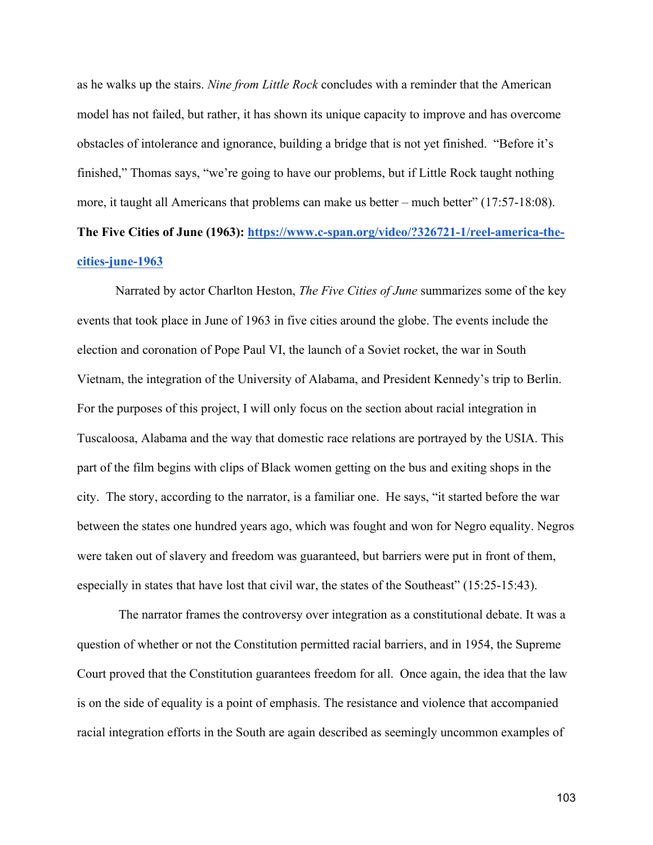as he walks up the stairs. *Nine from Little Rock* concludes with a reminder that the American model has not failed, but rather, it has shown its unique capacity to improve and has overcome obstacles of intolerance and ignorance, building a bridge that is not yet finished. "Before it's finished," Thomas says, "we're going to have our problems, but if Little Rock taught nothing more, it taught all Americans that problems can make us better – much better" (17:57-18:08).

# **The Five Cities of June (1963): https://www.c-span.org/video/?326721-1/reel-america-thecities-june-1963**

Narrated by actor Charlton Heston, *The Five Cities of June* summarizes some of the key events that took place in June of 1963 in five cities around the globe. The events include the election and coronation of Pope Paul VI, the launch of a Soviet rocket, the war in South Vietnam, the integration of the University of Alabama, and President Kennedy's trip to Berlin. For the purposes of this project, I will only focus on the section about racial integration in Tuscaloosa, Alabama and the way that domestic race relations are portrayed by the USIA. This part of the film begins with clips of Black women getting on the bus and exiting shops in the city. The story, according to the narrator, is a familiar one. He says, "it started before the war between the states one hundred years ago, which was fought and won for Negro equality. Negros were taken out of slavery and freedom was guaranteed, but barriers were put in front of them, especially in states that have lost that civil war, the states of the Southeast" (15:25-15:43).

The narrator frames the controversy over integration as a constitutional debate. It was a question of whether or not the Constitution permitted racial barriers, and in 1954, the Supreme Court proved that the Constitution guarantees freedom for all. Once again, the idea that the law is on the side of equality is a point of emphasis. The resistance and violence that accompanied racial integration efforts in the South are again described as seemingly uncommon examples of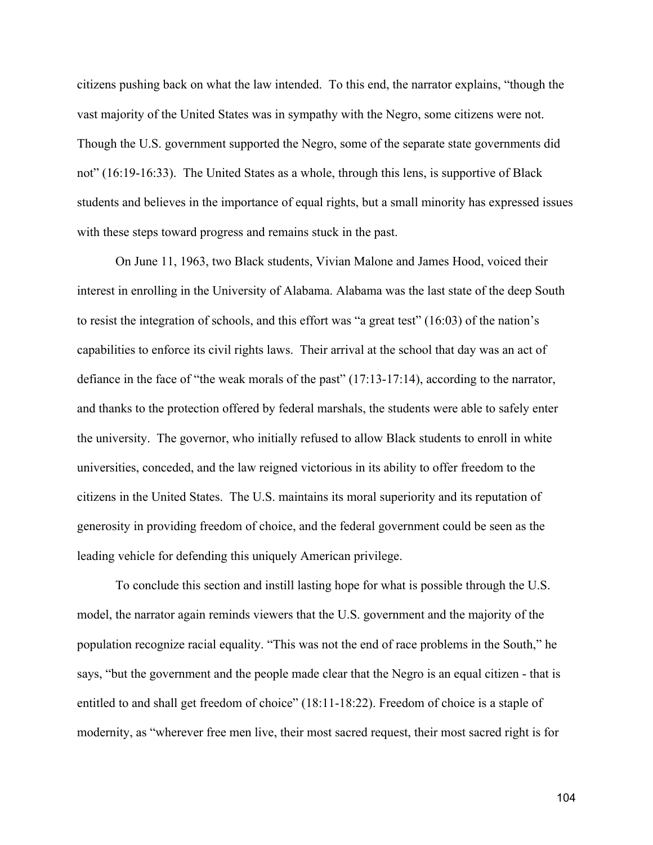citizens pushing back on what the law intended. To this end, the narrator explains, "though the vast majority of the United States was in sympathy with the Negro, some citizens were not. Though the U.S. government supported the Negro, some of the separate state governments did not" (16:19-16:33). The United States as a whole, through this lens, is supportive of Black students and believes in the importance of equal rights, but a small minority has expressed issues with these steps toward progress and remains stuck in the past.

On June 11, 1963, two Black students, Vivian Malone and James Hood, voiced their interest in enrolling in the University of Alabama. Alabama was the last state of the deep South to resist the integration of schools, and this effort was "a great test" (16:03) of the nation's capabilities to enforce its civil rights laws. Their arrival at the school that day was an act of defiance in the face of "the weak morals of the past" (17:13-17:14), according to the narrator, and thanks to the protection offered by federal marshals, the students were able to safely enter the university. The governor, who initially refused to allow Black students to enroll in white universities, conceded, and the law reigned victorious in its ability to offer freedom to the citizens in the United States. The U.S. maintains its moral superiority and its reputation of generosity in providing freedom of choice, and the federal government could be seen as the leading vehicle for defending this uniquely American privilege.

To conclude this section and instill lasting hope for what is possible through the U.S. model, the narrator again reminds viewers that the U.S. government and the majority of the population recognize racial equality. "This was not the end of race problems in the South," he says, "but the government and the people made clear that the Negro is an equal citizen - that is entitled to and shall get freedom of choice" (18:11-18:22). Freedom of choice is a staple of modernity, as "wherever free men live, their most sacred request, their most sacred right is for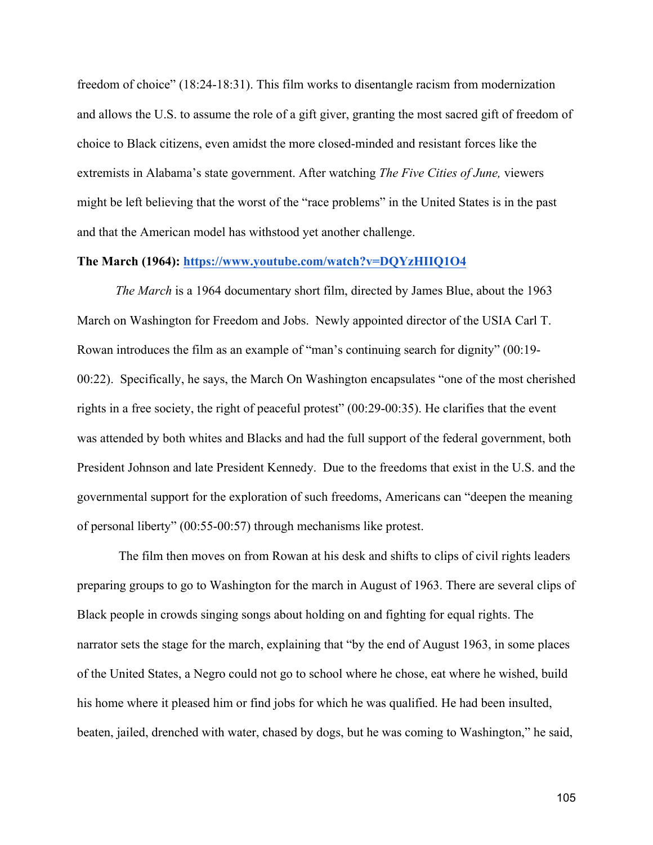freedom of choice" (18:24-18:31). This film works to disentangle racism from modernization and allows the U.S. to assume the role of a gift giver, granting the most sacred gift of freedom of choice to Black citizens, even amidst the more closed-minded and resistant forces like the extremists in Alabama's state government. After watching *The Five Cities of June,* viewers might be left believing that the worst of the "race problems" in the United States is in the past and that the American model has withstood yet another challenge.

# **The March (1964): https://www.youtube.com/watch?v=DQYzHIIQ1O4**

*The March* is a 1964 documentary short film, directed by James Blue, about the 1963 March on Washington for Freedom and Jobs. Newly appointed director of the USIA Carl T. Rowan introduces the film as an example of "man's continuing search for dignity" (00:19- 00:22). Specifically, he says, the March On Washington encapsulates "one of the most cherished rights in a free society, the right of peaceful protest" (00:29-00:35). He clarifies that the event was attended by both whites and Blacks and had the full support of the federal government, both President Johnson and late President Kennedy. Due to the freedoms that exist in the U.S. and the governmental support for the exploration of such freedoms, Americans can "deepen the meaning of personal liberty" (00:55-00:57) through mechanisms like protest.

The film then moves on from Rowan at his desk and shifts to clips of civil rights leaders preparing groups to go to Washington for the march in August of 1963. There are several clips of Black people in crowds singing songs about holding on and fighting for equal rights. The narrator sets the stage for the march, explaining that "by the end of August 1963, in some places of the United States, a Negro could not go to school where he chose, eat where he wished, build his home where it pleased him or find jobs for which he was qualified. He had been insulted, beaten, jailed, drenched with water, chased by dogs, but he was coming to Washington," he said,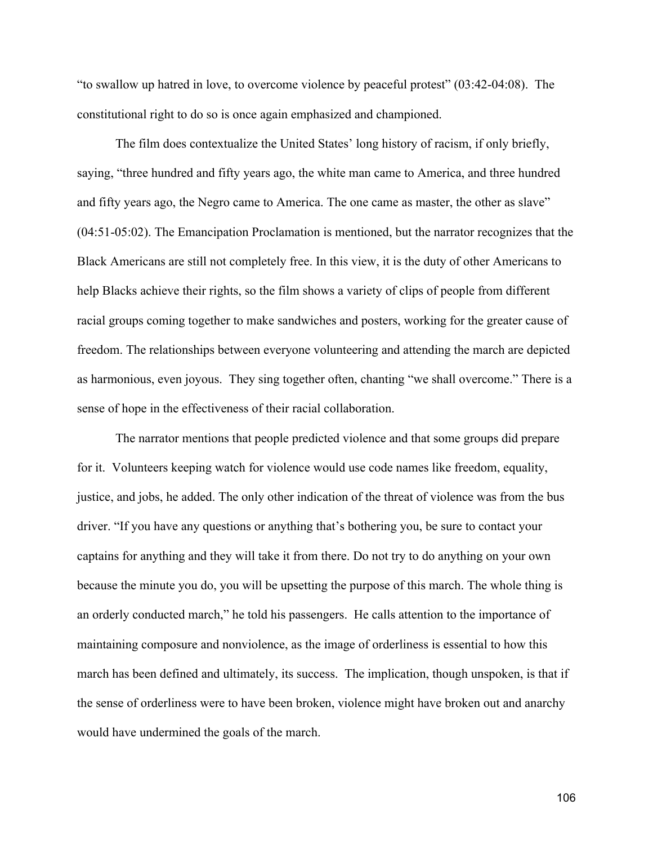"to swallow up hatred in love, to overcome violence by peaceful protest" (03:42-04:08). The constitutional right to do so is once again emphasized and championed.

The film does contextualize the United States' long history of racism, if only briefly, saying, "three hundred and fifty years ago, the white man came to America, and three hundred and fifty years ago, the Negro came to America. The one came as master, the other as slave" (04:51-05:02). The Emancipation Proclamation is mentioned, but the narrator recognizes that the Black Americans are still not completely free. In this view, it is the duty of other Americans to help Blacks achieve their rights, so the film shows a variety of clips of people from different racial groups coming together to make sandwiches and posters, working for the greater cause of freedom. The relationships between everyone volunteering and attending the march are depicted as harmonious, even joyous. They sing together often, chanting "we shall overcome." There is a sense of hope in the effectiveness of their racial collaboration.

The narrator mentions that people predicted violence and that some groups did prepare for it. Volunteers keeping watch for violence would use code names like freedom, equality, justice, and jobs, he added. The only other indication of the threat of violence was from the bus driver. "If you have any questions or anything that's bothering you, be sure to contact your captains for anything and they will take it from there. Do not try to do anything on your own because the minute you do, you will be upsetting the purpose of this march. The whole thing is an orderly conducted march," he told his passengers. He calls attention to the importance of maintaining composure and nonviolence, as the image of orderliness is essential to how this march has been defined and ultimately, its success. The implication, though unspoken, is that if the sense of orderliness were to have been broken, violence might have broken out and anarchy would have undermined the goals of the march.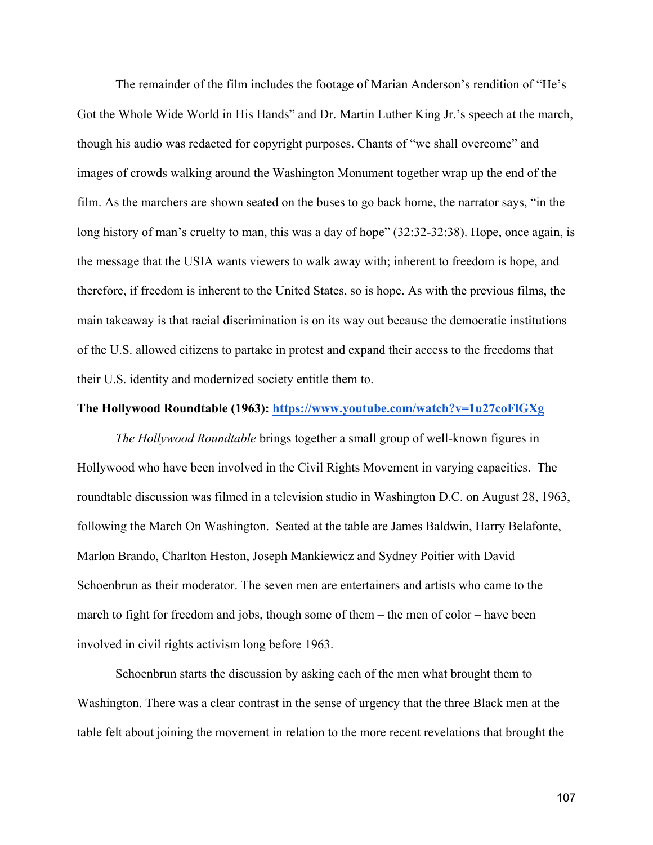The remainder of the film includes the footage of Marian Anderson's rendition of "He's Got the Whole Wide World in His Hands" and Dr. Martin Luther King Jr.'s speech at the march, though his audio was redacted for copyright purposes. Chants of "we shall overcome" and images of crowds walking around the Washington Monument together wrap up the end of the film. As the marchers are shown seated on the buses to go back home, the narrator says, "in the long history of man's cruelty to man, this was a day of hope" (32:32-32:38). Hope, once again, is the message that the USIA wants viewers to walk away with; inherent to freedom is hope, and therefore, if freedom is inherent to the United States, so is hope. As with the previous films, the main takeaway is that racial discrimination is on its way out because the democratic institutions of the U.S. allowed citizens to partake in protest and expand their access to the freedoms that their U.S. identity and modernized society entitle them to.

#### **The Hollywood Roundtable (1963): https://www.youtube.com/watch?v=1u27coFlGXg**

*The Hollywood Roundtable* brings together a small group of well-known figures in Hollywood who have been involved in the Civil Rights Movement in varying capacities. The roundtable discussion was filmed in a television studio in Washington D.C. on August 28, 1963, following the March On Washington. Seated at the table are James Baldwin, Harry Belafonte, Marlon Brando, Charlton Heston, Joseph Mankiewicz and Sydney Poitier with David Schoenbrun as their moderator. The seven men are entertainers and artists who came to the march to fight for freedom and jobs, though some of them – the men of color – have been involved in civil rights activism long before 1963.

Schoenbrun starts the discussion by asking each of the men what brought them to Washington. There was a clear contrast in the sense of urgency that the three Black men at the table felt about joining the movement in relation to the more recent revelations that brought the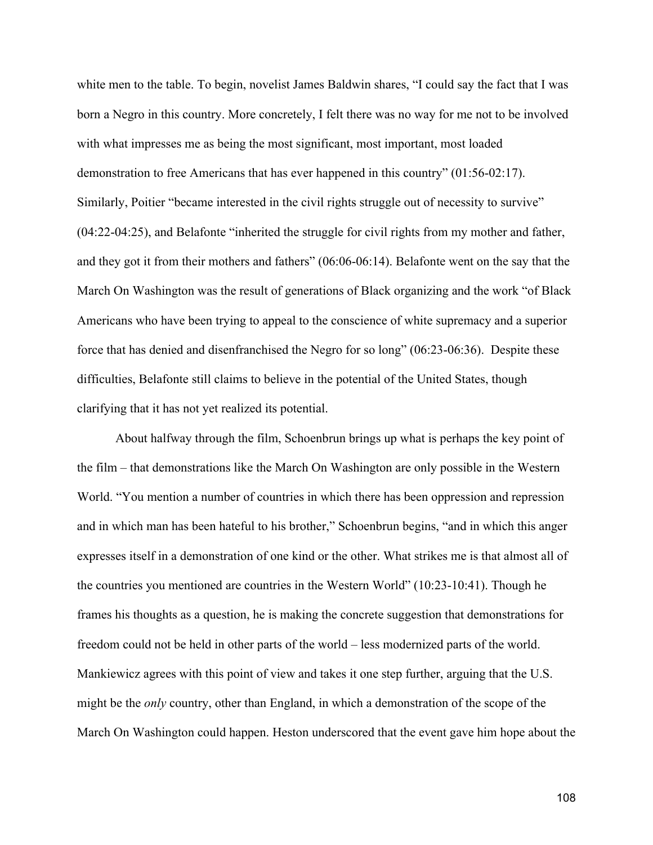white men to the table. To begin, novelist James Baldwin shares, "I could say the fact that I was born a Negro in this country. More concretely, I felt there was no way for me not to be involved with what impresses me as being the most significant, most important, most loaded demonstration to free Americans that has ever happened in this country" (01:56-02:17). Similarly, Poitier "became interested in the civil rights struggle out of necessity to survive" (04:22-04:25), and Belafonte "inherited the struggle for civil rights from my mother and father, and they got it from their mothers and fathers" (06:06-06:14). Belafonte went on the say that the March On Washington was the result of generations of Black organizing and the work "of Black Americans who have been trying to appeal to the conscience of white supremacy and a superior force that has denied and disenfranchised the Negro for so long" (06:23-06:36). Despite these difficulties, Belafonte still claims to believe in the potential of the United States, though clarifying that it has not yet realized its potential.

About halfway through the film, Schoenbrun brings up what is perhaps the key point of the film – that demonstrations like the March On Washington are only possible in the Western World. "You mention a number of countries in which there has been oppression and repression and in which man has been hateful to his brother," Schoenbrun begins, "and in which this anger expresses itself in a demonstration of one kind or the other. What strikes me is that almost all of the countries you mentioned are countries in the Western World" (10:23-10:41). Though he frames his thoughts as a question, he is making the concrete suggestion that demonstrations for freedom could not be held in other parts of the world – less modernized parts of the world. Mankiewicz agrees with this point of view and takes it one step further, arguing that the U.S. might be the *only* country, other than England, in which a demonstration of the scope of the March On Washington could happen. Heston underscored that the event gave him hope about the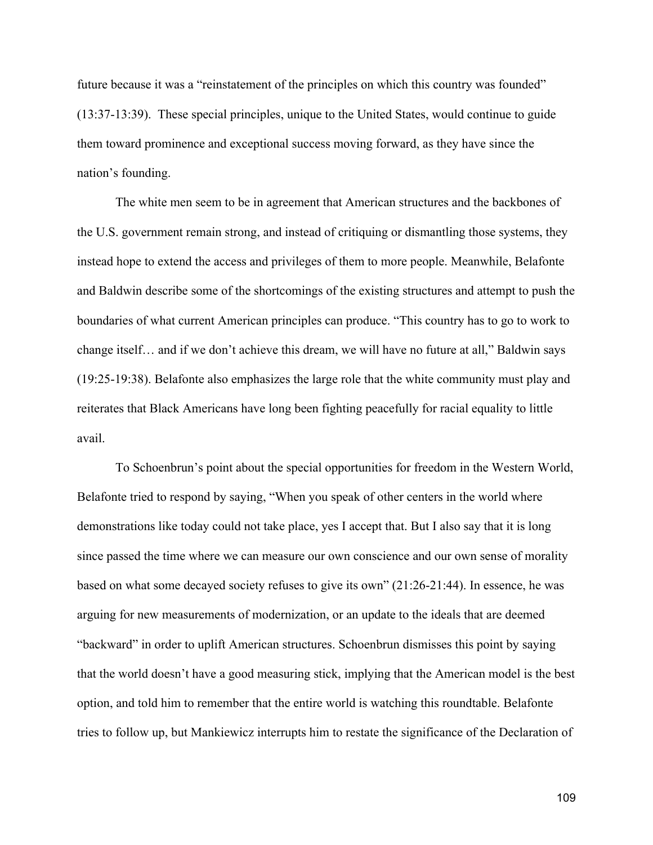future because it was a "reinstatement of the principles on which this country was founded" (13:37-13:39). These special principles, unique to the United States, would continue to guide them toward prominence and exceptional success moving forward, as they have since the nation's founding.

The white men seem to be in agreement that American structures and the backbones of the U.S. government remain strong, and instead of critiquing or dismantling those systems, they instead hope to extend the access and privileges of them to more people. Meanwhile, Belafonte and Baldwin describe some of the shortcomings of the existing structures and attempt to push the boundaries of what current American principles can produce. "This country has to go to work to change itself… and if we don't achieve this dream, we will have no future at all," Baldwin says (19:25-19:38). Belafonte also emphasizes the large role that the white community must play and reiterates that Black Americans have long been fighting peacefully for racial equality to little avail.

To Schoenbrun's point about the special opportunities for freedom in the Western World, Belafonte tried to respond by saying, "When you speak of other centers in the world where demonstrations like today could not take place, yes I accept that. But I also say that it is long since passed the time where we can measure our own conscience and our own sense of morality based on what some decayed society refuses to give its own" (21:26-21:44). In essence, he was arguing for new measurements of modernization, or an update to the ideals that are deemed "backward" in order to uplift American structures. Schoenbrun dismisses this point by saying that the world doesn't have a good measuring stick, implying that the American model is the best option, and told him to remember that the entire world is watching this roundtable. Belafonte tries to follow up, but Mankiewicz interrupts him to restate the significance of the Declaration of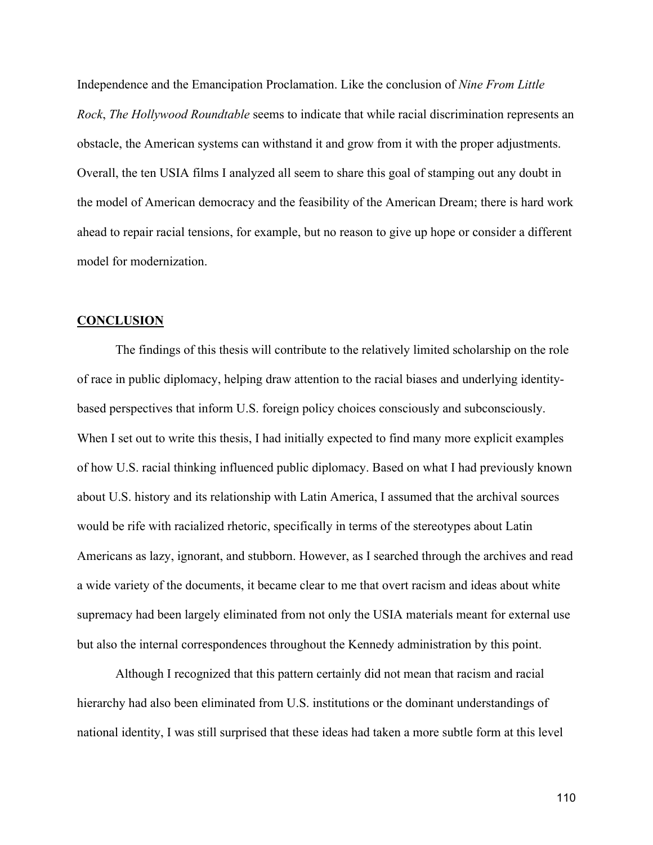Independence and the Emancipation Proclamation. Like the conclusion of *Nine From Little Rock*, *The Hollywood Roundtable* seems to indicate that while racial discrimination represents an obstacle, the American systems can withstand it and grow from it with the proper adjustments. Overall, the ten USIA films I analyzed all seem to share this goal of stamping out any doubt in the model of American democracy and the feasibility of the American Dream; there is hard work ahead to repair racial tensions, for example, but no reason to give up hope or consider a different model for modernization.

## **CONCLUSION**

The findings of this thesis will contribute to the relatively limited scholarship on the role of race in public diplomacy, helping draw attention to the racial biases and underlying identitybased perspectives that inform U.S. foreign policy choices consciously and subconsciously. When I set out to write this thesis, I had initially expected to find many more explicit examples of how U.S. racial thinking influenced public diplomacy. Based on what I had previously known about U.S. history and its relationship with Latin America, I assumed that the archival sources would be rife with racialized rhetoric, specifically in terms of the stereotypes about Latin Americans as lazy, ignorant, and stubborn. However, as I searched through the archives and read a wide variety of the documents, it became clear to me that overt racism and ideas about white supremacy had been largely eliminated from not only the USIA materials meant for external use but also the internal correspondences throughout the Kennedy administration by this point.

Although I recognized that this pattern certainly did not mean that racism and racial hierarchy had also been eliminated from U.S. institutions or the dominant understandings of national identity, I was still surprised that these ideas had taken a more subtle form at this level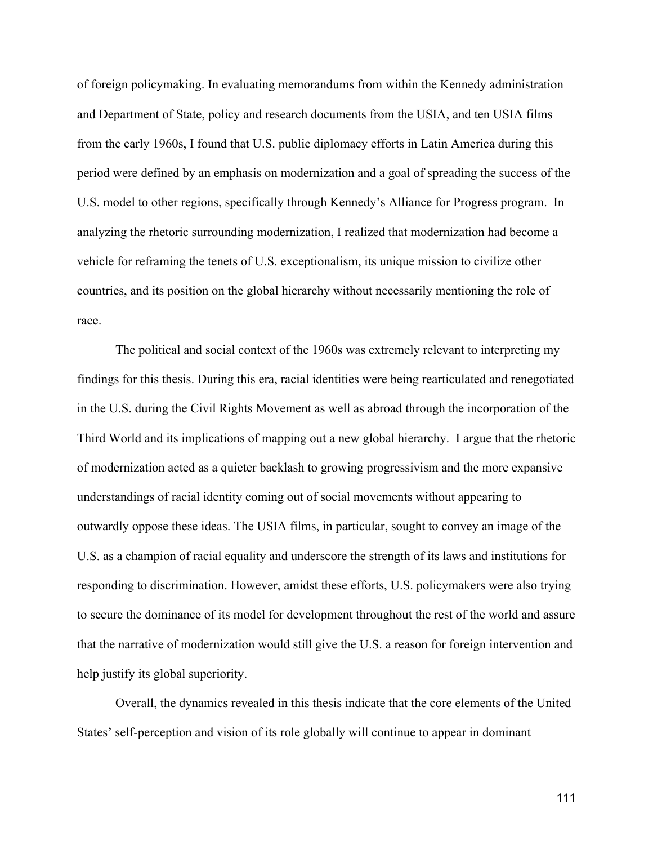of foreign policymaking. In evaluating memorandums from within the Kennedy administration and Department of State, policy and research documents from the USIA, and ten USIA films from the early 1960s, I found that U.S. public diplomacy efforts in Latin America during this period were defined by an emphasis on modernization and a goal of spreading the success of the U.S. model to other regions, specifically through Kennedy's Alliance for Progress program. In analyzing the rhetoric surrounding modernization, I realized that modernization had become a vehicle for reframing the tenets of U.S. exceptionalism, its unique mission to civilize other countries, and its position on the global hierarchy without necessarily mentioning the role of race.

The political and social context of the 1960s was extremely relevant to interpreting my findings for this thesis. During this era, racial identities were being rearticulated and renegotiated in the U.S. during the Civil Rights Movement as well as abroad through the incorporation of the Third World and its implications of mapping out a new global hierarchy. I argue that the rhetoric of modernization acted as a quieter backlash to growing progressivism and the more expansive understandings of racial identity coming out of social movements without appearing to outwardly oppose these ideas. The USIA films, in particular, sought to convey an image of the U.S. as a champion of racial equality and underscore the strength of its laws and institutions for responding to discrimination. However, amidst these efforts, U.S. policymakers were also trying to secure the dominance of its model for development throughout the rest of the world and assure that the narrative of modernization would still give the U.S. a reason for foreign intervention and help justify its global superiority.

Overall, the dynamics revealed in this thesis indicate that the core elements of the United States' self-perception and vision of its role globally will continue to appear in dominant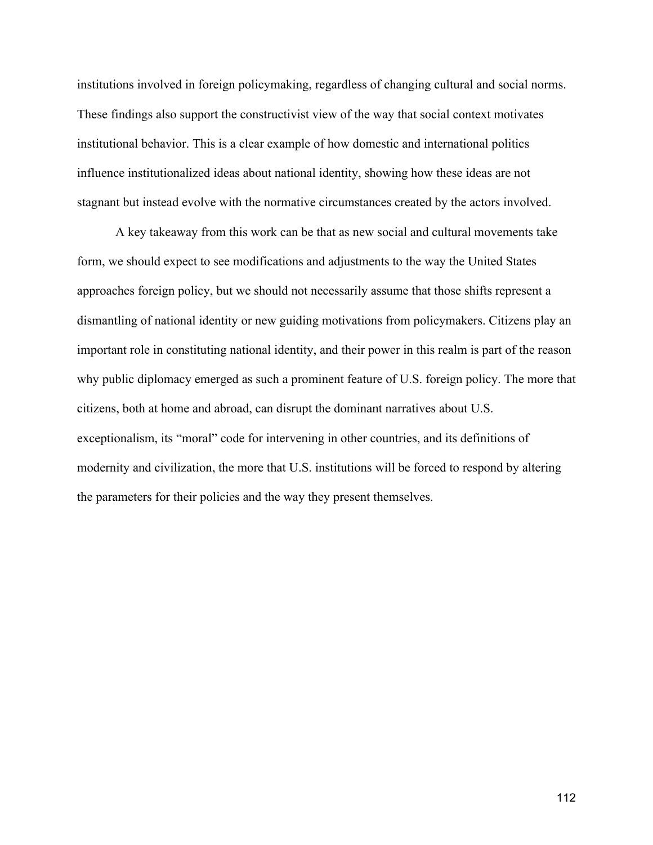institutions involved in foreign policymaking, regardless of changing cultural and social norms. These findings also support the constructivist view of the way that social context motivates institutional behavior. This is a clear example of how domestic and international politics influence institutionalized ideas about national identity, showing how these ideas are not stagnant but instead evolve with the normative circumstances created by the actors involved.

A key takeaway from this work can be that as new social and cultural movements take form, we should expect to see modifications and adjustments to the way the United States approaches foreign policy, but we should not necessarily assume that those shifts represent a dismantling of national identity or new guiding motivations from policymakers. Citizens play an important role in constituting national identity, and their power in this realm is part of the reason why public diplomacy emerged as such a prominent feature of U.S. foreign policy. The more that citizens, both at home and abroad, can disrupt the dominant narratives about U.S. exceptionalism, its "moral" code for intervening in other countries, and its definitions of modernity and civilization, the more that U.S. institutions will be forced to respond by altering the parameters for their policies and the way they present themselves.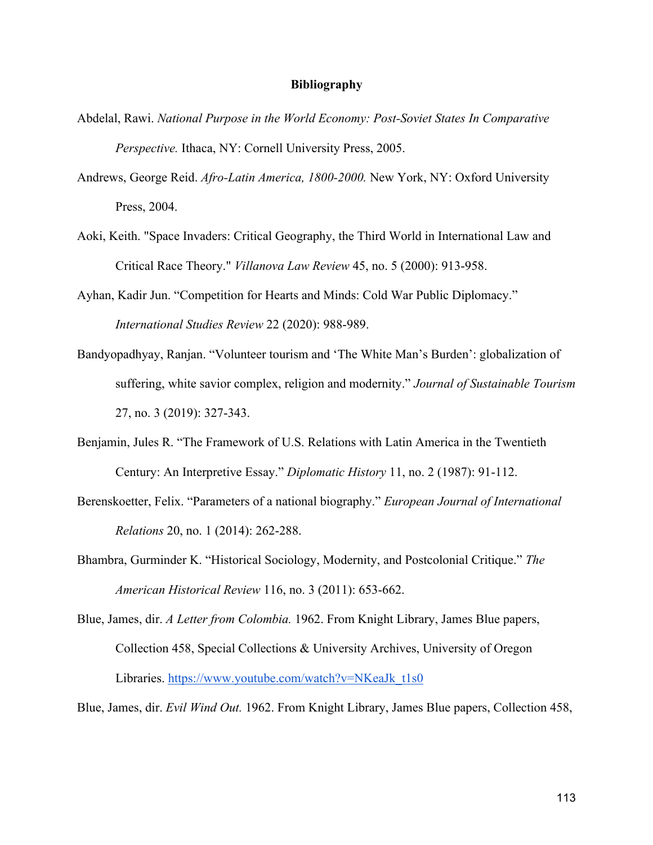## **Bibliography**

- Abdelal, Rawi. *National Purpose in the World Economy: Post-Soviet States In Comparative Perspective.* Ithaca, NY: Cornell University Press, 2005.
- Andrews, George Reid. *Afro-Latin America, 1800-2000.* New York, NY: Oxford University Press, 2004.
- Aoki, Keith. "Space Invaders: Critical Geography, the Third World in International Law and Critical Race Theory." *Villanova Law Review* 45, no. 5 (2000): 913-958.
- Ayhan, Kadir Jun. "Competition for Hearts and Minds: Cold War Public Diplomacy." *International Studies Review* 22 (2020): 988-989.
- Bandyopadhyay, Ranjan. "Volunteer tourism and 'The White Man's Burden': globalization of suffering, white savior complex, religion and modernity." *Journal of Sustainable Tourism*  27, no. 3 (2019): 327-343.
- Benjamin, Jules R. "The Framework of U.S. Relations with Latin America in the Twentieth Century: An Interpretive Essay." *Diplomatic History* 11, no. 2 (1987): 91-112.
- Berenskoetter, Felix. "Parameters of a national biography." *European Journal of International Relations* 20, no. 1 (2014): 262-288.
- Bhambra, Gurminder K. "Historical Sociology, Modernity, and Postcolonial Critique." *The American Historical Review* 116, no. 3 (2011): 653-662.
- Blue, James, dir. *A Letter from Colombia.* 1962. From Knight Library, James Blue papers, Collection 458, Special Collections & University Archives, University of Oregon Libraries. https://www.youtube.com/watch?v=NKeaJk\_t1s0

Blue, James, dir. *Evil Wind Out.* 1962. From Knight Library, James Blue papers, Collection 458,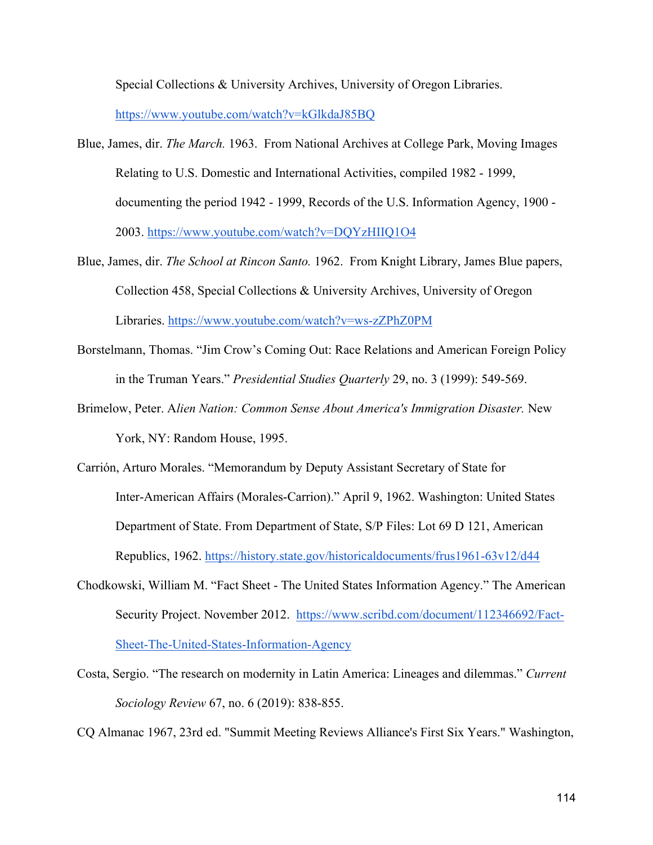Special Collections & University Archives, University of Oregon Libraries.

https://www.youtube.com/watch?v=kGlkdaJ85BQ

- Blue, James, dir. *The March.* 1963. From National Archives at College Park, Moving Images Relating to U.S. Domestic and International Activities, compiled 1982 - 1999, documenting the period 1942 - 1999, Records of the U.S. Information Agency, 1900 - 2003. https://www.youtube.com/watch?v=DQYzHIIQ1O4
- Blue, James, dir. *The School at Rincon Santo.* 1962. From Knight Library, James Blue papers, Collection 458, Special Collections & University Archives, University of Oregon Libraries. https://www.youtube.com/watch?v=ws-zZPhZ0PM
- Borstelmann, Thomas. "Jim Crow's Coming Out: Race Relations and American Foreign Policy in the Truman Years." *Presidential Studies Quarterly* 29, no. 3 (1999): 549-569.
- Brimelow, Peter. A*lien Nation: Common Sense About America's Immigration Disaster.* New York, NY: Random House, 1995.
- Carrión, Arturo Morales. "Memorandum by Deputy Assistant Secretary of State for Inter-American Affairs (Morales-Carrion)." April 9, 1962. Washington: United States Department of State. From Department of State, S/P Files: Lot 69 D 121, American Republics, 1962. https://history.state.gov/historicaldocuments/frus1961-63v12/d44
- Chodkowski, William M. "Fact Sheet The United States Information Agency." The American Security Project. November 2012. https://www.scribd.com/document/112346692/Fact-Sheet-The-United-States-Information-Agency
- Costa, Sergio. "The research on modernity in Latin America: Lineages and dilemmas." *Current Sociology Review* 67, no. 6 (2019): 838-855.

CQ Almanac 1967, 23rd ed. "Summit Meeting Reviews Alliance's First Six Years." Washington,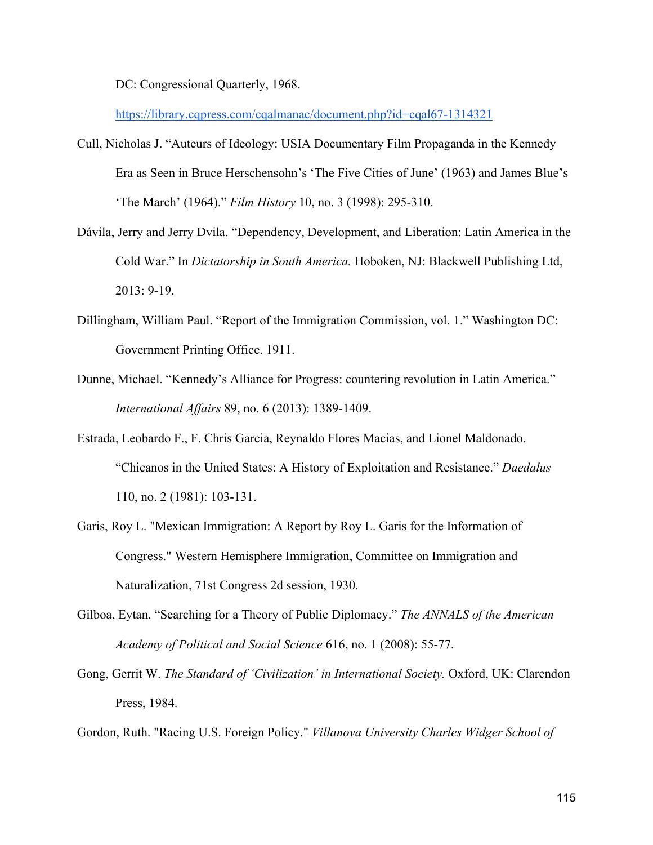DC: Congressional Quarterly, 1968.

https://library.cqpress.com/cqalmanac/document.php?id=cqal67-1314321

- Cull, Nicholas J. "Auteurs of Ideology: USIA Documentary Film Propaganda in the Kennedy Era as Seen in Bruce Herschensohn's 'The Five Cities of June' (1963) and James Blue's 'The March' (1964)." *Film History* 10, no. 3 (1998): 295-310.
- Dávila, Jerry and Jerry Dvila. "Dependency, Development, and Liberation: Latin America in the Cold War." In *Dictatorship in South America.* Hoboken, NJ: Blackwell Publishing Ltd, 2013: 9-19.
- Dillingham, William Paul. "Report of the Immigration Commission, vol. 1." Washington DC: Government Printing Office. 1911.
- Dunne, Michael. "Kennedy's Alliance for Progress: countering revolution in Latin America." *International Affairs* 89, no. 6 (2013): 1389-1409.
- Estrada, Leobardo F., F. Chris Garcia, Reynaldo Flores Macias, and Lionel Maldonado. "Chicanos in the United States: A History of Exploitation and Resistance." *Daedalus*  110, no. 2 (1981): 103-131.
- Garis, Roy L. "Mexican Immigration: A Report by Roy L. Garis for the Information of Congress." Western Hemisphere Immigration, Committee on Immigration and Naturalization, 71st Congress 2d session, 1930.
- Gilboa, Eytan. "Searching for a Theory of Public Diplomacy." *The ANNALS of the American Academy of Political and Social Science* 616, no. 1 (2008): 55-77.
- Gong, Gerrit W. *The Standard of 'Civilization' in International Society*. Oxford, UK: Clarendon Press, 1984.

Gordon, Ruth. "Racing U.S. Foreign Policy." *Villanova University Charles Widger School of*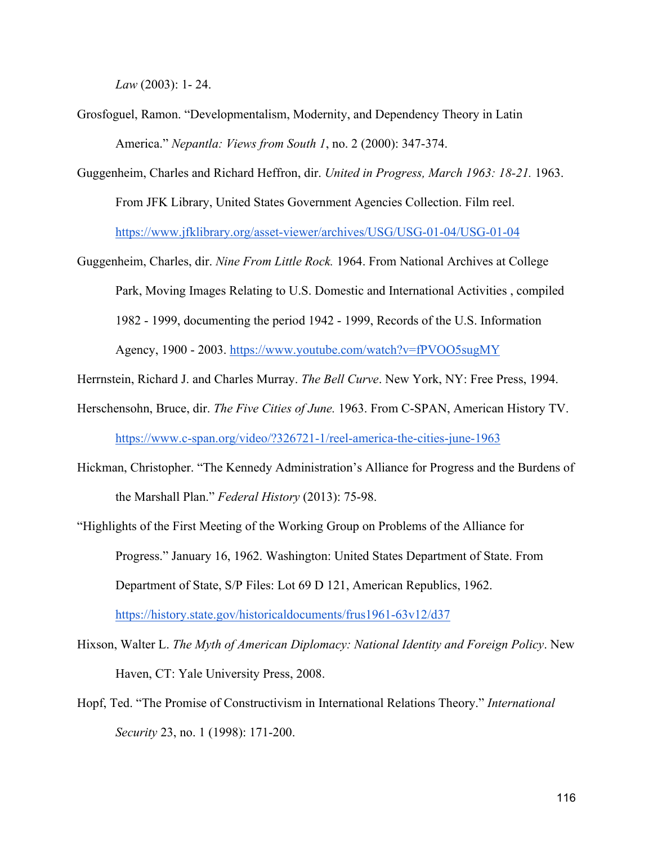*Law* (2003): 1- 24.

- Grosfoguel, Ramon. "Developmentalism, Modernity, and Dependency Theory in Latin America." *Nepantla: Views from South 1*, no. 2 (2000): 347-374.
- Guggenheim, Charles and Richard Heffron, dir. *United in Progress, March 1963: 18-21.* 1963. From JFK Library, United States Government Agencies Collection. Film reel. https://www.jfklibrary.org/asset-viewer/archives/USG/USG-01-04/USG-01-04
- Guggenheim, Charles, dir. *Nine From Little Rock.* 1964. From National Archives at College Park, Moving Images Relating to U.S. Domestic and International Activities , compiled 1982 - 1999, documenting the period 1942 - 1999, Records of the U.S. Information Agency, 1900 - 2003. https://www.youtube.com/watch?v=fPVOO5sugMY
- Herrnstein, Richard J. and Charles Murray. *The Bell Curve*. New York, NY: Free Press, 1994.
- Herschensohn, Bruce, dir. *The Five Cities of June.* 1963. From C-SPAN, American History TV. https://www.c-span.org/video/?326721-1/reel-america-the-cities-june-1963
- Hickman, Christopher. "The Kennedy Administration's Alliance for Progress and the Burdens of the Marshall Plan." *Federal History* (2013): 75-98.
- "Highlights of the First Meeting of the Working Group on Problems of the Alliance for Progress." January 16, 1962. Washington: United States Department of State. From Department of State, S/P Files: Lot 69 D 121, American Republics, 1962. https://history.state.gov/historicaldocuments/frus1961-63v12/d37
- Hixson, Walter L. *The Myth of American Diplomacy: National Identity and Foreign Policy*. New Haven, CT: Yale University Press, 2008.
- Hopf, Ted. "The Promise of Constructivism in International Relations Theory." *International Security* 23, no. 1 (1998): 171-200.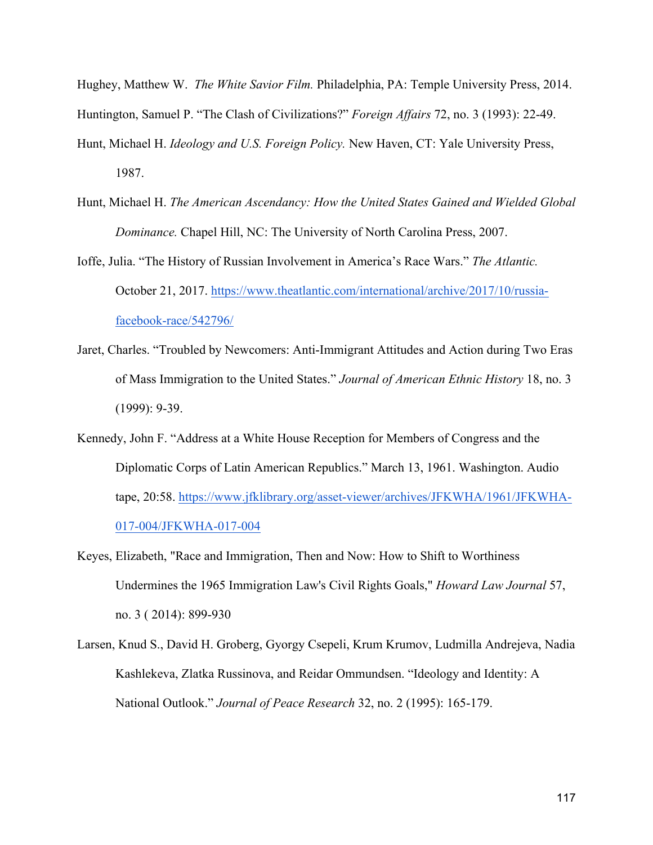Hughey, Matthew W. *The White Savior Film.* Philadelphia, PA: Temple University Press, 2014. Huntington, Samuel P. "The Clash of Civilizations?" *Foreign Affairs* 72, no. 3 (1993): 22-49.

- Hunt, Michael H. *Ideology and U.S. Foreign Policy.* New Haven, CT: Yale University Press, 1987.
- Hunt, Michael H. *The American Ascendancy: How the United States Gained and Wielded Global Dominance.* Chapel Hill, NC: The University of North Carolina Press, 2007.

Ioffe, Julia. "The History of Russian Involvement in America's Race Wars." *The Atlantic.*  October 21, 2017. https://www.theatlantic.com/international/archive/2017/10/russiafacebook-race/542796/

- Jaret, Charles. "Troubled by Newcomers: Anti-Immigrant Attitudes and Action during Two Eras of Mass Immigration to the United States." *Journal of American Ethnic History* 18, no. 3 (1999): 9-39.
- Kennedy, John F. "Address at a White House Reception for Members of Congress and the Diplomatic Corps of Latin American Republics." March 13, 1961. Washington. Audio tape, 20:58. https://www.jfklibrary.org/asset-viewer/archives/JFKWHA/1961/JFKWHA-017-004/JFKWHA-017-004
- Keyes, Elizabeth, "Race and Immigration, Then and Now: How to Shift to Worthiness Undermines the 1965 Immigration Law's Civil Rights Goals," *Howard Law Journal* 57, no. 3 ( 2014): 899-930
- Larsen, Knud S., David H. Groberg, Gyorgy Csepeli, Krum Krumov, Ludmilla Andrejeva, Nadia Kashlekeva, Zlatka Russinova, and Reidar Ommundsen. "Ideology and Identity: A National Outlook." *Journal of Peace Research* 32, no. 2 (1995): 165-179.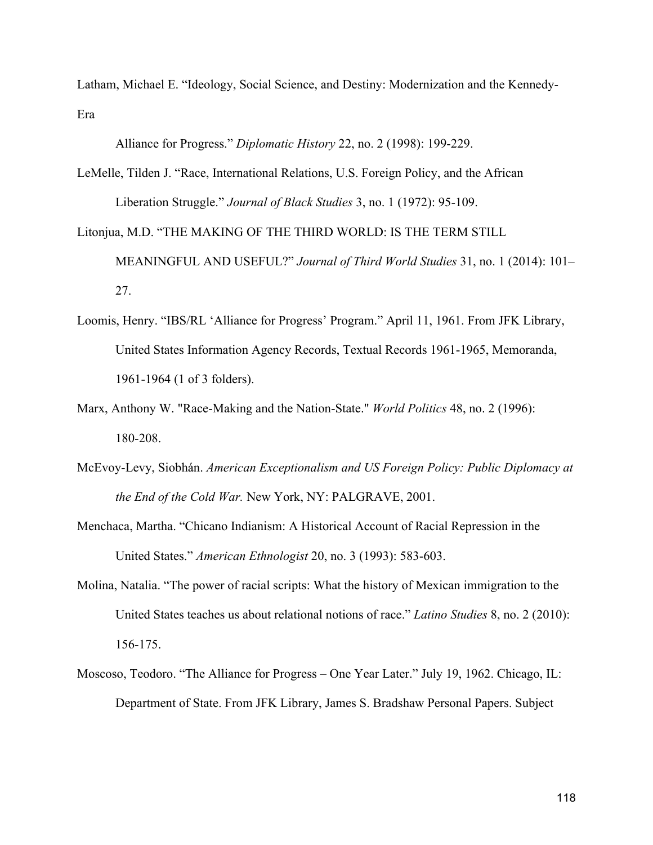Latham, Michael E. "Ideology, Social Science, and Destiny: Modernization and the Kennedy-Era

Alliance for Progress." *Diplomatic History* 22, no. 2 (1998): 199-229.

- LeMelle, Tilden J. "Race, International Relations, U.S. Foreign Policy, and the African Liberation Struggle." *Journal of Black Studies* 3, no. 1 (1972): 95-109.
- Litonjua, M.D. "THE MAKING OF THE THIRD WORLD: IS THE TERM STILL MEANINGFUL AND USEFUL?" *Journal of Third World Studies* 31, no. 1 (2014): 101– 27.
- Loomis, Henry. "IBS/RL 'Alliance for Progress' Program." April 11, 1961. From JFK Library, United States Information Agency Records, Textual Records 1961-1965, Memoranda, 1961-1964 (1 of 3 folders).
- Marx, Anthony W. "Race-Making and the Nation-State." *World Politics* 48, no. 2 (1996): 180-208.
- McEvoy-Levy, Siobhán. *American Exceptionalism and US Foreign Policy: Public Diplomacy at the End of the Cold War.* New York, NY: PALGRAVE, 2001.
- Menchaca, Martha. "Chicano Indianism: A Historical Account of Racial Repression in the United States." *American Ethnologist* 20, no. 3 (1993): 583-603.
- Molina, Natalia. "The power of racial scripts: What the history of Mexican immigration to the United States teaches us about relational notions of race." *Latino Studies* 8, no. 2 (2010): 156-175.
- Moscoso, Teodoro. "The Alliance for Progress One Year Later." July 19, 1962. Chicago, IL: Department of State. From JFK Library, James S. Bradshaw Personal Papers. Subject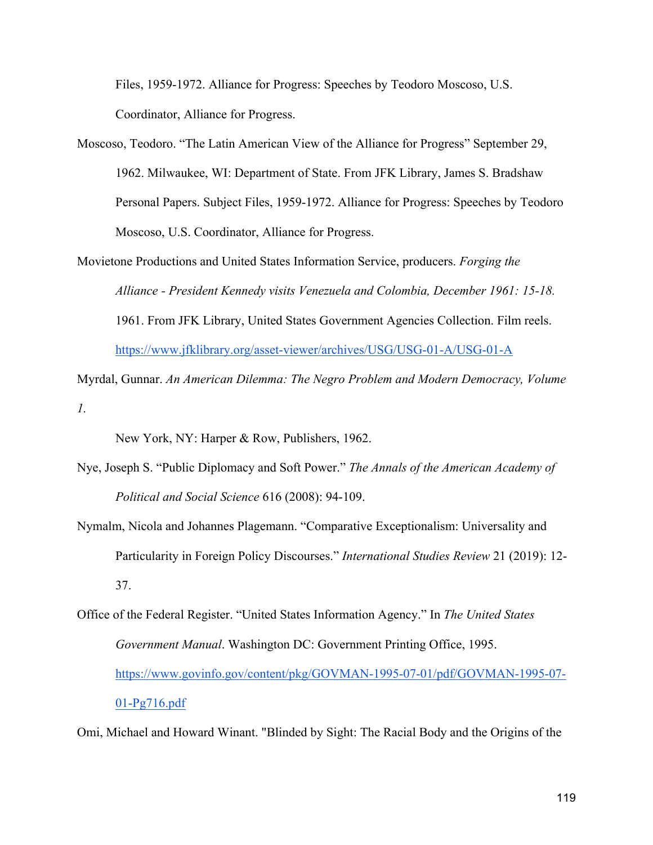Files, 1959-1972. Alliance for Progress: Speeches by Teodoro Moscoso, U.S. Coordinator, Alliance for Progress.

- Moscoso, Teodoro. "The Latin American View of the Alliance for Progress" September 29, 1962. Milwaukee, WI: Department of State. From JFK Library, James S. Bradshaw Personal Papers. Subject Files, 1959-1972. Alliance for Progress: Speeches by Teodoro Moscoso, U.S. Coordinator, Alliance for Progress.
- Movietone Productions and United States Information Service, producers. *Forging the Alliance - President Kennedy visits Venezuela and Colombia, December 1961: 15-18.* 1961. From JFK Library, United States Government Agencies Collection. Film reels. https://www.jfklibrary.org/asset-viewer/archives/USG/USG-01-A/USG-01-A

Myrdal, Gunnar. *An American Dilemma: The Negro Problem and Modern Democracy, Volume 1.* 

New York, NY: Harper & Row, Publishers, 1962.

- Nye, Joseph S. "Public Diplomacy and Soft Power." *The Annals of the American Academy of Political and Social Science* 616 (2008): 94-109.
- Nymalm, Nicola and Johannes Plagemann. "Comparative Exceptionalism: Universality and Particularity in Foreign Policy Discourses." *International Studies Review* 21 (2019): 12- 37.
- Office of the Federal Register. "United States Information Agency." In *The United States Government Manual*. Washington DC: Government Printing Office, 1995. https://www.govinfo.gov/content/pkg/GOVMAN-1995-07-01/pdf/GOVMAN-1995-07- 01-Pg716.pdf

Omi, Michael and Howard Winant. "Blinded by Sight: The Racial Body and the Origins of the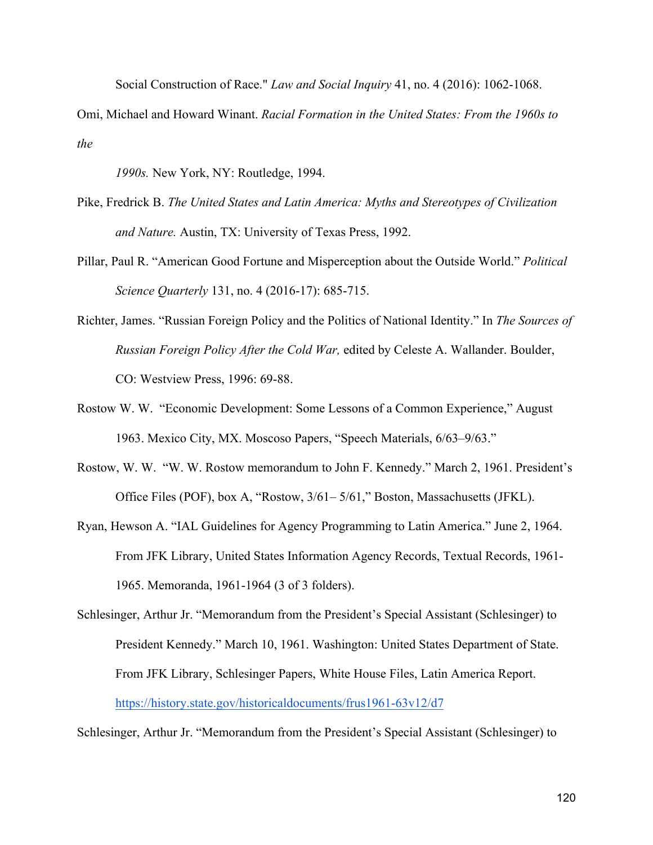Social Construction of Race." *Law and Social Inquiry* 41, no. 4 (2016): 1062-1068.

Omi, Michael and Howard Winant. *Racial Formation in the United States: From the 1960s to the* 

*1990s.* New York, NY: Routledge, 1994.

- Pike, Fredrick B. *The United States and Latin America: Myths and Stereotypes of Civilization and Nature.* Austin, TX: University of Texas Press, 1992.
- Pillar, Paul R. "American Good Fortune and Misperception about the Outside World." *Political Science Quarterly* 131, no. 4 (2016-17): 685-715.
- Richter, James. "Russian Foreign Policy and the Politics of National Identity." In *The Sources of Russian Foreign Policy After the Cold War,* edited by Celeste A. Wallander. Boulder, CO: Westview Press, 1996: 69-88.
- Rostow W. W. "Economic Development: Some Lessons of a Common Experience," August 1963. Mexico City, MX. Moscoso Papers, "Speech Materials, 6/63–9/63."
- Rostow, W. W. "W. W. Rostow memorandum to John F. Kennedy." March 2, 1961. President's Office Files (POF), box A, "Rostow, 3/61– 5/61," Boston, Massachusetts (JFKL).
- Ryan, Hewson A. "IAL Guidelines for Agency Programming to Latin America." June 2, 1964. From JFK Library, United States Information Agency Records, Textual Records, 1961- 1965. Memoranda, 1961-1964 (3 of 3 folders).

Schlesinger, Arthur Jr. "Memorandum from the President's Special Assistant (Schlesinger) to President Kennedy." March 10, 1961. Washington: United States Department of State. From JFK Library, Schlesinger Papers, White House Files, Latin America Report. https://history.state.gov/historicaldocuments/frus1961-63v12/d7

Schlesinger, Arthur Jr. "Memorandum from the President's Special Assistant (Schlesinger) to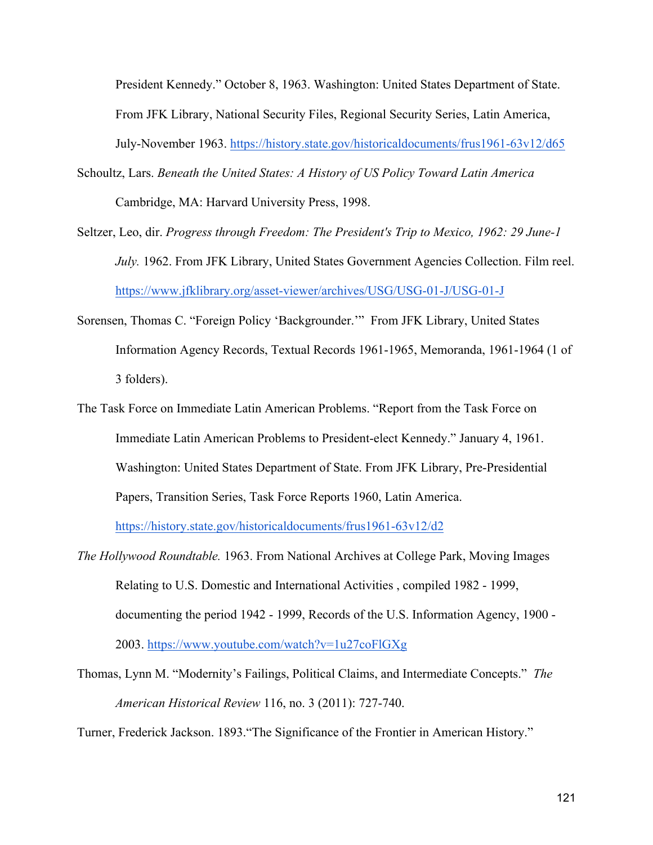President Kennedy." October 8, 1963. Washington: United States Department of State. From JFK Library, National Security Files, Regional Security Series, Latin America, July-November 1963. https://history.state.gov/historicaldocuments/frus1961-63v12/d65

- Schoultz, Lars. *Beneath the United States: A History of US Policy Toward Latin America* Cambridge, MA: Harvard University Press, 1998.
- Seltzer, Leo, dir. *Progress through Freedom: The President's Trip to Mexico, 1962: 29 June-1 July.* 1962. From JFK Library, United States Government Agencies Collection. Film reel. https://www.jfklibrary.org/asset-viewer/archives/USG/USG-01-J/USG-01-J
- Sorensen, Thomas C. "Foreign Policy 'Backgrounder.'" From JFK Library, United States Information Agency Records, Textual Records 1961-1965, Memoranda, 1961-1964 (1 of 3 folders).
- The Task Force on Immediate Latin American Problems. "Report from the Task Force on Immediate Latin American Problems to President-elect Kennedy." January 4, 1961. Washington: United States Department of State. From JFK Library, Pre-Presidential Papers, Transition Series, Task Force Reports 1960, Latin America.

https://history.state.gov/historicaldocuments/frus1961-63v12/d2

- *The Hollywood Roundtable.* 1963. From National Archives at College Park, Moving Images Relating to U.S. Domestic and International Activities , compiled 1982 - 1999, documenting the period 1942 - 1999, Records of the U.S. Information Agency, 1900 - 2003. https://www.youtube.com/watch?v=1u27coFlGXg
- Thomas, Lynn M. "Modernity's Failings, Political Claims, and Intermediate Concepts." *The American Historical Review* 116, no. 3 (2011): 727-740.

Turner, Frederick Jackson. 1893."The Significance of the Frontier in American History."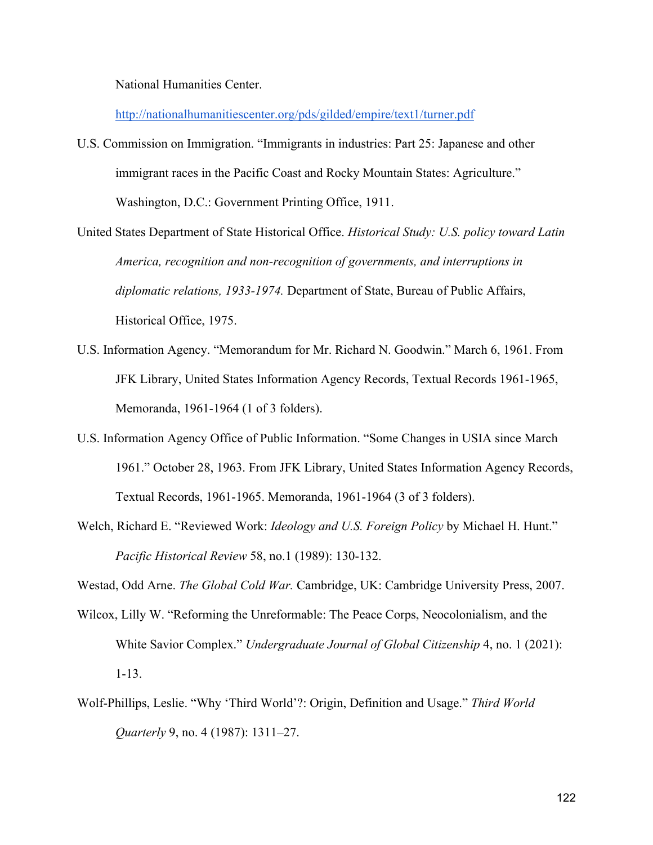National Humanities Center.

http://nationalhumanitiescenter.org/pds/gilded/empire/text1/turner.pdf

U.S. Commission on Immigration. "Immigrants in industries: Part 25: Japanese and other immigrant races in the Pacific Coast and Rocky Mountain States: Agriculture." Washington, D.C.: Government Printing Office, 1911.

United States Department of State Historical Office. *Historical Study: U.S. policy toward Latin America, recognition and non-recognition of governments, and interruptions in diplomatic relations, 1933-1974.* Department of State, Bureau of Public Affairs, Historical Office, 1975.

- U.S. Information Agency. "Memorandum for Mr. Richard N. Goodwin." March 6, 1961. From JFK Library, United States Information Agency Records, Textual Records 1961-1965, Memoranda, 1961-1964 (1 of 3 folders).
- U.S. Information Agency Office of Public Information. "Some Changes in USIA since March 1961." October 28, 1963. From JFK Library, United States Information Agency Records, Textual Records, 1961-1965. Memoranda, 1961-1964 (3 of 3 folders).
- Welch, Richard E. "Reviewed Work: *Ideology and U.S. Foreign Policy* by Michael H. Hunt." *Pacific Historical Review* 58, no.1 (1989): 130-132.

Westad, Odd Arne. *The Global Cold War.* Cambridge, UK: Cambridge University Press, 2007.

- Wilcox, Lilly W. "Reforming the Unreformable: The Peace Corps, Neocolonialism, and the White Savior Complex." *Undergraduate Journal of Global Citizenship* 4, no. 1 (2021): 1-13.
- Wolf-Phillips, Leslie. "Why 'Third World'?: Origin, Definition and Usage." *Third World Quarterly* 9, no. 4 (1987): 1311–27.